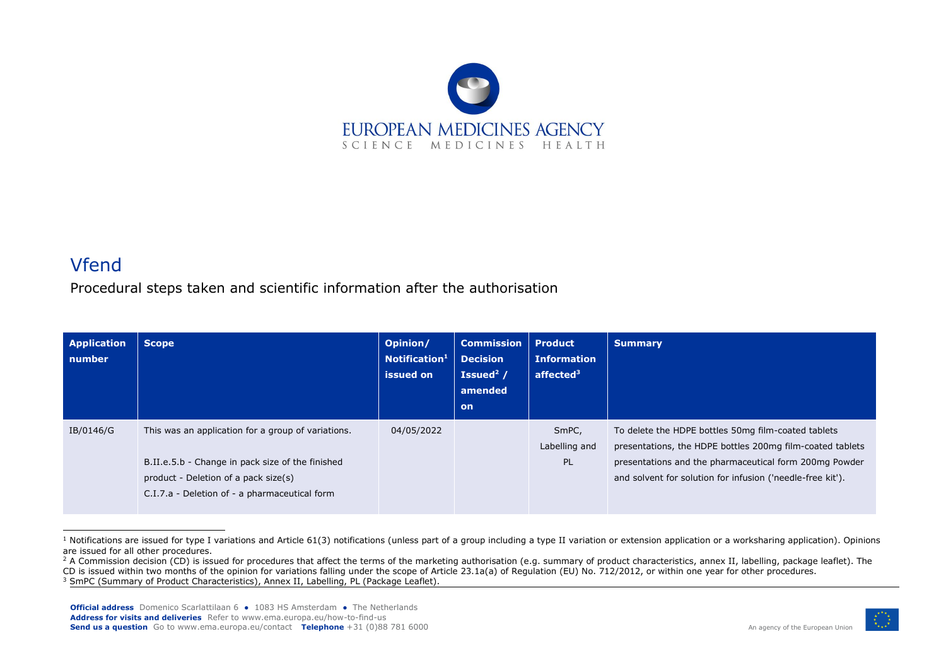

## Vfend

Procedural steps taken and scientific information after the authorisation

| <b>Application</b><br>number | <b>Scope</b>                                                                                                                                                                                    | Opinion/<br>Notification <sup>1</sup><br>issued on | <b>Commission</b><br><b>Decision</b><br>Issued $2/$<br>amended<br><b>on</b> | <b>Product</b><br><b>Information</b><br>affected <sup>3</sup> | <b>Summary</b>                                                                                                                                                                                                                           |
|------------------------------|-------------------------------------------------------------------------------------------------------------------------------------------------------------------------------------------------|----------------------------------------------------|-----------------------------------------------------------------------------|---------------------------------------------------------------|------------------------------------------------------------------------------------------------------------------------------------------------------------------------------------------------------------------------------------------|
| IB/0146/G                    | This was an application for a group of variations.<br>B.II.e.5.b - Change in pack size of the finished<br>product - Deletion of a pack size(s)<br>C.I.7.a - Deletion of - a pharmaceutical form | 04/05/2022                                         |                                                                             | SmPC,<br>Labelling and<br><b>PL</b>                           | To delete the HDPE bottles 50mg film-coated tablets<br>presentations, the HDPE bottles 200mg film-coated tablets<br>presentations and the pharmaceutical form 200mg Powder<br>and solvent for solution for infusion ('needle-free kit'). |

 $1$  Notifications are issued for type I variations and Article 61(3) notifications (unless part of a group including a type II variation or extension application or a worksharing application). Opinions are issued for all other procedures.



<sup>&</sup>lt;sup>2</sup> A Commission decision (CD) is issued for procedures that affect the terms of the marketing authorisation (e.g. summary of product characteristics, annex II, labelling, package leaflet). The

CD is issued within two months of the opinion for variations falling under the scope of Article 23.1a(a) of Regulation (EU) No. 712/2012, or within one year for other procedures.

<sup>&</sup>lt;sup>3</sup> SmPC (Summary of Product Characteristics), Annex II, Labelling, PL (Package Leaflet).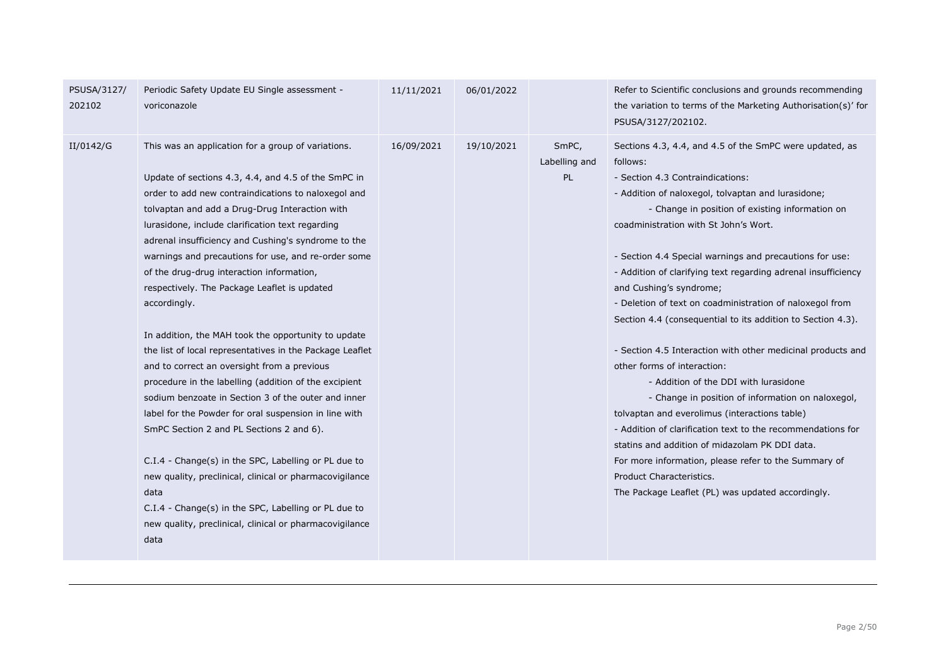| PSUSA/3127/<br>202102 | Periodic Safety Update EU Single assessment -<br>voriconazole                                                                                                                                                                                                                                                                                                                                                                                                                                                                                                                                                                                                                                                                                                                                                                                                                                                                                                                                                                                                                                                                                  | 11/11/2021 | 06/01/2022 |                               | Refer to Scientific conclusions and grounds recommending<br>the variation to terms of the Marketing Authorisation(s)' for<br>PSUSA/3127/202102.                                                                                                                                                                                                                                                                                                                                                                                                                                                                                                                                                                                                                                                                                                                                                                                                                                                                                                    |
|-----------------------|------------------------------------------------------------------------------------------------------------------------------------------------------------------------------------------------------------------------------------------------------------------------------------------------------------------------------------------------------------------------------------------------------------------------------------------------------------------------------------------------------------------------------------------------------------------------------------------------------------------------------------------------------------------------------------------------------------------------------------------------------------------------------------------------------------------------------------------------------------------------------------------------------------------------------------------------------------------------------------------------------------------------------------------------------------------------------------------------------------------------------------------------|------------|------------|-------------------------------|----------------------------------------------------------------------------------------------------------------------------------------------------------------------------------------------------------------------------------------------------------------------------------------------------------------------------------------------------------------------------------------------------------------------------------------------------------------------------------------------------------------------------------------------------------------------------------------------------------------------------------------------------------------------------------------------------------------------------------------------------------------------------------------------------------------------------------------------------------------------------------------------------------------------------------------------------------------------------------------------------------------------------------------------------|
| II/0142/G             | This was an application for a group of variations.<br>Update of sections 4.3, 4.4, and 4.5 of the SmPC in<br>order to add new contraindications to naloxegol and<br>tolvaptan and add a Drug-Drug Interaction with<br>lurasidone, include clarification text regarding<br>adrenal insufficiency and Cushing's syndrome to the<br>warnings and precautions for use, and re-order some<br>of the drug-drug interaction information,<br>respectively. The Package Leaflet is updated<br>accordingly.<br>In addition, the MAH took the opportunity to update<br>the list of local representatives in the Package Leaflet<br>and to correct an oversight from a previous<br>procedure in the labelling (addition of the excipient<br>sodium benzoate in Section 3 of the outer and inner<br>label for the Powder for oral suspension in line with<br>SmPC Section 2 and PL Sections 2 and 6).<br>C.I.4 - Change(s) in the SPC, Labelling or PL due to<br>new quality, preclinical, clinical or pharmacovigilance<br>data<br>C.I.4 - Change(s) in the SPC, Labelling or PL due to<br>new quality, preclinical, clinical or pharmacovigilance<br>data | 16/09/2021 | 19/10/2021 | SmPC,<br>Labelling and<br>PL. | Sections 4.3, 4.4, and 4.5 of the SmPC were updated, as<br>follows:<br>- Section 4.3 Contraindications:<br>- Addition of naloxegol, tolvaptan and lurasidone;<br>- Change in position of existing information on<br>coadministration with St John's Wort.<br>- Section 4.4 Special warnings and precautions for use:<br>- Addition of clarifying text regarding adrenal insufficiency<br>and Cushing's syndrome;<br>- Deletion of text on coadministration of naloxegol from<br>Section 4.4 (consequential to its addition to Section 4.3).<br>- Section 4.5 Interaction with other medicinal products and<br>other forms of interaction:<br>- Addition of the DDI with lurasidone<br>- Change in position of information on naloxegol,<br>tolvaptan and everolimus (interactions table)<br>- Addition of clarification text to the recommendations for<br>statins and addition of midazolam PK DDI data.<br>For more information, please refer to the Summary of<br>Product Characteristics.<br>The Package Leaflet (PL) was updated accordingly. |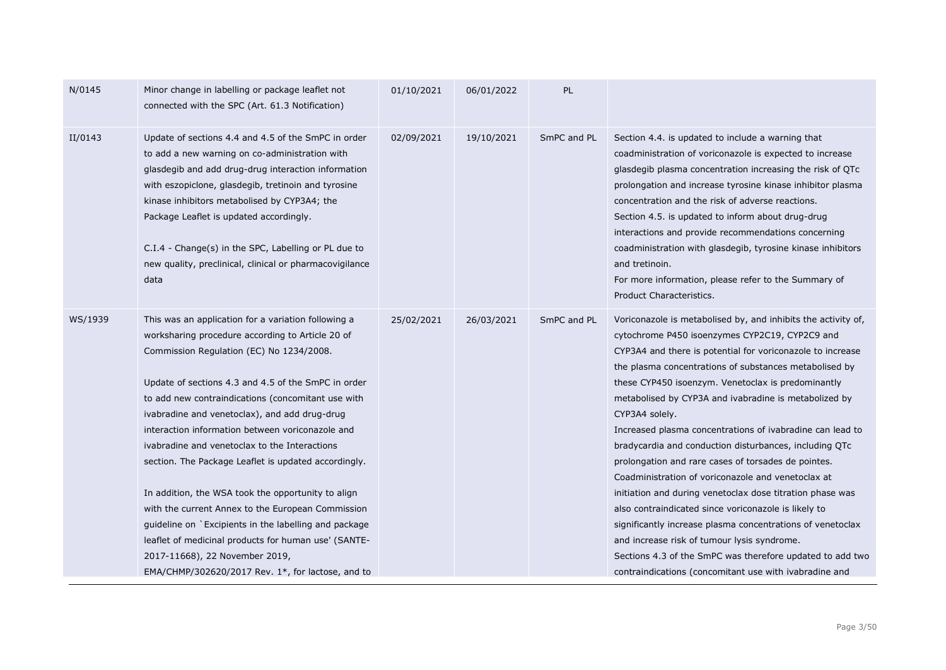| N/0145  | Minor change in labelling or package leaflet not<br>connected with the SPC (Art. 61.3 Notification)                                                                                                                                                                                                                                                                                                                                                                                                                                                                                                                                                                                                                                                                                                   | 01/10/2021 | 06/01/2022 | <b>PL</b>   |                                                                                                                                                                                                                                                                                                                                                                                                                                                                                                                                                                                                                                                                                                                                                                                                                                                                                                                                                                       |
|---------|-------------------------------------------------------------------------------------------------------------------------------------------------------------------------------------------------------------------------------------------------------------------------------------------------------------------------------------------------------------------------------------------------------------------------------------------------------------------------------------------------------------------------------------------------------------------------------------------------------------------------------------------------------------------------------------------------------------------------------------------------------------------------------------------------------|------------|------------|-------------|-----------------------------------------------------------------------------------------------------------------------------------------------------------------------------------------------------------------------------------------------------------------------------------------------------------------------------------------------------------------------------------------------------------------------------------------------------------------------------------------------------------------------------------------------------------------------------------------------------------------------------------------------------------------------------------------------------------------------------------------------------------------------------------------------------------------------------------------------------------------------------------------------------------------------------------------------------------------------|
| II/0143 | Update of sections 4.4 and 4.5 of the SmPC in order<br>to add a new warning on co-administration with<br>glasdegib and add drug-drug interaction information<br>with eszopiclone, glasdegib, tretinoin and tyrosine<br>kinase inhibitors metabolised by CYP3A4; the<br>Package Leaflet is updated accordingly.<br>C.I.4 - Change(s) in the SPC, Labelling or PL due to<br>new quality, preclinical, clinical or pharmacovigilance<br>data                                                                                                                                                                                                                                                                                                                                                             | 02/09/2021 | 19/10/2021 | SmPC and PL | Section 4.4. is updated to include a warning that<br>coadministration of voriconazole is expected to increase<br>glasdegib plasma concentration increasing the risk of QTc<br>prolongation and increase tyrosine kinase inhibitor plasma<br>concentration and the risk of adverse reactions.<br>Section 4.5. is updated to inform about drug-drug<br>interactions and provide recommendations concerning<br>coadministration with glasdegib, tyrosine kinase inhibitors<br>and tretinoin.<br>For more information, please refer to the Summary of<br>Product Characteristics.                                                                                                                                                                                                                                                                                                                                                                                         |
| WS/1939 | This was an application for a variation following a<br>worksharing procedure according to Article 20 of<br>Commission Regulation (EC) No 1234/2008.<br>Update of sections 4.3 and 4.5 of the SmPC in order<br>to add new contraindications (concomitant use with<br>ivabradine and venetoclax), and add drug-drug<br>interaction information between voriconazole and<br>ivabradine and venetoclax to the Interactions<br>section. The Package Leaflet is updated accordingly.<br>In addition, the WSA took the opportunity to align<br>with the current Annex to the European Commission<br>quideline on `Excipients in the labelling and package<br>leaflet of medicinal products for human use' (SANTE-<br>2017-11668), 22 November 2019,<br>EMA/CHMP/302620/2017 Rev. $1^*$ , for lactose, and to | 25/02/2021 | 26/03/2021 | SmPC and PL | Voriconazole is metabolised by, and inhibits the activity of,<br>cytochrome P450 isoenzymes CYP2C19, CYP2C9 and<br>CYP3A4 and there is potential for voriconazole to increase<br>the plasma concentrations of substances metabolised by<br>these CYP450 isoenzym. Venetoclax is predominantly<br>metabolised by CYP3A and ivabradine is metabolized by<br>CYP3A4 solely.<br>Increased plasma concentrations of ivabradine can lead to<br>bradycardia and conduction disturbances, including QTc<br>prolongation and rare cases of torsades de pointes.<br>Coadministration of voriconazole and venetoclax at<br>initiation and during venetoclax dose titration phase was<br>also contraindicated since voriconazole is likely to<br>significantly increase plasma concentrations of venetoclax<br>and increase risk of tumour lysis syndrome.<br>Sections 4.3 of the SmPC was therefore updated to add two<br>contraindications (concomitant use with ivabradine and |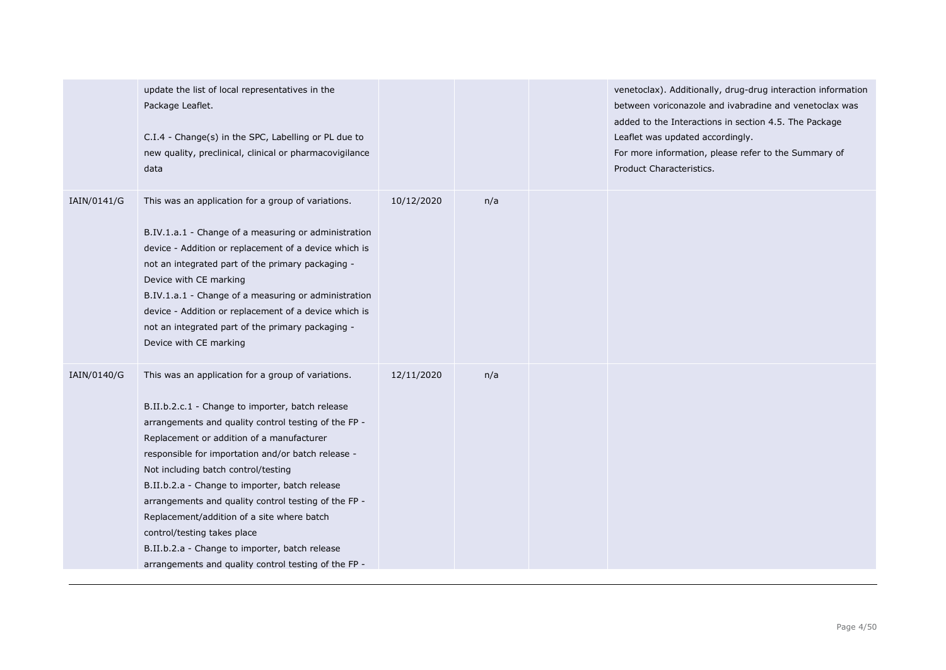|             | update the list of local representatives in the<br>Package Leaflet.<br>C.I.4 - Change(s) in the SPC, Labelling or PL due to<br>new quality, preclinical, clinical or pharmacovigilance<br>data                                                                                                                                                                                                                                                                                                                                                                                                            |            |     | venetoclax). Additionally, drug-drug interaction information<br>between voriconazole and ivabradine and venetoclax was<br>added to the Interactions in section 4.5. The Package<br>Leaflet was updated accordingly.<br>For more information, please refer to the Summary of<br>Product Characteristics. |
|-------------|-----------------------------------------------------------------------------------------------------------------------------------------------------------------------------------------------------------------------------------------------------------------------------------------------------------------------------------------------------------------------------------------------------------------------------------------------------------------------------------------------------------------------------------------------------------------------------------------------------------|------------|-----|---------------------------------------------------------------------------------------------------------------------------------------------------------------------------------------------------------------------------------------------------------------------------------------------------------|
| IAIN/0141/G | This was an application for a group of variations.<br>B.IV.1.a.1 - Change of a measuring or administration<br>device - Addition or replacement of a device which is<br>not an integrated part of the primary packaging -<br>Device with CE marking<br>B.IV.1.a.1 - Change of a measuring or administration<br>device - Addition or replacement of a device which is<br>not an integrated part of the primary packaging -<br>Device with CE marking                                                                                                                                                        | 10/12/2020 | n/a |                                                                                                                                                                                                                                                                                                         |
| IAIN/0140/G | This was an application for a group of variations.<br>B.II.b.2.c.1 - Change to importer, batch release<br>arrangements and quality control testing of the FP -<br>Replacement or addition of a manufacturer<br>responsible for importation and/or batch release -<br>Not including batch control/testing<br>B.II.b.2.a - Change to importer, batch release<br>arrangements and quality control testing of the FP -<br>Replacement/addition of a site where batch<br>control/testing takes place<br>B.II.b.2.a - Change to importer, batch release<br>arrangements and quality control testing of the FP - | 12/11/2020 | n/a |                                                                                                                                                                                                                                                                                                         |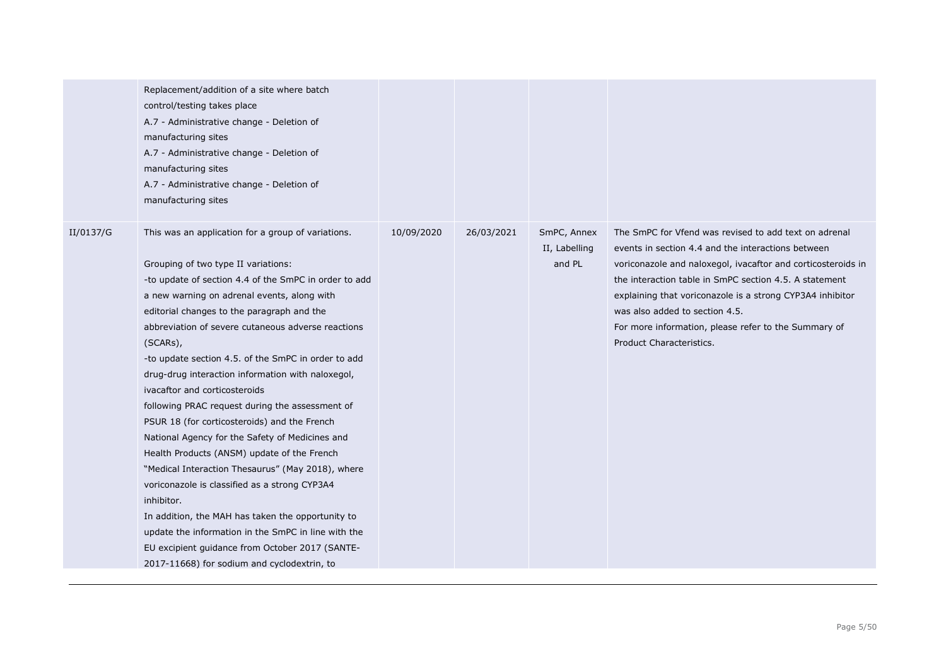|           | Replacement/addition of a site where batch<br>control/testing takes place<br>A.7 - Administrative change - Deletion of<br>manufacturing sites<br>A.7 - Administrative change - Deletion of<br>manufacturing sites<br>A.7 - Administrative change - Deletion of<br>manufacturing sites                                                                                                                                                                                                                                                                                                                                                                                                                                                                                                                                                                                                                                                                                                                 |            |            |                                        |                                                                                                                                                                                                                                                                                                                                                                                                                          |
|-----------|-------------------------------------------------------------------------------------------------------------------------------------------------------------------------------------------------------------------------------------------------------------------------------------------------------------------------------------------------------------------------------------------------------------------------------------------------------------------------------------------------------------------------------------------------------------------------------------------------------------------------------------------------------------------------------------------------------------------------------------------------------------------------------------------------------------------------------------------------------------------------------------------------------------------------------------------------------------------------------------------------------|------------|------------|----------------------------------------|--------------------------------------------------------------------------------------------------------------------------------------------------------------------------------------------------------------------------------------------------------------------------------------------------------------------------------------------------------------------------------------------------------------------------|
| II/0137/G | This was an application for a group of variations.<br>Grouping of two type II variations:<br>-to update of section 4.4 of the SmPC in order to add<br>a new warning on adrenal events, along with<br>editorial changes to the paragraph and the<br>abbreviation of severe cutaneous adverse reactions<br>(SCARs),<br>-to update section 4.5. of the SmPC in order to add<br>drug-drug interaction information with naloxegol,<br>ivacaftor and corticosteroids<br>following PRAC request during the assessment of<br>PSUR 18 (for corticosteroids) and the French<br>National Agency for the Safety of Medicines and<br>Health Products (ANSM) update of the French<br>"Medical Interaction Thesaurus" (May 2018), where<br>voriconazole is classified as a strong CYP3A4<br>inhibitor.<br>In addition, the MAH has taken the opportunity to<br>update the information in the SmPC in line with the<br>EU excipient guidance from October 2017 (SANTE-<br>2017-11668) for sodium and cyclodextrin, to | 10/09/2020 | 26/03/2021 | SmPC, Annex<br>II, Labelling<br>and PL | The SmPC for Vfend was revised to add text on adrenal<br>events in section 4.4 and the interactions between<br>voriconazole and naloxegol, ivacaftor and corticosteroids in<br>the interaction table in SmPC section 4.5. A statement<br>explaining that voriconazole is a strong CYP3A4 inhibitor<br>was also added to section 4.5.<br>For more information, please refer to the Summary of<br>Product Characteristics. |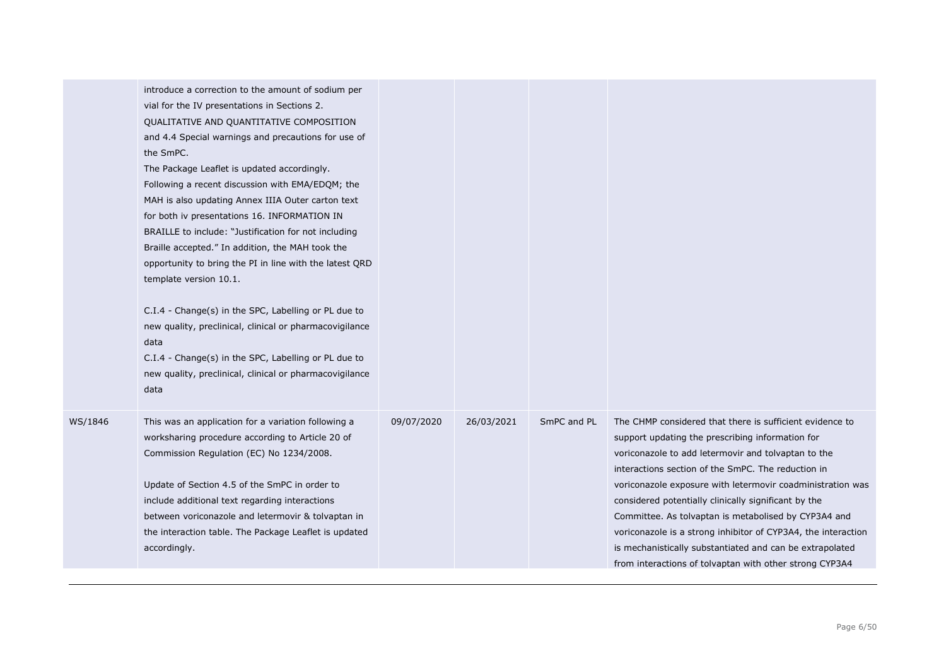|         | introduce a correction to the amount of sodium per<br>vial for the IV presentations in Sections 2.<br>QUALITATIVE AND QUANTITATIVE COMPOSITION<br>and 4.4 Special warnings and precautions for use of<br>the SmPC.<br>The Package Leaflet is updated accordingly.<br>Following a recent discussion with EMA/EDQM; the<br>MAH is also updating Annex IIIA Outer carton text<br>for both iv presentations 16. INFORMATION IN<br>BRAILLE to include: "Justification for not including<br>Braille accepted." In addition, the MAH took the<br>opportunity to bring the PI in line with the latest QRD<br>template version 10.1.<br>C.I.4 - Change(s) in the SPC, Labelling or PL due to<br>new quality, preclinical, clinical or pharmacovigilance<br>data<br>C.I.4 - Change(s) in the SPC, Labelling or PL due to<br>new quality, preclinical, clinical or pharmacovigilance<br>data |            |            |             |                                                                                                                                                                                                                                                                                                                                                                                                                                                                                                                                                                                                 |
|---------|-----------------------------------------------------------------------------------------------------------------------------------------------------------------------------------------------------------------------------------------------------------------------------------------------------------------------------------------------------------------------------------------------------------------------------------------------------------------------------------------------------------------------------------------------------------------------------------------------------------------------------------------------------------------------------------------------------------------------------------------------------------------------------------------------------------------------------------------------------------------------------------|------------|------------|-------------|-------------------------------------------------------------------------------------------------------------------------------------------------------------------------------------------------------------------------------------------------------------------------------------------------------------------------------------------------------------------------------------------------------------------------------------------------------------------------------------------------------------------------------------------------------------------------------------------------|
| WS/1846 | This was an application for a variation following a<br>worksharing procedure according to Article 20 of<br>Commission Regulation (EC) No 1234/2008.<br>Update of Section 4.5 of the SmPC in order to<br>include additional text regarding interactions<br>between voriconazole and letermovir & tolvaptan in<br>the interaction table. The Package Leaflet is updated<br>accordingly.                                                                                                                                                                                                                                                                                                                                                                                                                                                                                             | 09/07/2020 | 26/03/2021 | SmPC and PL | The CHMP considered that there is sufficient evidence to<br>support updating the prescribing information for<br>voriconazole to add letermovir and tolvaptan to the<br>interactions section of the SmPC. The reduction in<br>voriconazole exposure with letermovir coadministration was<br>considered potentially clinically significant by the<br>Committee. As tolvaptan is metabolised by CYP3A4 and<br>voriconazole is a strong inhibitor of CYP3A4, the interaction<br>is mechanistically substantiated and can be extrapolated<br>from interactions of tolvaptan with other strong CYP3A4 |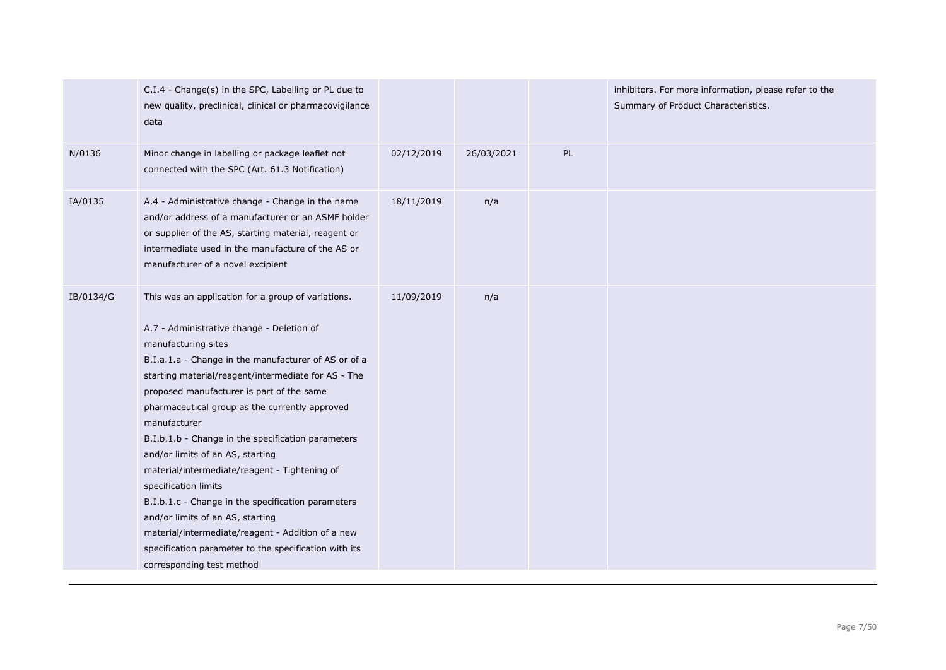|           | C.I.4 - Change(s) in the SPC, Labelling or PL due to<br>new quality, preclinical, clinical or pharmacovigilance<br>data                                                                                                                                                                                                                                                                                                                                                                                                                                                                                                                                                                                                                                      |            |            |    | inhibitors. For more information, please refer to the<br>Summary of Product Characteristics. |
|-----------|--------------------------------------------------------------------------------------------------------------------------------------------------------------------------------------------------------------------------------------------------------------------------------------------------------------------------------------------------------------------------------------------------------------------------------------------------------------------------------------------------------------------------------------------------------------------------------------------------------------------------------------------------------------------------------------------------------------------------------------------------------------|------------|------------|----|----------------------------------------------------------------------------------------------|
| N/0136    | Minor change in labelling or package leaflet not<br>connected with the SPC (Art. 61.3 Notification)                                                                                                                                                                                                                                                                                                                                                                                                                                                                                                                                                                                                                                                          | 02/12/2019 | 26/03/2021 | PL |                                                                                              |
| IA/0135   | A.4 - Administrative change - Change in the name<br>and/or address of a manufacturer or an ASMF holder<br>or supplier of the AS, starting material, reagent or<br>intermediate used in the manufacture of the AS or<br>manufacturer of a novel excipient                                                                                                                                                                                                                                                                                                                                                                                                                                                                                                     | 18/11/2019 | n/a        |    |                                                                                              |
| IB/0134/G | This was an application for a group of variations.<br>A.7 - Administrative change - Deletion of<br>manufacturing sites<br>B.I.a.1.a - Change in the manufacturer of AS or of a<br>starting material/reagent/intermediate for AS - The<br>proposed manufacturer is part of the same<br>pharmaceutical group as the currently approved<br>manufacturer<br>B.I.b.1.b - Change in the specification parameters<br>and/or limits of an AS, starting<br>material/intermediate/reagent - Tightening of<br>specification limits<br>B.I.b.1.c - Change in the specification parameters<br>and/or limits of an AS, starting<br>material/intermediate/reagent - Addition of a new<br>specification parameter to the specification with its<br>corresponding test method | 11/09/2019 | n/a        |    |                                                                                              |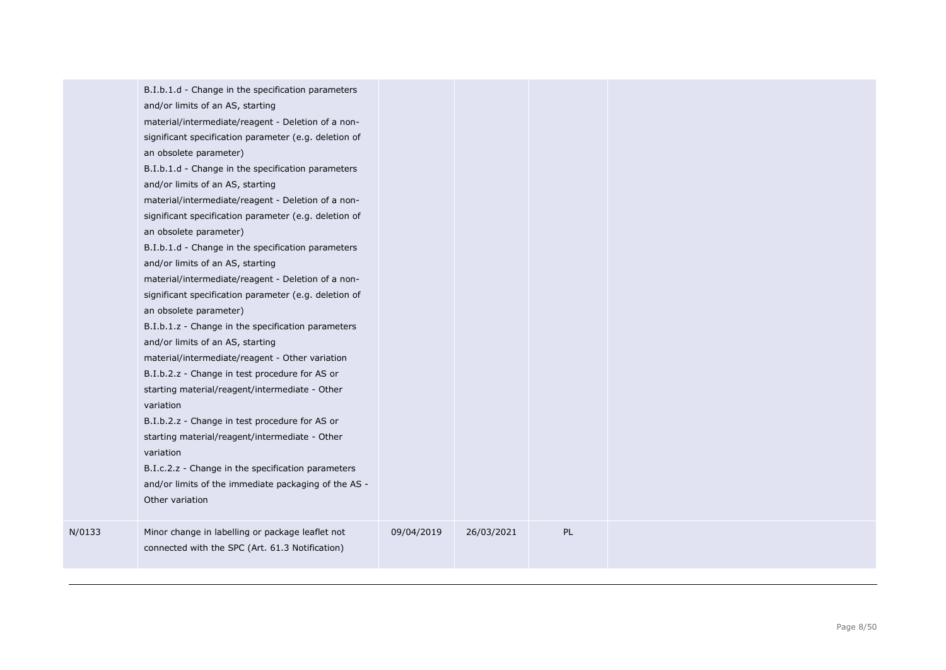| PL<br>Minor change in labelling or package leaflet not<br>09/04/2019<br>26/03/2021<br>N/0133<br>connected with the SPC (Art. 61.3 Notification) | B.I.b.1.d - Change in the specification parameters<br>and/or limits of an AS, starting<br>material/intermediate/reagent - Deletion of a non-<br>significant specification parameter (e.g. deletion of<br>an obsolete parameter)<br>B.I.b.1.d - Change in the specification parameters<br>and/or limits of an AS, starting<br>material/intermediate/reagent - Deletion of a non-<br>significant specification parameter (e.g. deletion of<br>an obsolete parameter)<br>B.I.b.1.d - Change in the specification parameters<br>and/or limits of an AS, starting<br>material/intermediate/reagent - Deletion of a non-<br>significant specification parameter (e.g. deletion of<br>an obsolete parameter)<br>B.I.b.1.z - Change in the specification parameters<br>and/or limits of an AS, starting<br>material/intermediate/reagent - Other variation<br>B.I.b.2.z - Change in test procedure for AS or<br>starting material/reagent/intermediate - Other<br>variation<br>B.I.b.2.z - Change in test procedure for AS or<br>starting material/reagent/intermediate - Other<br>variation<br>B.I.c.2.z - Change in the specification parameters<br>and/or limits of the immediate packaging of the AS -<br>Other variation |  |  |  |
|-------------------------------------------------------------------------------------------------------------------------------------------------|-----------------------------------------------------------------------------------------------------------------------------------------------------------------------------------------------------------------------------------------------------------------------------------------------------------------------------------------------------------------------------------------------------------------------------------------------------------------------------------------------------------------------------------------------------------------------------------------------------------------------------------------------------------------------------------------------------------------------------------------------------------------------------------------------------------------------------------------------------------------------------------------------------------------------------------------------------------------------------------------------------------------------------------------------------------------------------------------------------------------------------------------------------------------------------------------------------------------------|--|--|--|
|                                                                                                                                                 |                                                                                                                                                                                                                                                                                                                                                                                                                                                                                                                                                                                                                                                                                                                                                                                                                                                                                                                                                                                                                                                                                                                                                                                                                       |  |  |  |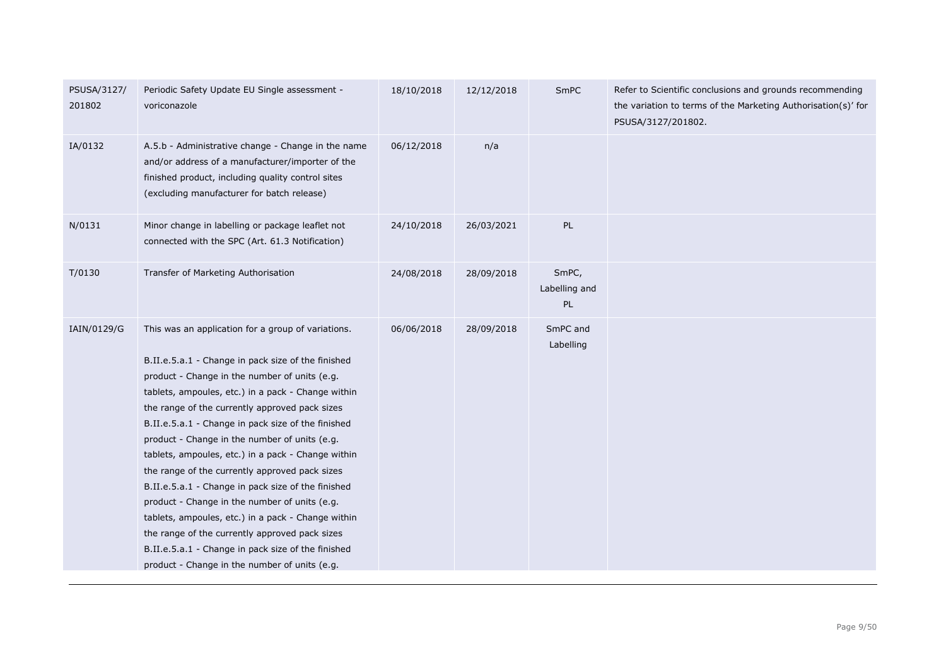| PSUSA/3127/<br>201802 | Periodic Safety Update EU Single assessment -<br>voriconazole                                                                                                                                                                                                                                                                                                                                                                                                                                                                                                                                                                                                                                                                                                                                          | 18/10/2018 | 12/12/2018 | SmPC                         | Refer to Scientific conclusions and grounds recommending<br>the variation to terms of the Marketing Authorisation(s)' for<br>PSUSA/3127/201802. |
|-----------------------|--------------------------------------------------------------------------------------------------------------------------------------------------------------------------------------------------------------------------------------------------------------------------------------------------------------------------------------------------------------------------------------------------------------------------------------------------------------------------------------------------------------------------------------------------------------------------------------------------------------------------------------------------------------------------------------------------------------------------------------------------------------------------------------------------------|------------|------------|------------------------------|-------------------------------------------------------------------------------------------------------------------------------------------------|
| IA/0132               | A.5.b - Administrative change - Change in the name<br>and/or address of a manufacturer/importer of the<br>finished product, including quality control sites<br>(excluding manufacturer for batch release)                                                                                                                                                                                                                                                                                                                                                                                                                                                                                                                                                                                              | 06/12/2018 | n/a        |                              |                                                                                                                                                 |
| N/0131                | Minor change in labelling or package leaflet not<br>connected with the SPC (Art. 61.3 Notification)                                                                                                                                                                                                                                                                                                                                                                                                                                                                                                                                                                                                                                                                                                    | 24/10/2018 | 26/03/2021 | PL                           |                                                                                                                                                 |
| T/0130                | Transfer of Marketing Authorisation                                                                                                                                                                                                                                                                                                                                                                                                                                                                                                                                                                                                                                                                                                                                                                    | 24/08/2018 | 28/09/2018 | SmPC,<br>Labelling and<br>PL |                                                                                                                                                 |
| IAIN/0129/G           | This was an application for a group of variations.<br>B.II.e.5.a.1 - Change in pack size of the finished<br>product - Change in the number of units (e.g.<br>tablets, ampoules, etc.) in a pack - Change within<br>the range of the currently approved pack sizes<br>B.II.e.5.a.1 - Change in pack size of the finished<br>product - Change in the number of units (e.g.<br>tablets, ampoules, etc.) in a pack - Change within<br>the range of the currently approved pack sizes<br>B.II.e.5.a.1 - Change in pack size of the finished<br>product - Change in the number of units (e.g.<br>tablets, ampoules, etc.) in a pack - Change within<br>the range of the currently approved pack sizes<br>B.II.e.5.a.1 - Change in pack size of the finished<br>product - Change in the number of units (e.g. | 06/06/2018 | 28/09/2018 | SmPC and<br>Labelling        |                                                                                                                                                 |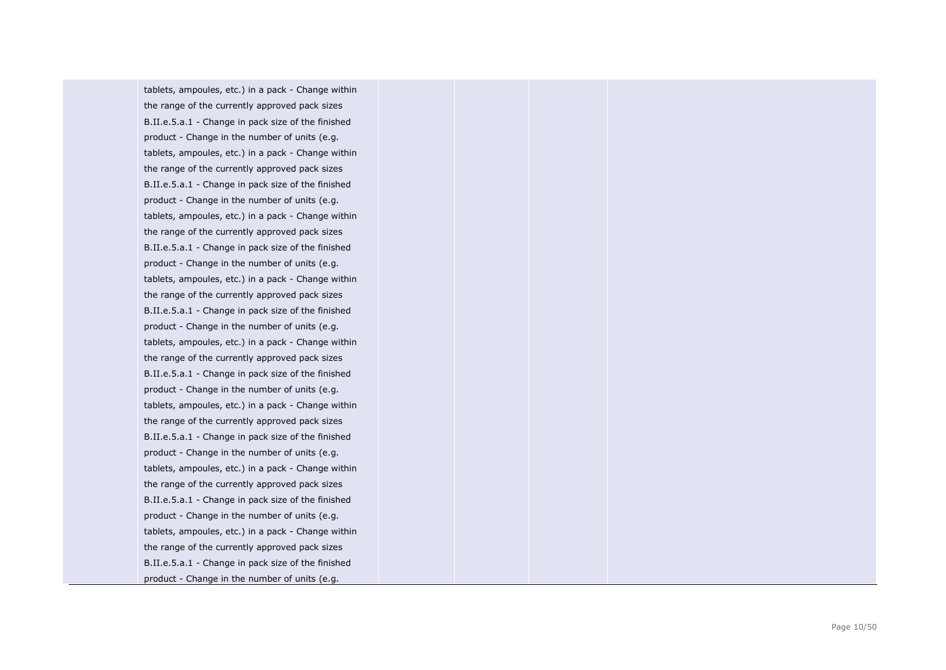tablets, ampoules, etc.) in a pack - Change within the range of the currently approved pack sizes B.II.e.5.a.1 - Change in pack size of the finished product - Change in the number of units (e.g. tablets, ampoules, etc.) in a pack - Change within the range of the currently approved pack sizes B.II.e.5.a.1 - Change in pack size of the finished product - Change in the number of units (e.g. tablets, ampoules, etc.) in a pack - Change within the range of the currently approved pack sizes B.II.e.5.a.1 - Change in pack size of the finished product - Change in the number of units (e.g. tablets, ampoules, etc.) in a pack - Change within the range of the currently approved pack sizes B.II.e.5.a.1 - Change in pack size of the finished product - Change in the number of units (e.g. tablets, ampoules, etc.) in a pack - Change within the range of the currently approved pack sizes B.II.e.5.a.1 - Change in pack size of the finished product - Change in the number of units (e.g. tablets, ampoules, etc.) in a pack - Change within the range of the currently approved pack sizes B.II.e.5.a.1 - Change in pack size of the finished product - Change in the number of units (e.g. tablets, ampoules, etc.) in a pack - Change within the range of the currently approved pack sizes B.II.e.5.a.1 - Change in pack size of the finished product - Change in the number of units (e.g. tablets, ampoules, etc.) in a pack - Change within the range of the currently approved pack sizes B.II.e.5.a.1 - Change in pack size of the finished product - Change in the number of units (e.g.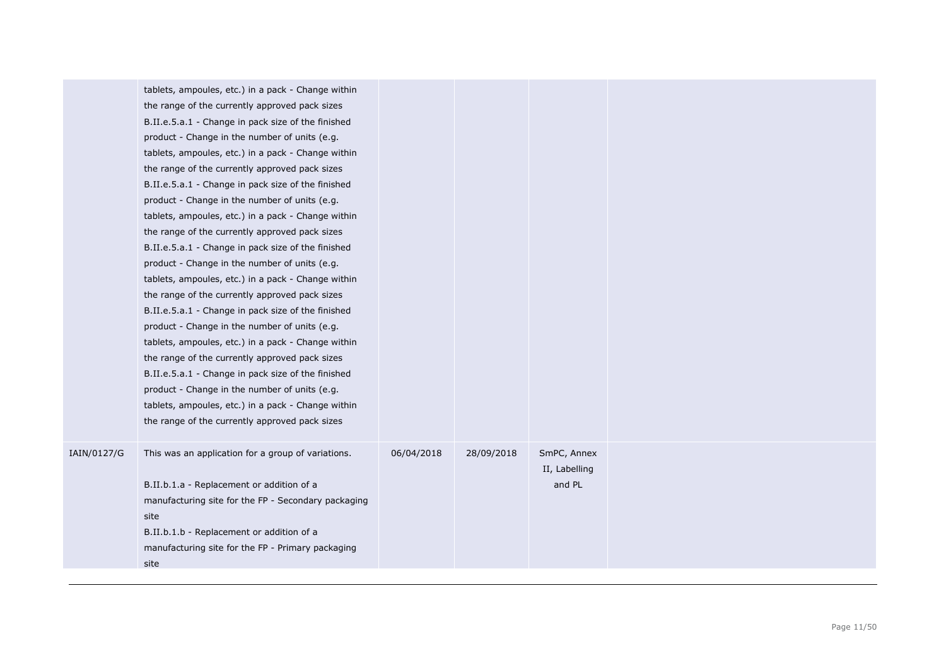|             | tablets, ampoules, etc.) in a pack - Change within<br>the range of the currently approved pack sizes<br>B.II.e.5.a.1 - Change in pack size of the finished<br>product - Change in the number of units (e.g.<br>tablets, ampoules, etc.) in a pack - Change within<br>the range of the currently approved pack sizes<br>B.II.e.5.a.1 - Change in pack size of the finished<br>product - Change in the number of units (e.g.<br>tablets, ampoules, etc.) in a pack - Change within<br>the range of the currently approved pack sizes<br>B.II.e.5.a.1 - Change in pack size of the finished<br>product - Change in the number of units (e.g.<br>tablets, ampoules, etc.) in a pack - Change within<br>the range of the currently approved pack sizes<br>B.II.e.5.a.1 - Change in pack size of the finished<br>product - Change in the number of units (e.g.<br>tablets, ampoules, etc.) in a pack - Change within<br>the range of the currently approved pack sizes<br>B.II.e.5.a.1 - Change in pack size of the finished<br>product - Change in the number of units (e.g.<br>tablets, ampoules, etc.) in a pack - Change within<br>the range of the currently approved pack sizes |            |            |                                        |  |
|-------------|---------------------------------------------------------------------------------------------------------------------------------------------------------------------------------------------------------------------------------------------------------------------------------------------------------------------------------------------------------------------------------------------------------------------------------------------------------------------------------------------------------------------------------------------------------------------------------------------------------------------------------------------------------------------------------------------------------------------------------------------------------------------------------------------------------------------------------------------------------------------------------------------------------------------------------------------------------------------------------------------------------------------------------------------------------------------------------------------------------------------------------------------------------------------------------|------------|------------|----------------------------------------|--|
| IAIN/0127/G | This was an application for a group of variations.<br>B.II.b.1.a - Replacement or addition of a<br>manufacturing site for the FP - Secondary packaging<br>site<br>B.II.b.1.b - Replacement or addition of a<br>manufacturing site for the FP - Primary packaging<br>site                                                                                                                                                                                                                                                                                                                                                                                                                                                                                                                                                                                                                                                                                                                                                                                                                                                                                                        | 06/04/2018 | 28/09/2018 | SmPC, Annex<br>II, Labelling<br>and PL |  |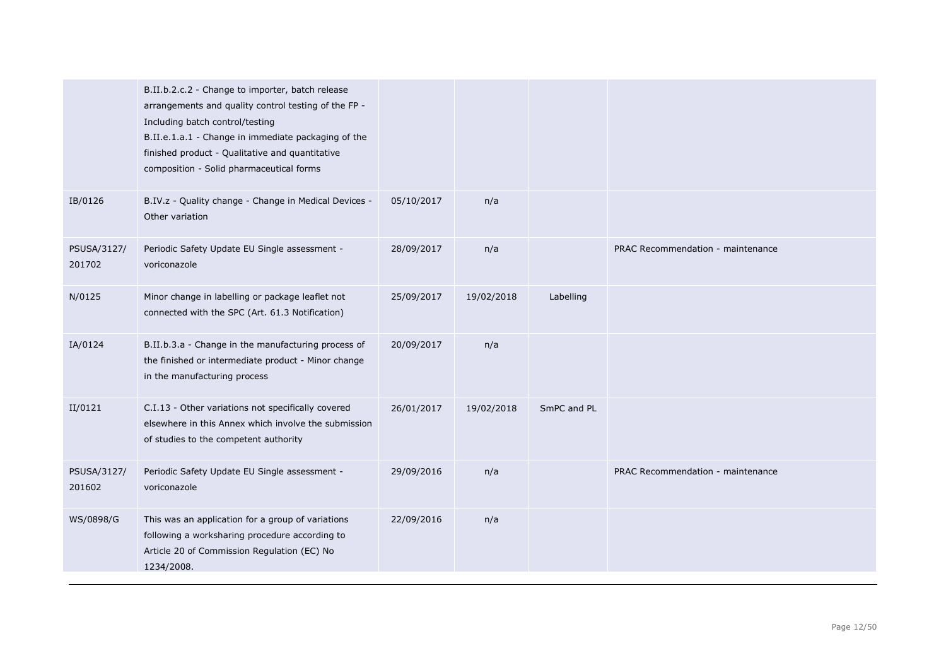|                       | B.II.b.2.c.2 - Change to importer, batch release<br>arrangements and quality control testing of the FP -<br>Including batch control/testing<br>B.II.e.1.a.1 - Change in immediate packaging of the<br>finished product - Qualitative and quantitative<br>composition - Solid pharmaceutical forms |            |            |             |                                   |
|-----------------------|---------------------------------------------------------------------------------------------------------------------------------------------------------------------------------------------------------------------------------------------------------------------------------------------------|------------|------------|-------------|-----------------------------------|
| IB/0126               | B.IV.z - Quality change - Change in Medical Devices -<br>Other variation                                                                                                                                                                                                                          | 05/10/2017 | n/a        |             |                                   |
| PSUSA/3127/<br>201702 | Periodic Safety Update EU Single assessment -<br>voriconazole                                                                                                                                                                                                                                     | 28/09/2017 | n/a        |             | PRAC Recommendation - maintenance |
| N/0125                | Minor change in labelling or package leaflet not<br>connected with the SPC (Art. 61.3 Notification)                                                                                                                                                                                               | 25/09/2017 | 19/02/2018 | Labelling   |                                   |
| IA/0124               | B.II.b.3.a - Change in the manufacturing process of<br>the finished or intermediate product - Minor change<br>in the manufacturing process                                                                                                                                                        | 20/09/2017 | n/a        |             |                                   |
| II/0121               | C.I.13 - Other variations not specifically covered<br>elsewhere in this Annex which involve the submission<br>of studies to the competent authority                                                                                                                                               | 26/01/2017 | 19/02/2018 | SmPC and PL |                                   |
| PSUSA/3127/<br>201602 | Periodic Safety Update EU Single assessment -<br>voriconazole                                                                                                                                                                                                                                     | 29/09/2016 | n/a        |             | PRAC Recommendation - maintenance |
| WS/0898/G             | This was an application for a group of variations<br>following a worksharing procedure according to<br>Article 20 of Commission Regulation (EC) No<br>1234/2008.                                                                                                                                  | 22/09/2016 | n/a        |             |                                   |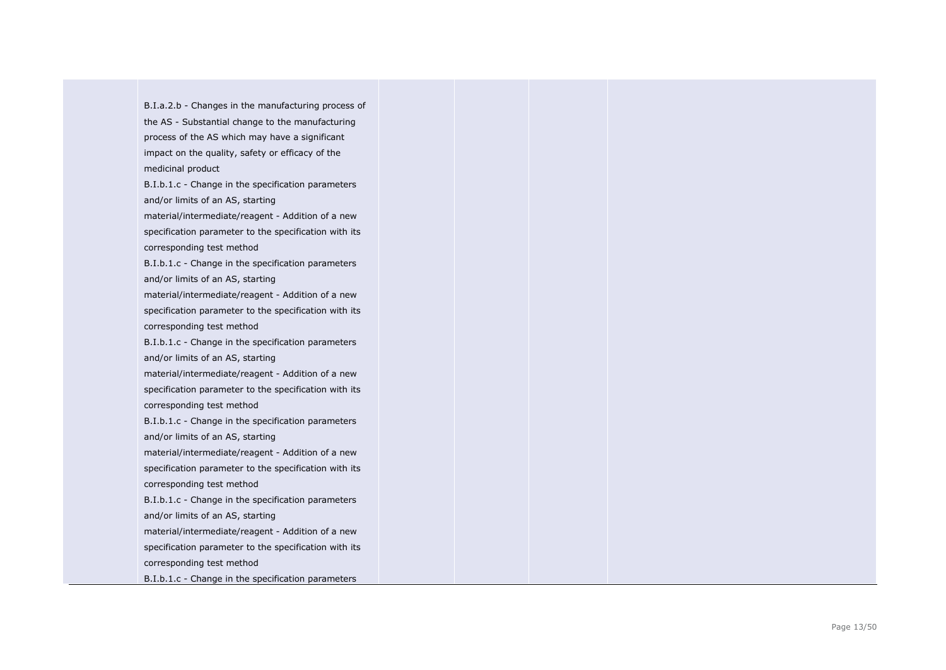B.I.a.2.b - Changes in the manufacturing process of the AS - Substantial change to the manufacturing process of the AS which may have a significant impact on the quality, safety or efficacy of the medicinal product B.I.b.1.c - Change in the specification parameters and/or limits of an AS, starting material/intermediate/reagent - Addition of a new specification parameter to the specification with its corresponding test method B.I.b.1.c - Change in the specification parameters and/or limits of an AS, starting material/intermediate/reagent - Addition of a new specification parameter to the specification with its corresponding test method B.I.b.1.c - Change in the specification parameters and/or limits of an AS, starting material/intermediate/reagent - Addition of a new specification parameter to the specification with its corresponding test method B.I.b.1.c - Change in the specification parameters and/or limits of an AS, starting material/intermediate/reagent - Addition of a new specification parameter to the specification with its corresponding test method B.I.b.1.c - Change in the specification parameters and/or limits of an AS, starting material/intermediate/reagent - Addition of a new specification parameter to the specification with its corresponding test method B.I.b.1.c - Change in the specification parameters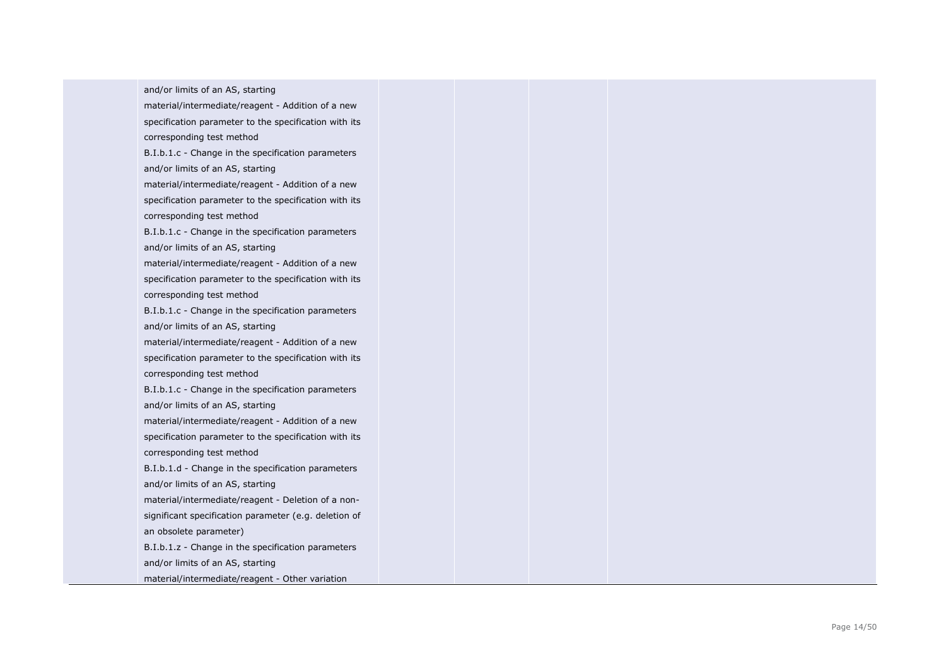and/or limits of an AS, starting material/intermediate/reagent - Addition of a new specification parameter to the specification with its corresponding test method B.I.b.1.c - Change in the specification parameters and/or limits of an AS, starting material/intermediate/reagent - Addition of a new specification parameter to the specification with its corresponding test method B.I.b.1.c - Change in the specification parameters and/or limits of an AS, starting material/intermediate/reagent - Addition of a new specification parameter to the specification with its corresponding test method B.I.b.1.c - Change in the specification parameters and/or limits of an AS, starting material/intermediate/reagent - Addition of a new specification parameter to the specification with its corresponding test method B.I.b.1.c - Change in the specification parameters and/or limits of an AS, starting material/intermediate/reagent - Addition of a new specification parameter to the specification with its corresponding test method B.I.b.1.d - Change in the specification parameters and/or limits of an AS, starting material/intermediate/reagent - Deletion of a non significant specification parameter (e.g. deletion of an obsolete parameter) B.I.b.1.z - Change in the specification parameters and/or limits of an AS, starting material/intermediate/reagent - Other variation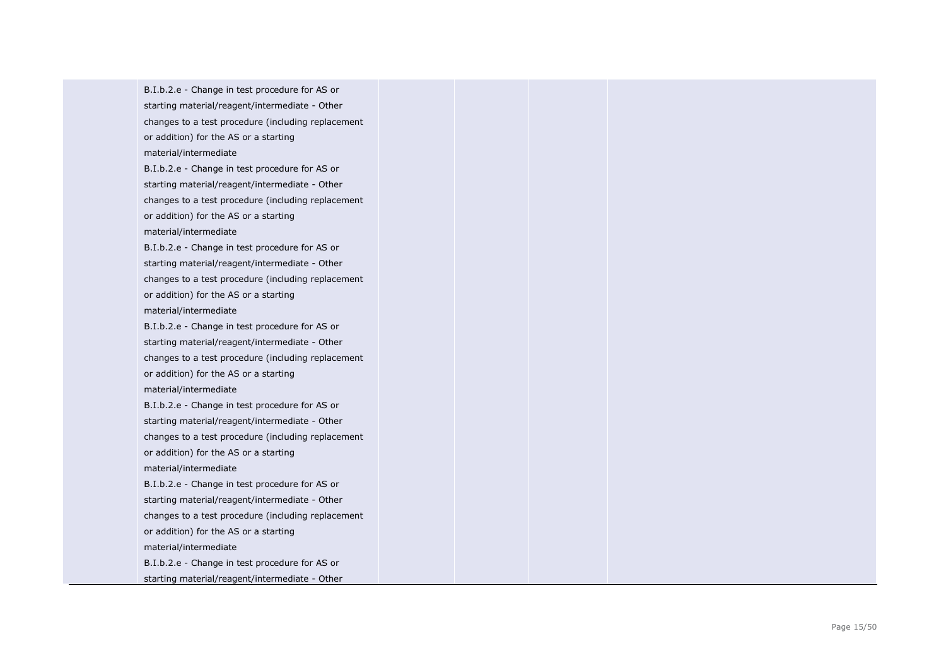B.I.b.2.e - Change in test procedure for AS or starting material/reagent/intermediate - Other changes to a test procedure (including replacement or addition) for the AS or a starting material/intermediate B.I.b.2.e - Change in test procedure for AS or starting material/reagent/intermediate - Other changes to a test procedure (including replacement or addition) for the AS or a starting material/intermediate B.I.b.2.e - Change in test procedure for AS or starting material/reagent/intermediate - Other changes to a test procedure (including replacement or addition) for the AS or a starting material/intermediate B.I.b.2.e - Change in test procedure for AS or starting material/reagent/intermediate - Other changes to a test procedure (including replacement or addition) for the AS or a starting material/intermediate B.I.b.2.e - Change in test procedure for AS or starting material/reagent/intermediate - Other changes to a test procedure (including replacement or addition) for the AS or a starting material/intermediate B.I.b.2.e - Change in test procedure for AS or starting material/reagent/intermediate - Other changes to a test procedure (including replacement or addition) for the AS or a starting material/intermediate B.I.b.2.e - Change in test procedure for AS or starting material/reagent/intermediate - Other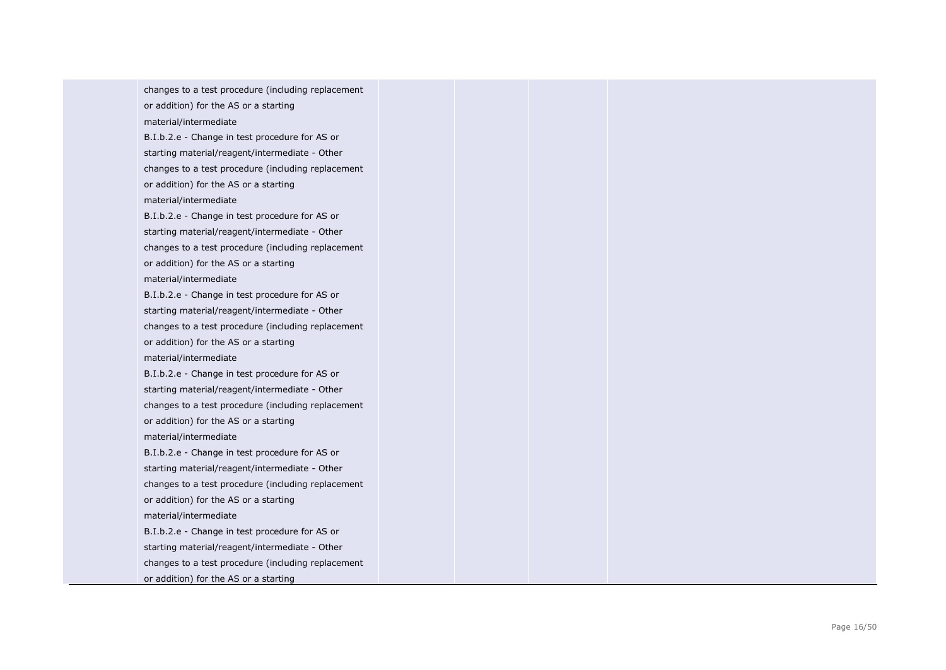changes to a test procedure (including replacement or addition) for the AS or a starting material/intermediate

B.I.b.2.e - Change in test procedure for AS or starting material/reagent/intermediate - Other changes to a test procedure (including replacement or addition) for the AS or a starting material/intermediate

B.I.b.2.e - Change in test procedure for AS or starting material/reagent/intermediate - Other changes to a test procedure (including replacement or addition) for the AS or a starting material/intermediate

B.I.b.2.e - Change in test procedure for AS or starting material/reagent/intermediate - Other changes to a test procedure (including replacement or addition) for the AS or a starting material/intermediate

B.I.b.2.e - Change in test procedure for AS or starting material/reagent/intermediate - Other changes to a test procedure (including replacement or addition) for the AS or a starting material/intermediate

B.I.b.2.e - Change in test procedure for AS or starting material/reagent/intermediate - Other changes to a test procedure (including replacement or addition) for the AS or a starting material/intermediate B.I.b.2.e - Change in test procedure for AS or starting material/reagent/intermediate - Other changes to a test procedure (including replacement

or addition) for the AS or a starting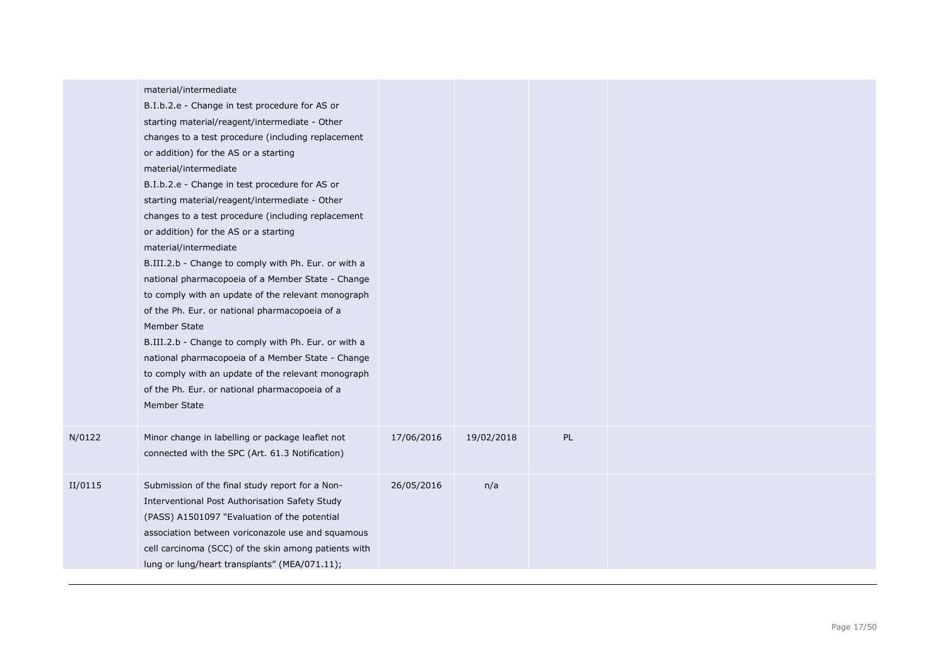|         | material/intermediate<br>B.I.b.2.e - Change in test procedure for AS or<br>starting material/reagent/intermediate - Other<br>changes to a test procedure (including replacement<br>or addition) for the AS or a starting<br>material/intermediate<br>B.I.b.2.e - Change in test procedure for AS or<br>starting material/reagent/intermediate - Other<br>changes to a test procedure (including replacement<br>or addition) for the AS or a starting<br>material/intermediate<br>B.III.2.b - Change to comply with Ph. Eur. or with a<br>national pharmacopoeia of a Member State - Change<br>to comply with an update of the relevant monograph<br>of the Ph. Eur. or national pharmacopoeia of a<br>Member State<br>B.III.2.b - Change to comply with Ph. Eur. or with a<br>national pharmacopoeia of a Member State - Change<br>to comply with an update of the relevant monograph<br>of the Ph. Eur. or national pharmacopoeia of a<br>Member State |            |            |    |  |
|---------|---------------------------------------------------------------------------------------------------------------------------------------------------------------------------------------------------------------------------------------------------------------------------------------------------------------------------------------------------------------------------------------------------------------------------------------------------------------------------------------------------------------------------------------------------------------------------------------------------------------------------------------------------------------------------------------------------------------------------------------------------------------------------------------------------------------------------------------------------------------------------------------------------------------------------------------------------------|------------|------------|----|--|
| N/0122  | Minor change in labelling or package leaflet not<br>connected with the SPC (Art. 61.3 Notification)                                                                                                                                                                                                                                                                                                                                                                                                                                                                                                                                                                                                                                                                                                                                                                                                                                                     | 17/06/2016 | 19/02/2018 | PL |  |
| II/0115 | Submission of the final study report for a Non-<br>Interventional Post Authorisation Safety Study<br>(PASS) A1501097 "Evaluation of the potential<br>association between voriconazole use and squamous<br>cell carcinoma (SCC) of the skin among patients with<br>lung or lung/heart transplants" (MEA/071.11);                                                                                                                                                                                                                                                                                                                                                                                                                                                                                                                                                                                                                                         | 26/05/2016 | n/a        |    |  |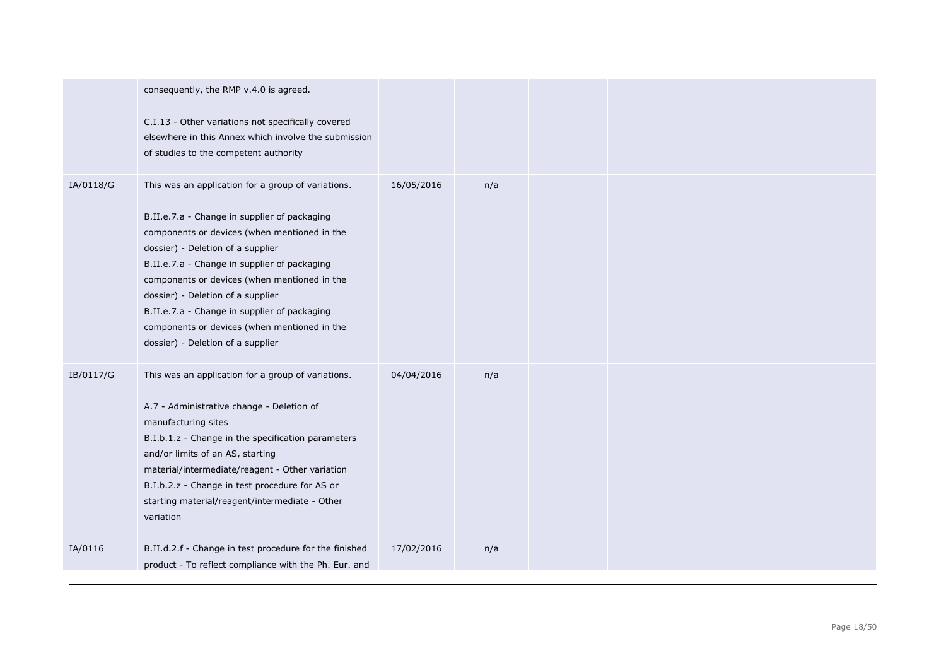|           | consequently, the RMP v.4.0 is agreed.<br>C.I.13 - Other variations not specifically covered<br>elsewhere in this Annex which involve the submission<br>of studies to the competent authority                                                                                                                                                                                                                                                                     |            |     |  |  |
|-----------|-------------------------------------------------------------------------------------------------------------------------------------------------------------------------------------------------------------------------------------------------------------------------------------------------------------------------------------------------------------------------------------------------------------------------------------------------------------------|------------|-----|--|--|
| IA/0118/G | This was an application for a group of variations.<br>B.II.e.7.a - Change in supplier of packaging<br>components or devices (when mentioned in the<br>dossier) - Deletion of a supplier<br>B.II.e.7.a - Change in supplier of packaging<br>components or devices (when mentioned in the<br>dossier) - Deletion of a supplier<br>B.II.e.7.a - Change in supplier of packaging<br>components or devices (when mentioned in the<br>dossier) - Deletion of a supplier | 16/05/2016 | n/a |  |  |
| IB/0117/G | This was an application for a group of variations.<br>A.7 - Administrative change - Deletion of<br>manufacturing sites<br>B.I.b.1.z - Change in the specification parameters<br>and/or limits of an AS, starting<br>material/intermediate/reagent - Other variation<br>B.I.b.2.z - Change in test procedure for AS or<br>starting material/reagent/intermediate - Other<br>variation                                                                              | 04/04/2016 | n/a |  |  |
| IA/0116   | B.II.d.2.f - Change in test procedure for the finished<br>product - To reflect compliance with the Ph. Eur. and                                                                                                                                                                                                                                                                                                                                                   | 17/02/2016 | n/a |  |  |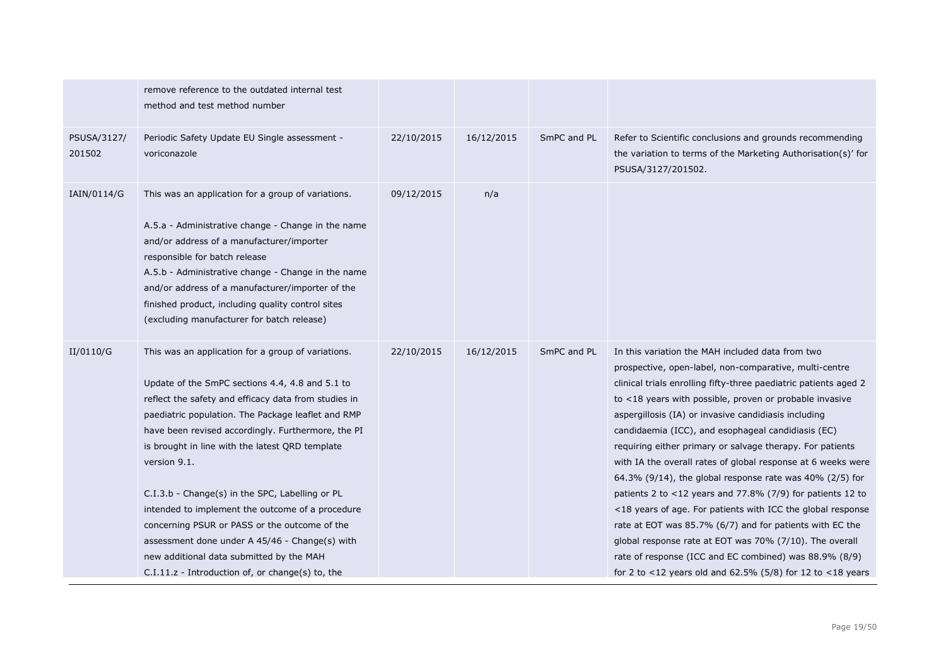|                       | remove reference to the outdated internal test<br>method and test method number                                                                                                                                                                                                                                                                                                                                                                                                                                                                                                                                                                          |            |            |             |                                                                                                                                                                                                                                                                                                                                                                                                                                                                                                                                                                                                                                                                                                                                                                                                                                                                                                                                    |
|-----------------------|----------------------------------------------------------------------------------------------------------------------------------------------------------------------------------------------------------------------------------------------------------------------------------------------------------------------------------------------------------------------------------------------------------------------------------------------------------------------------------------------------------------------------------------------------------------------------------------------------------------------------------------------------------|------------|------------|-------------|------------------------------------------------------------------------------------------------------------------------------------------------------------------------------------------------------------------------------------------------------------------------------------------------------------------------------------------------------------------------------------------------------------------------------------------------------------------------------------------------------------------------------------------------------------------------------------------------------------------------------------------------------------------------------------------------------------------------------------------------------------------------------------------------------------------------------------------------------------------------------------------------------------------------------------|
| PSUSA/3127/<br>201502 | Periodic Safety Update EU Single assessment -<br>voriconazole                                                                                                                                                                                                                                                                                                                                                                                                                                                                                                                                                                                            | 22/10/2015 | 16/12/2015 | SmPC and PL | Refer to Scientific conclusions and grounds recommending<br>the variation to terms of the Marketing Authorisation(s)' for<br>PSUSA/3127/201502.                                                                                                                                                                                                                                                                                                                                                                                                                                                                                                                                                                                                                                                                                                                                                                                    |
| IAIN/0114/G           | This was an application for a group of variations.<br>A.5.a - Administrative change - Change in the name<br>and/or address of a manufacturer/importer<br>responsible for batch release<br>A.5.b - Administrative change - Change in the name<br>and/or address of a manufacturer/importer of the<br>finished product, including quality control sites<br>(excluding manufacturer for batch release)                                                                                                                                                                                                                                                      | 09/12/2015 | n/a        |             |                                                                                                                                                                                                                                                                                                                                                                                                                                                                                                                                                                                                                                                                                                                                                                                                                                                                                                                                    |
| II/0110/G             | This was an application for a group of variations.<br>Update of the SmPC sections 4.4, 4.8 and 5.1 to<br>reflect the safety and efficacy data from studies in<br>paediatric population. The Package leaflet and RMP<br>have been revised accordingly. Furthermore, the PI<br>is brought in line with the latest QRD template<br>version 9.1.<br>C.I.3.b - Change(s) in the SPC, Labelling or PL<br>intended to implement the outcome of a procedure<br>concerning PSUR or PASS or the outcome of the<br>assessment done under A 45/46 - Change(s) with<br>new additional data submitted by the MAH<br>$C.I.11.z$ - Introduction of, or change(s) to, the | 22/10/2015 | 16/12/2015 | SmPC and PL | In this variation the MAH included data from two<br>prospective, open-label, non-comparative, multi-centre<br>clinical trials enrolling fifty-three paediatric patients aged 2<br>to <18 years with possible, proven or probable invasive<br>aspergillosis (IA) or invasive candidiasis including<br>candidaemia (ICC), and esophageal candidiasis (EC)<br>requiring either primary or salvage therapy. For patients<br>with IA the overall rates of global response at 6 weeks were<br>64.3% (9/14), the global response rate was $40\%$ (2/5) for<br>patients 2 to $<$ 12 years and 77.8% (7/9) for patients 12 to<br><18 years of age. For patients with ICC the global response<br>rate at EOT was 85.7% (6/7) and for patients with EC the<br>global response rate at EOT was 70% (7/10). The overall<br>rate of response (ICC and EC combined) was 88.9% (8/9)<br>for 2 to <12 years old and 62.5% (5/8) for 12 to <18 years |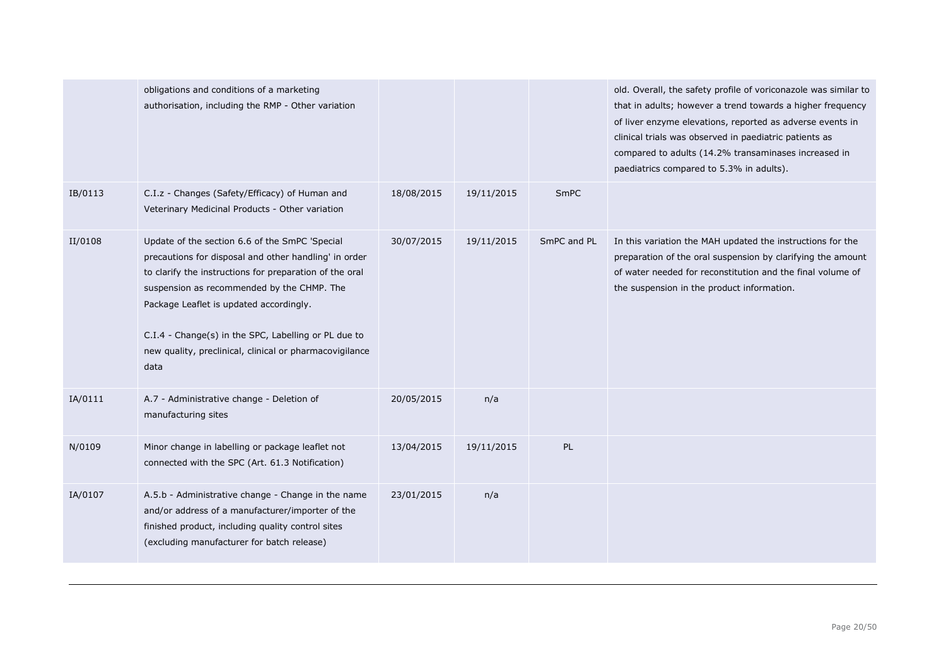|         | obligations and conditions of a marketing<br>authorisation, including the RMP - Other variation                                                                                                                                                                                                                                                                                        |            |            |             | old. Overall, the safety profile of voriconazole was similar to<br>that in adults; however a trend towards a higher frequency<br>of liver enzyme elevations, reported as adverse events in<br>clinical trials was observed in paediatric patients as<br>compared to adults (14.2% transaminases increased in<br>paediatrics compared to 5.3% in adults). |
|---------|----------------------------------------------------------------------------------------------------------------------------------------------------------------------------------------------------------------------------------------------------------------------------------------------------------------------------------------------------------------------------------------|------------|------------|-------------|----------------------------------------------------------------------------------------------------------------------------------------------------------------------------------------------------------------------------------------------------------------------------------------------------------------------------------------------------------|
| IB/0113 | C.I.z - Changes (Safety/Efficacy) of Human and<br>Veterinary Medicinal Products - Other variation                                                                                                                                                                                                                                                                                      | 18/08/2015 | 19/11/2015 | SmPC        |                                                                                                                                                                                                                                                                                                                                                          |
| II/0108 | Update of the section 6.6 of the SmPC 'Special<br>precautions for disposal and other handling' in order<br>to clarify the instructions for preparation of the oral<br>suspension as recommended by the CHMP. The<br>Package Leaflet is updated accordingly.<br>C.I.4 - Change(s) in the SPC, Labelling or PL due to<br>new quality, preclinical, clinical or pharmacovigilance<br>data | 30/07/2015 | 19/11/2015 | SmPC and PL | In this variation the MAH updated the instructions for the<br>preparation of the oral suspension by clarifying the amount<br>of water needed for reconstitution and the final volume of<br>the suspension in the product information.                                                                                                                    |
| IA/0111 | A.7 - Administrative change - Deletion of<br>manufacturing sites                                                                                                                                                                                                                                                                                                                       | 20/05/2015 | n/a        |             |                                                                                                                                                                                                                                                                                                                                                          |
| N/0109  | Minor change in labelling or package leaflet not<br>connected with the SPC (Art. 61.3 Notification)                                                                                                                                                                                                                                                                                    | 13/04/2015 | 19/11/2015 | PL          |                                                                                                                                                                                                                                                                                                                                                          |
| IA/0107 | A.5.b - Administrative change - Change in the name<br>and/or address of a manufacturer/importer of the<br>finished product, including quality control sites<br>(excluding manufacturer for batch release)                                                                                                                                                                              | 23/01/2015 | n/a        |             |                                                                                                                                                                                                                                                                                                                                                          |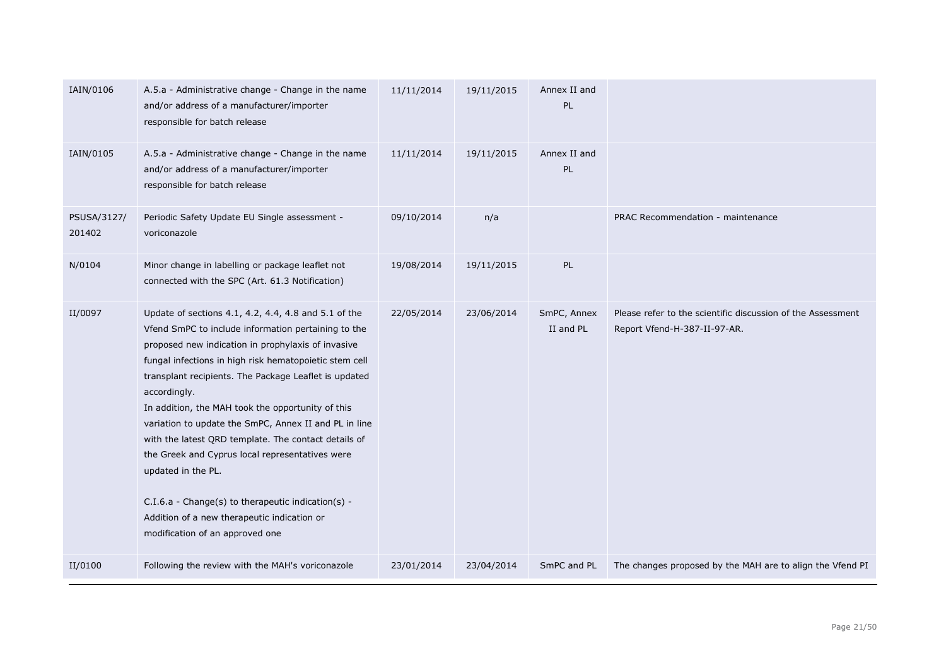| IAIN/0106             | A.5.a - Administrative change - Change in the name<br>and/or address of a manufacturer/importer<br>responsible for batch release                                                                                                                                                                                                                                                                                                                                                                                                                                                                                                                                                            | 11/11/2014 | 19/11/2015 | Annex II and<br>PL       |                                                                                             |
|-----------------------|---------------------------------------------------------------------------------------------------------------------------------------------------------------------------------------------------------------------------------------------------------------------------------------------------------------------------------------------------------------------------------------------------------------------------------------------------------------------------------------------------------------------------------------------------------------------------------------------------------------------------------------------------------------------------------------------|------------|------------|--------------------------|---------------------------------------------------------------------------------------------|
| IAIN/0105             | A.5.a - Administrative change - Change in the name<br>and/or address of a manufacturer/importer<br>responsible for batch release                                                                                                                                                                                                                                                                                                                                                                                                                                                                                                                                                            | 11/11/2014 | 19/11/2015 | Annex II and<br>PL       |                                                                                             |
| PSUSA/3127/<br>201402 | Periodic Safety Update EU Single assessment -<br>voriconazole                                                                                                                                                                                                                                                                                                                                                                                                                                                                                                                                                                                                                               | 09/10/2014 | n/a        |                          | PRAC Recommendation - maintenance                                                           |
| N/0104                | Minor change in labelling or package leaflet not<br>connected with the SPC (Art. 61.3 Notification)                                                                                                                                                                                                                                                                                                                                                                                                                                                                                                                                                                                         | 19/08/2014 | 19/11/2015 | PL                       |                                                                                             |
| II/0097               | Update of sections 4.1, 4.2, 4.4, 4.8 and 5.1 of the<br>Vfend SmPC to include information pertaining to the<br>proposed new indication in prophylaxis of invasive<br>fungal infections in high risk hematopoietic stem cell<br>transplant recipients. The Package Leaflet is updated<br>accordingly.<br>In addition, the MAH took the opportunity of this<br>variation to update the SmPC, Annex II and PL in line<br>with the latest QRD template. The contact details of<br>the Greek and Cyprus local representatives were<br>updated in the PL.<br>C.I.6.a - Change(s) to therapeutic indication(s) -<br>Addition of a new therapeutic indication or<br>modification of an approved one | 22/05/2014 | 23/06/2014 | SmPC, Annex<br>II and PL | Please refer to the scientific discussion of the Assessment<br>Report Vfend-H-387-II-97-AR. |
| II/0100               | Following the review with the MAH's voriconazole                                                                                                                                                                                                                                                                                                                                                                                                                                                                                                                                                                                                                                            | 23/01/2014 | 23/04/2014 | SmPC and PL              | The changes proposed by the MAH are to align the Vfend PI                                   |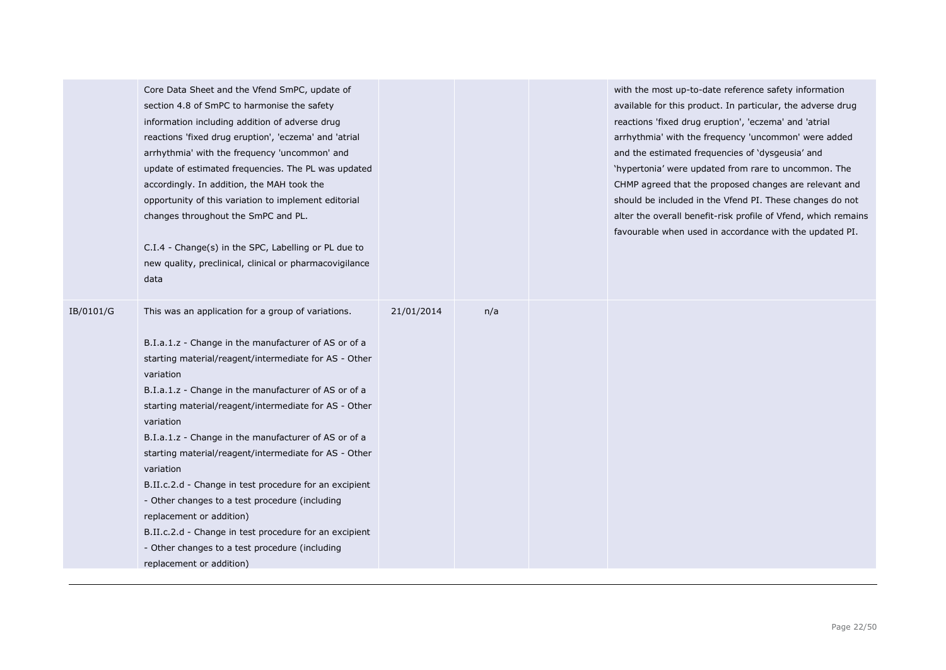|           | Core Data Sheet and the Vfend SmPC, update of<br>section 4.8 of SmPC to harmonise the safety<br>information including addition of adverse drug<br>reactions 'fixed drug eruption', 'eczema' and 'atrial<br>arrhythmia' with the frequency 'uncommon' and<br>update of estimated frequencies. The PL was updated<br>accordingly. In addition, the MAH took the<br>opportunity of this variation to implement editorial<br>changes throughout the SmPC and PL.<br>C.I.4 - Change(s) in the SPC, Labelling or PL due to<br>new quality, preclinical, clinical or pharmacovigilance<br>data                                                                                                                                      |            |     | with the most up-to-date reference safety information<br>available for this product. In particular, the adverse drug<br>reactions 'fixed drug eruption', 'eczema' and 'atrial<br>arrhythmia' with the frequency 'uncommon' were added<br>and the estimated frequencies of 'dysgeusia' and<br>'hypertonia' were updated from rare to uncommon. The<br>CHMP agreed that the proposed changes are relevant and<br>should be included in the Vfend PI. These changes do not<br>alter the overall benefit-risk profile of Vfend, which remains<br>favourable when used in accordance with the updated PI. |
|-----------|------------------------------------------------------------------------------------------------------------------------------------------------------------------------------------------------------------------------------------------------------------------------------------------------------------------------------------------------------------------------------------------------------------------------------------------------------------------------------------------------------------------------------------------------------------------------------------------------------------------------------------------------------------------------------------------------------------------------------|------------|-----|------------------------------------------------------------------------------------------------------------------------------------------------------------------------------------------------------------------------------------------------------------------------------------------------------------------------------------------------------------------------------------------------------------------------------------------------------------------------------------------------------------------------------------------------------------------------------------------------------|
| IB/0101/G | This was an application for a group of variations.<br>B.I.a.1.z - Change in the manufacturer of AS or of a<br>starting material/reagent/intermediate for AS - Other<br>variation<br>B.I.a.1.z - Change in the manufacturer of AS or of a<br>starting material/reagent/intermediate for AS - Other<br>variation<br>B.I.a.1.z - Change in the manufacturer of AS or of a<br>starting material/reagent/intermediate for AS - Other<br>variation<br>B.II.c.2.d - Change in test procedure for an excipient<br>- Other changes to a test procedure (including<br>replacement or addition)<br>B.II.c.2.d - Change in test procedure for an excipient<br>- Other changes to a test procedure (including<br>replacement or addition) | 21/01/2014 | n/a |                                                                                                                                                                                                                                                                                                                                                                                                                                                                                                                                                                                                      |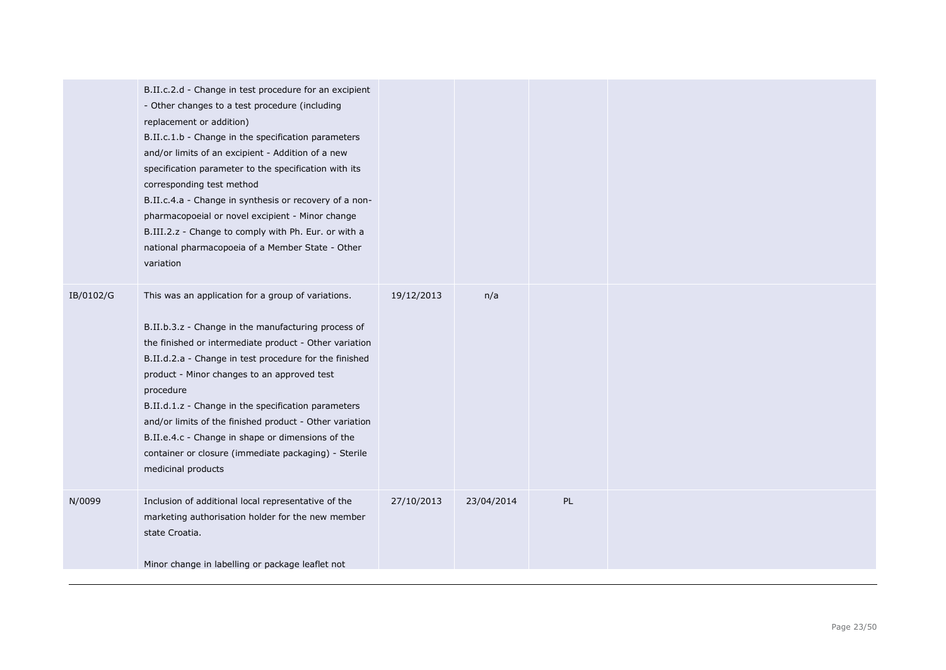|           | B.II.c.2.d - Change in test procedure for an excipient<br>- Other changes to a test procedure (including<br>replacement or addition)<br>B.II.c.1.b - Change in the specification parameters<br>and/or limits of an excipient - Addition of a new<br>specification parameter to the specification with its<br>corresponding test method<br>B.II.c.4.a - Change in synthesis or recovery of a non-<br>pharmacopoeial or novel excipient - Minor change<br>B.III.2.z - Change to comply with Ph. Eur. or with a<br>national pharmacopoeia of a Member State - Other<br>variation |            |            |    |  |
|-----------|-------------------------------------------------------------------------------------------------------------------------------------------------------------------------------------------------------------------------------------------------------------------------------------------------------------------------------------------------------------------------------------------------------------------------------------------------------------------------------------------------------------------------------------------------------------------------------|------------|------------|----|--|
| IB/0102/G | This was an application for a group of variations.<br>B.II.b.3.z - Change in the manufacturing process of<br>the finished or intermediate product - Other variation<br>B.II.d.2.a - Change in test procedure for the finished<br>product - Minor changes to an approved test<br>procedure<br>B.II.d.1.z - Change in the specification parameters<br>and/or limits of the finished product - Other variation<br>B.II.e.4.c - Change in shape or dimensions of the<br>container or closure (immediate packaging) - Sterile<br>medicinal products                                | 19/12/2013 | n/a        |    |  |
| N/0099    | Inclusion of additional local representative of the<br>marketing authorisation holder for the new member<br>state Croatia.<br>Minor change in labelling or package leaflet not                                                                                                                                                                                                                                                                                                                                                                                                | 27/10/2013 | 23/04/2014 | PL |  |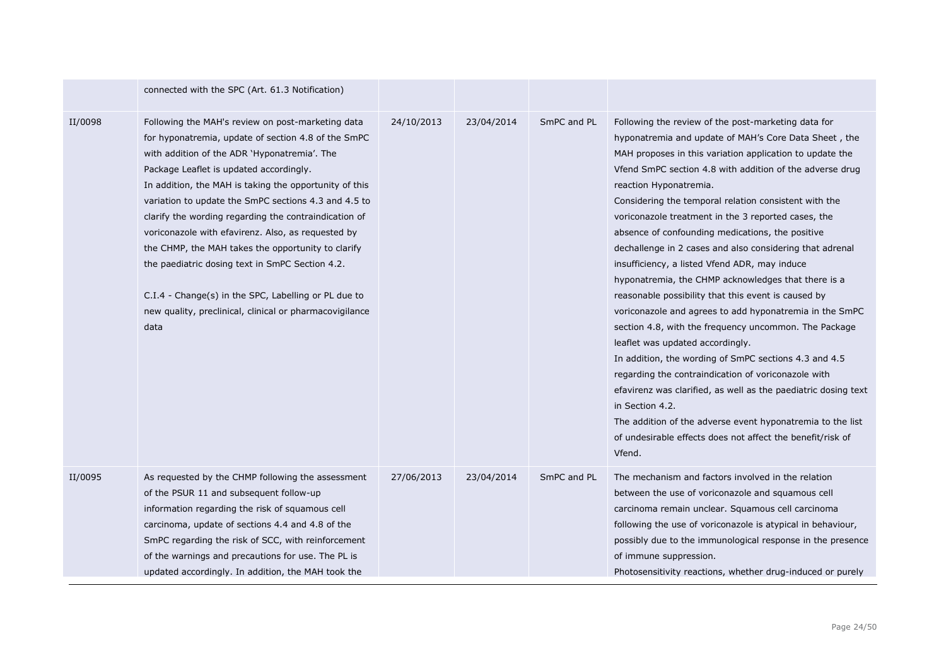|         | connected with the SPC (Art. 61.3 Notification)                                                                                                                                                                                                                                                                                                                                                                                                                                                                                                                                                                                                                          |            |            |             |                                                                                                                                                                                                                                                                                                                                                                                                                                                                                                                                                                                                                                                                                                                                                                                                                                                                                                                                                                                                                                                                                                                                                                  |
|---------|--------------------------------------------------------------------------------------------------------------------------------------------------------------------------------------------------------------------------------------------------------------------------------------------------------------------------------------------------------------------------------------------------------------------------------------------------------------------------------------------------------------------------------------------------------------------------------------------------------------------------------------------------------------------------|------------|------------|-------------|------------------------------------------------------------------------------------------------------------------------------------------------------------------------------------------------------------------------------------------------------------------------------------------------------------------------------------------------------------------------------------------------------------------------------------------------------------------------------------------------------------------------------------------------------------------------------------------------------------------------------------------------------------------------------------------------------------------------------------------------------------------------------------------------------------------------------------------------------------------------------------------------------------------------------------------------------------------------------------------------------------------------------------------------------------------------------------------------------------------------------------------------------------------|
| II/0098 | Following the MAH's review on post-marketing data<br>for hyponatremia, update of section 4.8 of the SmPC<br>with addition of the ADR 'Hyponatremia'. The<br>Package Leaflet is updated accordingly.<br>In addition, the MAH is taking the opportunity of this<br>variation to update the SmPC sections 4.3 and 4.5 to<br>clarify the wording regarding the contraindication of<br>voriconazole with efavirenz. Also, as requested by<br>the CHMP, the MAH takes the opportunity to clarify<br>the paediatric dosing text in SmPC Section 4.2.<br>C.I.4 - Change(s) in the SPC, Labelling or PL due to<br>new quality, preclinical, clinical or pharmacovigilance<br>data | 24/10/2013 | 23/04/2014 | SmPC and PL | Following the review of the post-marketing data for<br>hyponatremia and update of MAH's Core Data Sheet, the<br>MAH proposes in this variation application to update the<br>Vfend SmPC section 4.8 with addition of the adverse drug<br>reaction Hyponatremia.<br>Considering the temporal relation consistent with the<br>voriconazole treatment in the 3 reported cases, the<br>absence of confounding medications, the positive<br>dechallenge in 2 cases and also considering that adrenal<br>insufficiency, a listed Vfend ADR, may induce<br>hyponatremia, the CHMP acknowledges that there is a<br>reasonable possibility that this event is caused by<br>voriconazole and agrees to add hyponatremia in the SmPC<br>section 4.8, with the frequency uncommon. The Package<br>leaflet was updated accordingly.<br>In addition, the wording of SmPC sections 4.3 and 4.5<br>regarding the contraindication of voriconazole with<br>efavirenz was clarified, as well as the paediatric dosing text<br>in Section 4.2.<br>The addition of the adverse event hyponatremia to the list<br>of undesirable effects does not affect the benefit/risk of<br>Vfend. |
| II/0095 | As requested by the CHMP following the assessment<br>of the PSUR 11 and subsequent follow-up<br>information regarding the risk of squamous cell<br>carcinoma, update of sections 4.4 and 4.8 of the<br>SmPC regarding the risk of SCC, with reinforcement<br>of the warnings and precautions for use. The PL is<br>updated accordingly. In addition, the MAH took the                                                                                                                                                                                                                                                                                                    | 27/06/2013 | 23/04/2014 | SmPC and PL | The mechanism and factors involved in the relation<br>between the use of voriconazole and squamous cell<br>carcinoma remain unclear. Squamous cell carcinoma<br>following the use of voriconazole is atypical in behaviour,<br>possibly due to the immunological response in the presence<br>of immune suppression.<br>Photosensitivity reactions, whether drug-induced or purely                                                                                                                                                                                                                                                                                                                                                                                                                                                                                                                                                                                                                                                                                                                                                                                |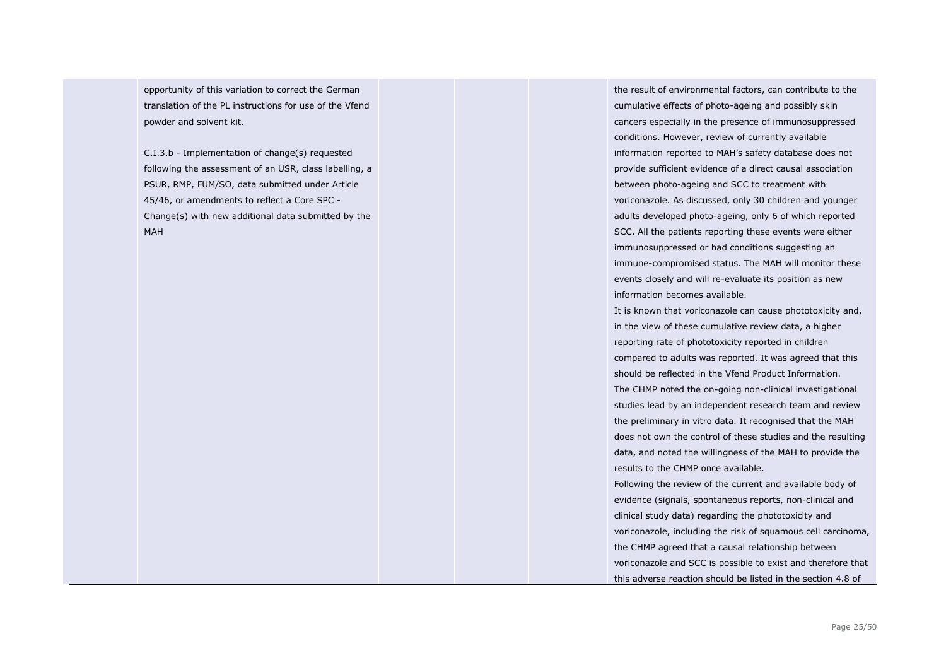opportunity of this variation to correct the German translation of the PL instructions for use of the Vfend powder and solvent kit.

C.I.3.b - Implementation of change(s) requested following the assessment of an USR, class labelling, a PSUR, RMP, FUM/SO, data submitted under Article 45/46, or amendments to reflect a Core SPC - Change(s) with new additional data submitted by the MAH

the result of environmental factors, can contribute to the cumulative effects of photo-ageing and possibly skin cancers especially in the presence of immunosuppressed conditions. However, review of currently available information reported to MAH's safety database does not provide sufficient evidence of a direct causal association between photo-ageing and SCC to treatment with voriconazole. As discussed, only 30 children and younger adults developed photo-ageing, only 6 of which reported SCC. All the patients reporting these events were either immunosuppressed or had conditions suggesting an immune-compromised status. The MAH will monitor these events closely and will re-evaluate its position as new information becomes available.

It is known that voriconazole can cause phototoxicity and, in the view of these cumulative review data, a higher reporting rate of phototoxicity reported in children compared to adults was reported. It was agreed that this should be reflected in the Vfend Product Information. The CHMP noted the on-going non-clinical investigational studies lead by an independent research team and review the preliminary in vitro data. It recognised that the MAH does not own the control of these studies and the resulting data, and noted the willingness of the MAH to provide the results to the CHMP once available. Following the review of the current and available body of evidence (signals, spontaneous reports, non-clinical and clinical study data) regarding the phototoxicity and voriconazole, including the risk of squamous cell carcinoma, the CHMP agreed that a causal relationship between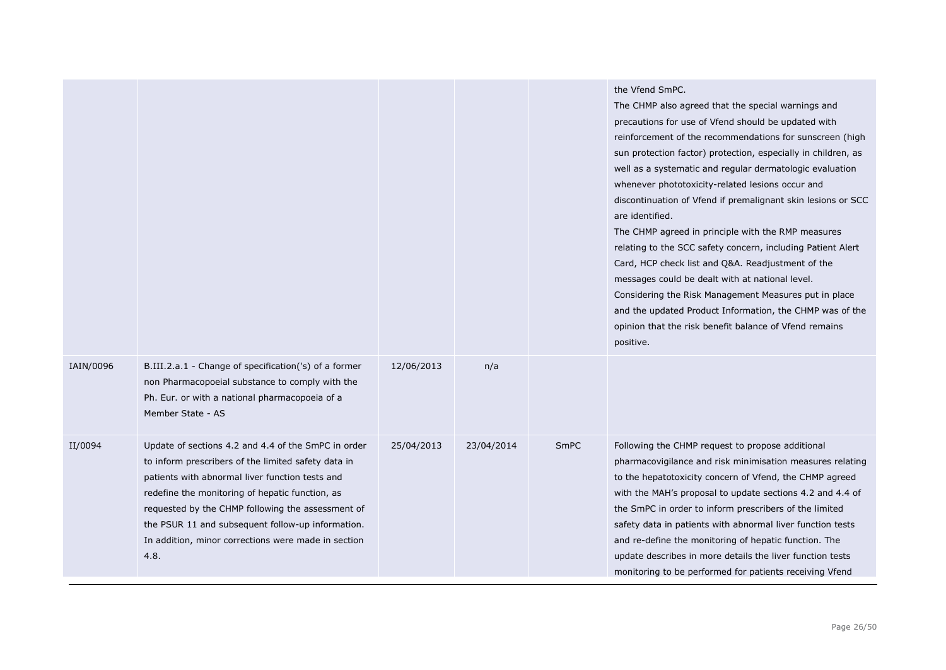|           |                                                                                                                                                                                                                                                                                                                                                                                           |            |            |             | the Vfend SmPC.<br>The CHMP also agreed that the special warnings and<br>precautions for use of Vfend should be updated with<br>reinforcement of the recommendations for sunscreen (high<br>sun protection factor) protection, especially in children, as<br>well as a systematic and regular dermatologic evaluation<br>whenever phototoxicity-related lesions occur and<br>discontinuation of Vfend if premalignant skin lesions or SCC<br>are identified.<br>The CHMP agreed in principle with the RMP measures<br>relating to the SCC safety concern, including Patient Alert<br>Card, HCP check list and Q&A. Readjustment of the<br>messages could be dealt with at national level.<br>Considering the Risk Management Measures put in place<br>and the updated Product Information, the CHMP was of the<br>opinion that the risk benefit balance of Vfend remains<br>positive. |
|-----------|-------------------------------------------------------------------------------------------------------------------------------------------------------------------------------------------------------------------------------------------------------------------------------------------------------------------------------------------------------------------------------------------|------------|------------|-------------|---------------------------------------------------------------------------------------------------------------------------------------------------------------------------------------------------------------------------------------------------------------------------------------------------------------------------------------------------------------------------------------------------------------------------------------------------------------------------------------------------------------------------------------------------------------------------------------------------------------------------------------------------------------------------------------------------------------------------------------------------------------------------------------------------------------------------------------------------------------------------------------|
| IAIN/0096 | B.III.2.a.1 - Change of specification('s) of a former<br>non Pharmacopoeial substance to comply with the<br>Ph. Eur. or with a national pharmacopoeia of a<br>Member State - AS                                                                                                                                                                                                           | 12/06/2013 | n/a        |             |                                                                                                                                                                                                                                                                                                                                                                                                                                                                                                                                                                                                                                                                                                                                                                                                                                                                                       |
| II/0094   | Update of sections 4.2 and 4.4 of the SmPC in order<br>to inform prescribers of the limited safety data in<br>patients with abnormal liver function tests and<br>redefine the monitoring of hepatic function, as<br>requested by the CHMP following the assessment of<br>the PSUR 11 and subsequent follow-up information.<br>In addition, minor corrections were made in section<br>4.8. | 25/04/2013 | 23/04/2014 | <b>SmPC</b> | Following the CHMP request to propose additional<br>pharmacovigilance and risk minimisation measures relating<br>to the hepatotoxicity concern of Vfend, the CHMP agreed<br>with the MAH's proposal to update sections 4.2 and 4.4 of<br>the SmPC in order to inform prescribers of the limited<br>safety data in patients with abnormal liver function tests<br>and re-define the monitoring of hepatic function. The<br>update describes in more details the liver function tests<br>monitoring to be performed for patients receiving Vfend                                                                                                                                                                                                                                                                                                                                        |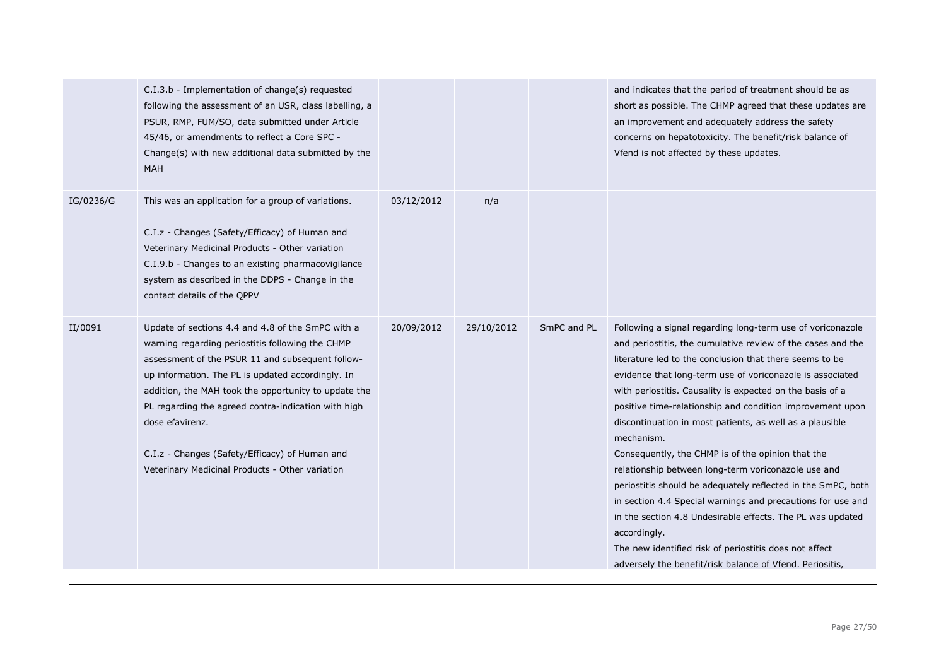|           | C.I.3.b - Implementation of change(s) requested<br>following the assessment of an USR, class labelling, a<br>PSUR, RMP, FUM/SO, data submitted under Article<br>45/46, or amendments to reflect a Core SPC -<br>Change(s) with new additional data submitted by the<br><b>MAH</b>                                                                                                                                                                     |            |            |             | and indicates that the period of treatment should be as<br>short as possible. The CHMP agreed that these updates are<br>an improvement and adequately address the safety<br>concerns on hepatotoxicity. The benefit/risk balance of<br>Vfend is not affected by these updates.                                                                                                                                                                                                                                                                                                                                                                                                                                                                                                                                                                                                                       |
|-----------|-------------------------------------------------------------------------------------------------------------------------------------------------------------------------------------------------------------------------------------------------------------------------------------------------------------------------------------------------------------------------------------------------------------------------------------------------------|------------|------------|-------------|------------------------------------------------------------------------------------------------------------------------------------------------------------------------------------------------------------------------------------------------------------------------------------------------------------------------------------------------------------------------------------------------------------------------------------------------------------------------------------------------------------------------------------------------------------------------------------------------------------------------------------------------------------------------------------------------------------------------------------------------------------------------------------------------------------------------------------------------------------------------------------------------------|
| IG/0236/G | This was an application for a group of variations.<br>C.I.z - Changes (Safety/Efficacy) of Human and<br>Veterinary Medicinal Products - Other variation<br>C.I.9.b - Changes to an existing pharmacovigilance<br>system as described in the DDPS - Change in the<br>contact details of the QPPV                                                                                                                                                       | 03/12/2012 | n/a        |             |                                                                                                                                                                                                                                                                                                                                                                                                                                                                                                                                                                                                                                                                                                                                                                                                                                                                                                      |
| II/0091   | Update of sections 4.4 and 4.8 of the SmPC with a<br>warning regarding periostitis following the CHMP<br>assessment of the PSUR 11 and subsequent follow-<br>up information. The PL is updated accordingly. In<br>addition, the MAH took the opportunity to update the<br>PL regarding the agreed contra-indication with high<br>dose efavirenz.<br>C.I.z - Changes (Safety/Efficacy) of Human and<br>Veterinary Medicinal Products - Other variation | 20/09/2012 | 29/10/2012 | SmPC and PL | Following a signal regarding long-term use of voriconazole<br>and periostitis, the cumulative review of the cases and the<br>literature led to the conclusion that there seems to be<br>evidence that long-term use of voriconazole is associated<br>with periostitis. Causality is expected on the basis of a<br>positive time-relationship and condition improvement upon<br>discontinuation in most patients, as well as a plausible<br>mechanism.<br>Consequently, the CHMP is of the opinion that the<br>relationship between long-term voriconazole use and<br>periostitis should be adequately reflected in the SmPC, both<br>in section 4.4 Special warnings and precautions for use and<br>in the section 4.8 Undesirable effects. The PL was updated<br>accordingly.<br>The new identified risk of periostitis does not affect<br>adversely the benefit/risk balance of Vfend. Periositis, |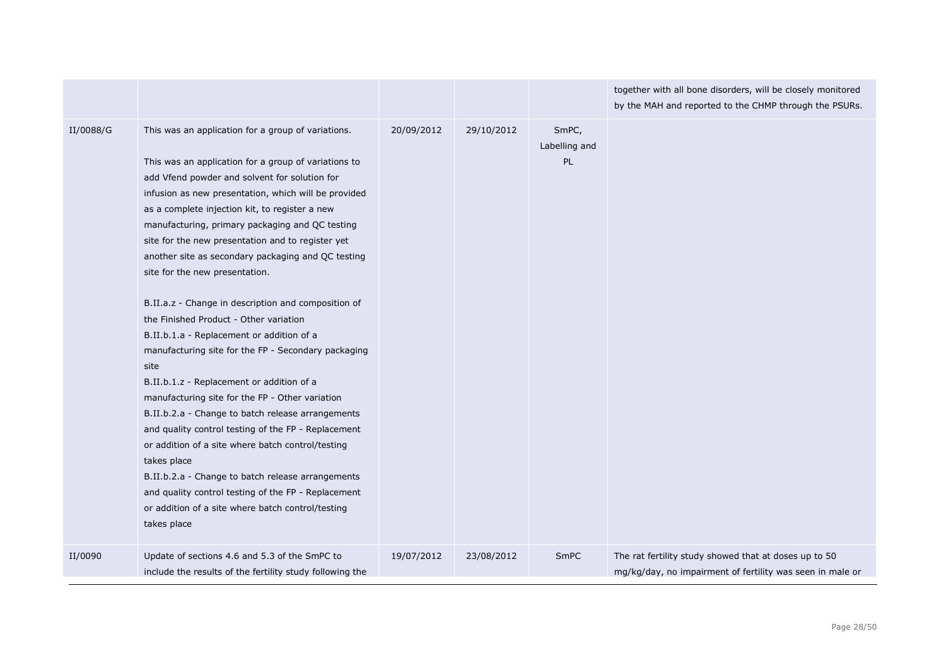|           |                                                                                                                                                                                                                                                                                                                                                                                                                                                                                                                                                                                                                                                                                                                                                                                                                                                                                                                                                                                                                                                                                                                                                    |            |            |                              | together with all bone disorders, will be closely monitored<br>by the MAH and reported to the CHMP through the PSURs. |
|-----------|----------------------------------------------------------------------------------------------------------------------------------------------------------------------------------------------------------------------------------------------------------------------------------------------------------------------------------------------------------------------------------------------------------------------------------------------------------------------------------------------------------------------------------------------------------------------------------------------------------------------------------------------------------------------------------------------------------------------------------------------------------------------------------------------------------------------------------------------------------------------------------------------------------------------------------------------------------------------------------------------------------------------------------------------------------------------------------------------------------------------------------------------------|------------|------------|------------------------------|-----------------------------------------------------------------------------------------------------------------------|
| II/0088/G | This was an application for a group of variations.<br>This was an application for a group of variations to<br>add Vfend powder and solvent for solution for<br>infusion as new presentation, which will be provided<br>as a complete injection kit, to register a new<br>manufacturing, primary packaging and QC testing<br>site for the new presentation and to register yet<br>another site as secondary packaging and QC testing<br>site for the new presentation.<br>B.II.a.z - Change in description and composition of<br>the Finished Product - Other variation<br>B.II.b.1.a - Replacement or addition of a<br>manufacturing site for the FP - Secondary packaging<br>site<br>B.II.b.1.z - Replacement or addition of a<br>manufacturing site for the FP - Other variation<br>B.II.b.2.a - Change to batch release arrangements<br>and quality control testing of the FP - Replacement<br>or addition of a site where batch control/testing<br>takes place<br>B.II.b.2.a - Change to batch release arrangements<br>and quality control testing of the FP - Replacement<br>or addition of a site where batch control/testing<br>takes place | 20/09/2012 | 29/10/2012 | SmPC,<br>Labelling and<br>PL |                                                                                                                       |
| II/0090   | Update of sections 4.6 and 5.3 of the SmPC to<br>include the results of the fertility study following the                                                                                                                                                                                                                                                                                                                                                                                                                                                                                                                                                                                                                                                                                                                                                                                                                                                                                                                                                                                                                                          | 19/07/2012 | 23/08/2012 | SmPC                         | The rat fertility study showed that at doses up to 50<br>mg/kg/day, no impairment of fertility was seen in male or    |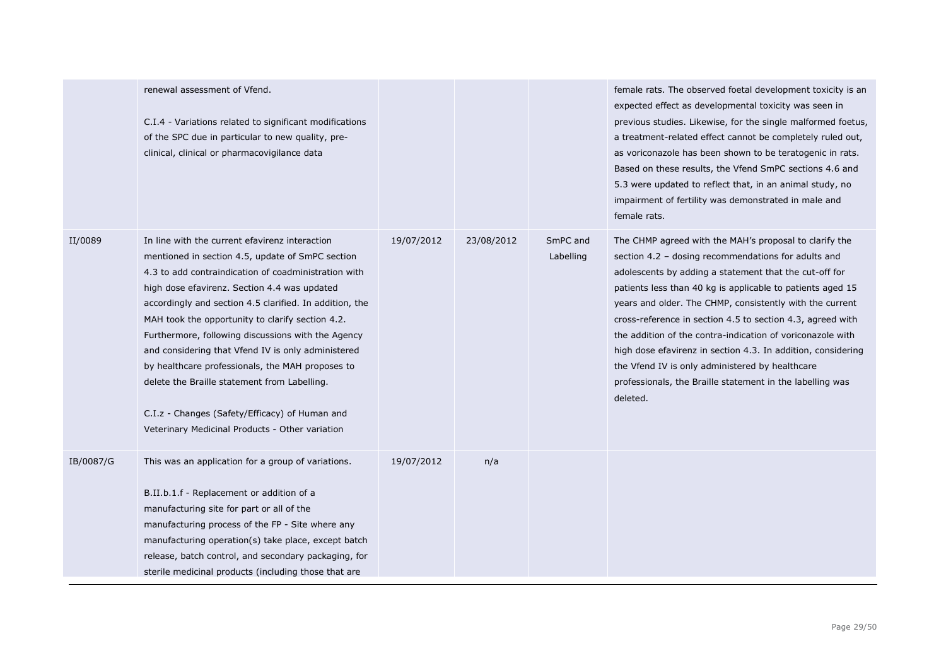|           | renewal assessment of Vfend.<br>C.I.4 - Variations related to significant modifications<br>of the SPC due in particular to new quality, pre-<br>clinical, clinical or pharmacovigilance data                                                                                                                                                                                                                                                                                                                                                                                                                                                   |            |            |                       | female rats. The observed foetal development toxicity is an<br>expected effect as developmental toxicity was seen in<br>previous studies. Likewise, for the single malformed foetus,<br>a treatment-related effect cannot be completely ruled out,<br>as voriconazole has been shown to be teratogenic in rats.<br>Based on these results, the Vfend SmPC sections 4.6 and<br>5.3 were updated to reflect that, in an animal study, no<br>impairment of fertility was demonstrated in male and<br>female rats.                                                                                                            |
|-----------|------------------------------------------------------------------------------------------------------------------------------------------------------------------------------------------------------------------------------------------------------------------------------------------------------------------------------------------------------------------------------------------------------------------------------------------------------------------------------------------------------------------------------------------------------------------------------------------------------------------------------------------------|------------|------------|-----------------------|---------------------------------------------------------------------------------------------------------------------------------------------------------------------------------------------------------------------------------------------------------------------------------------------------------------------------------------------------------------------------------------------------------------------------------------------------------------------------------------------------------------------------------------------------------------------------------------------------------------------------|
| II/0089   | In line with the current efavirenz interaction<br>mentioned in section 4.5, update of SmPC section<br>4.3 to add contraindication of coadministration with<br>high dose efavirenz. Section 4.4 was updated<br>accordingly and section 4.5 clarified. In addition, the<br>MAH took the opportunity to clarify section 4.2.<br>Furthermore, following discussions with the Agency<br>and considering that Vfend IV is only administered<br>by healthcare professionals, the MAH proposes to<br>delete the Braille statement from Labelling.<br>C.I.z - Changes (Safety/Efficacy) of Human and<br>Veterinary Medicinal Products - Other variation | 19/07/2012 | 23/08/2012 | SmPC and<br>Labelling | The CHMP agreed with the MAH's proposal to clarify the<br>section 4.2 - dosing recommendations for adults and<br>adolescents by adding a statement that the cut-off for<br>patients less than 40 kg is applicable to patients aged 15<br>years and older. The CHMP, consistently with the current<br>cross-reference in section 4.5 to section 4.3, agreed with<br>the addition of the contra-indication of voriconazole with<br>high dose efavirenz in section 4.3. In addition, considering<br>the Vfend IV is only administered by healthcare<br>professionals, the Braille statement in the labelling was<br>deleted. |
| IB/0087/G | This was an application for a group of variations.<br>B.II.b.1.f - Replacement or addition of a<br>manufacturing site for part or all of the<br>manufacturing process of the FP - Site where any<br>manufacturing operation(s) take place, except batch<br>release, batch control, and secondary packaging, for<br>sterile medicinal products (including those that are                                                                                                                                                                                                                                                                        | 19/07/2012 | n/a        |                       |                                                                                                                                                                                                                                                                                                                                                                                                                                                                                                                                                                                                                           |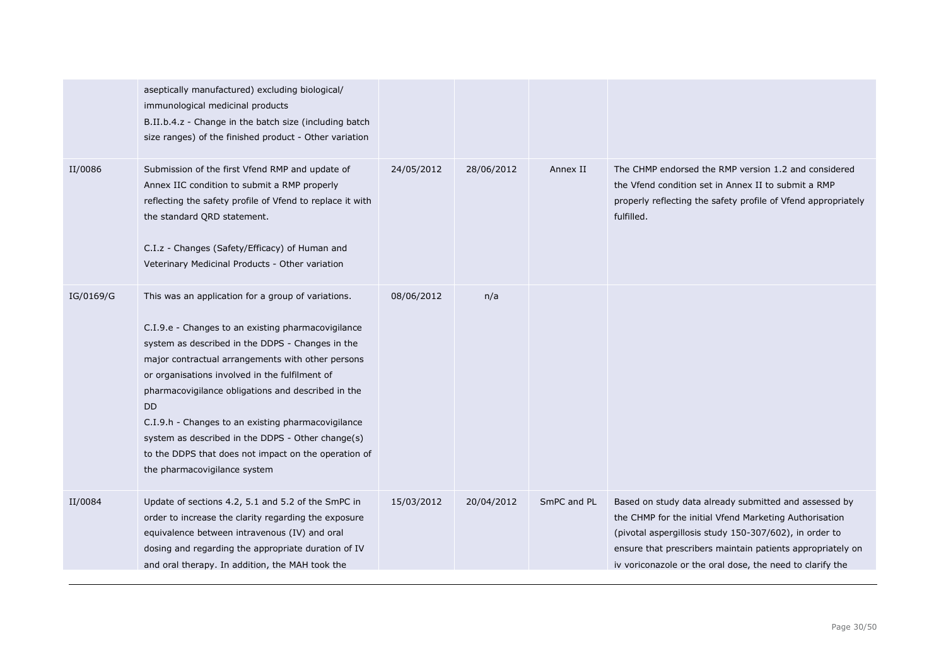|           | aseptically manufactured) excluding biological/<br>immunological medicinal products<br>B.II.b.4.z - Change in the batch size (including batch<br>size ranges) of the finished product - Other variation                                                                                                                                                                                                                                                                                                                                   |            |            |             |                                                                                                                                                                                                                                                                                                      |
|-----------|-------------------------------------------------------------------------------------------------------------------------------------------------------------------------------------------------------------------------------------------------------------------------------------------------------------------------------------------------------------------------------------------------------------------------------------------------------------------------------------------------------------------------------------------|------------|------------|-------------|------------------------------------------------------------------------------------------------------------------------------------------------------------------------------------------------------------------------------------------------------------------------------------------------------|
| II/0086   | Submission of the first Vfend RMP and update of<br>Annex IIC condition to submit a RMP properly<br>reflecting the safety profile of Vfend to replace it with<br>the standard QRD statement.<br>C.I.z - Changes (Safety/Efficacy) of Human and<br>Veterinary Medicinal Products - Other variation                                                                                                                                                                                                                                          | 24/05/2012 | 28/06/2012 | Annex II    | The CHMP endorsed the RMP version 1.2 and considered<br>the Vfend condition set in Annex II to submit a RMP<br>properly reflecting the safety profile of Vfend appropriately<br>fulfilled.                                                                                                           |
| IG/0169/G | This was an application for a group of variations.<br>C.I.9.e - Changes to an existing pharmacovigilance<br>system as described in the DDPS - Changes in the<br>major contractual arrangements with other persons<br>or organisations involved in the fulfilment of<br>pharmacovigilance obligations and described in the<br><b>DD</b><br>C.I.9.h - Changes to an existing pharmacovigilance<br>system as described in the DDPS - Other change(s)<br>to the DDPS that does not impact on the operation of<br>the pharmacovigilance system | 08/06/2012 | n/a        |             |                                                                                                                                                                                                                                                                                                      |
| II/0084   | Update of sections 4.2, 5.1 and 5.2 of the SmPC in<br>order to increase the clarity regarding the exposure<br>equivalence between intravenous (IV) and oral<br>dosing and regarding the appropriate duration of IV<br>and oral therapy. In addition, the MAH took the                                                                                                                                                                                                                                                                     | 15/03/2012 | 20/04/2012 | SmPC and PL | Based on study data already submitted and assessed by<br>the CHMP for the initial Vfend Marketing Authorisation<br>(pivotal aspergillosis study 150-307/602), in order to<br>ensure that prescribers maintain patients appropriately on<br>iv voriconazole or the oral dose, the need to clarify the |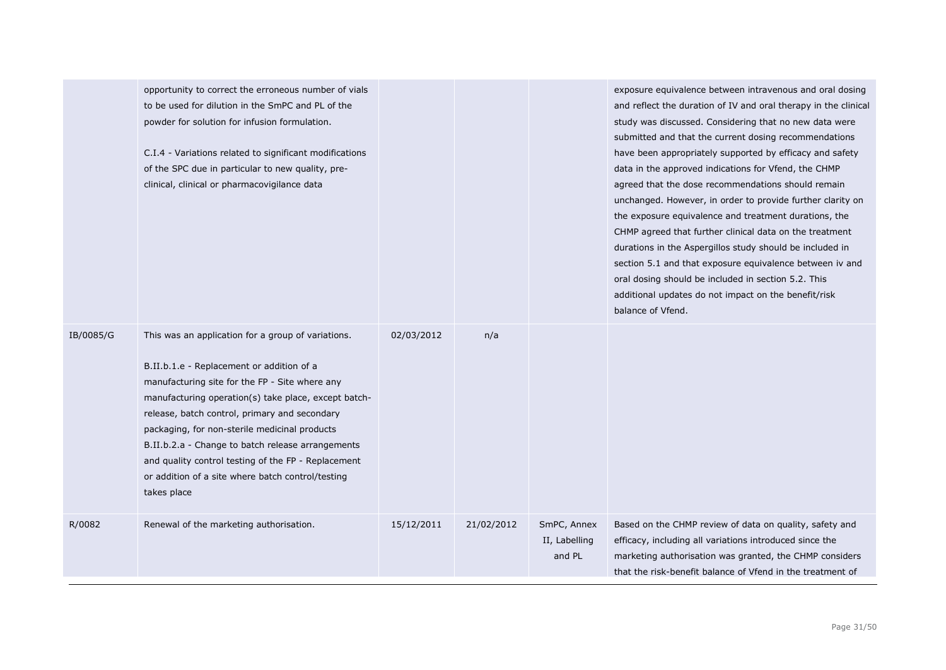|           | opportunity to correct the erroneous number of vials<br>to be used for dilution in the SmPC and PL of the<br>powder for solution for infusion formulation.<br>C.I.4 - Variations related to significant modifications<br>of the SPC due in particular to new quality, pre-<br>clinical, clinical or pharmacovigilance data                                                                                                                                                                  |            |            |                                        | exposure equivalence between intravenous and oral dosing<br>and reflect the duration of IV and oral therapy in the clinical<br>study was discussed. Considering that no new data were<br>submitted and that the current dosing recommendations<br>have been appropriately supported by efficacy and safety<br>data in the approved indications for Vfend, the CHMP<br>agreed that the dose recommendations should remain<br>unchanged. However, in order to provide further clarity on<br>the exposure equivalence and treatment durations, the<br>CHMP agreed that further clinical data on the treatment<br>durations in the Aspergillos study should be included in<br>section 5.1 and that exposure equivalence between iv and<br>oral dosing should be included in section 5.2. This<br>additional updates do not impact on the benefit/risk<br>balance of Vfend. |
|-----------|---------------------------------------------------------------------------------------------------------------------------------------------------------------------------------------------------------------------------------------------------------------------------------------------------------------------------------------------------------------------------------------------------------------------------------------------------------------------------------------------|------------|------------|----------------------------------------|------------------------------------------------------------------------------------------------------------------------------------------------------------------------------------------------------------------------------------------------------------------------------------------------------------------------------------------------------------------------------------------------------------------------------------------------------------------------------------------------------------------------------------------------------------------------------------------------------------------------------------------------------------------------------------------------------------------------------------------------------------------------------------------------------------------------------------------------------------------------|
| IB/0085/G | This was an application for a group of variations.<br>B.II.b.1.e - Replacement or addition of a<br>manufacturing site for the FP - Site where any<br>manufacturing operation(s) take place, except batch-<br>release, batch control, primary and secondary<br>packaging, for non-sterile medicinal products<br>B.II.b.2.a - Change to batch release arrangements<br>and quality control testing of the FP - Replacement<br>or addition of a site where batch control/testing<br>takes place | 02/03/2012 | n/a        |                                        |                                                                                                                                                                                                                                                                                                                                                                                                                                                                                                                                                                                                                                                                                                                                                                                                                                                                        |
| R/0082    | Renewal of the marketing authorisation.                                                                                                                                                                                                                                                                                                                                                                                                                                                     | 15/12/2011 | 21/02/2012 | SmPC, Annex<br>II, Labelling<br>and PL | Based on the CHMP review of data on quality, safety and<br>efficacy, including all variations introduced since the<br>marketing authorisation was granted, the CHMP considers<br>that the risk-benefit balance of Vfend in the treatment of                                                                                                                                                                                                                                                                                                                                                                                                                                                                                                                                                                                                                            |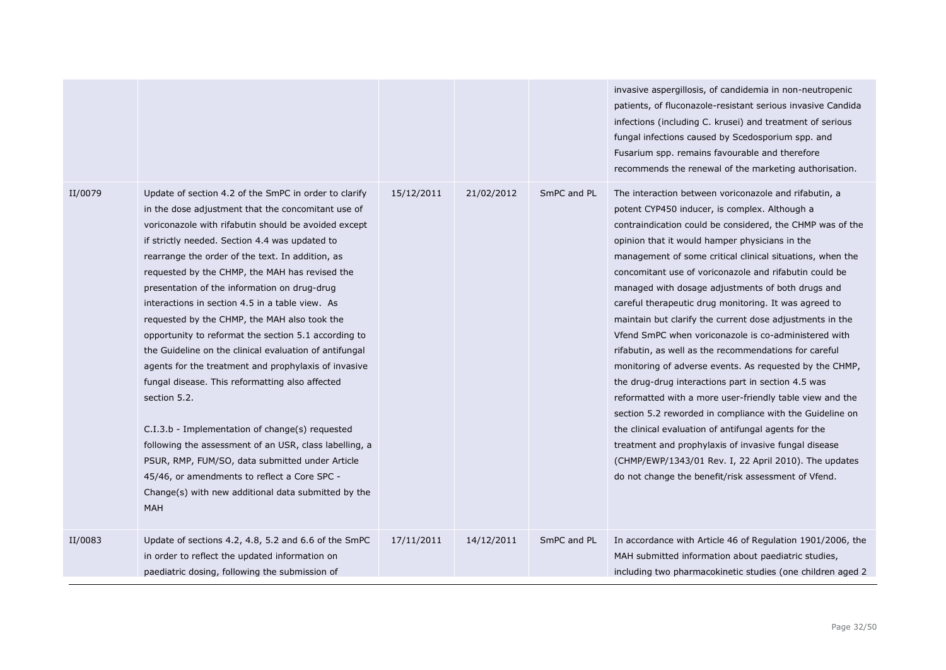|         |                                                                                                                                                                                                                                                                                                                                                                                                                                                                                                                                                                                                                                                                                                                                                                                                                                                                                                                                                                                                                  |            |            |             | invasive aspergillosis, of candidemia in non-neutropenic<br>patients, of fluconazole-resistant serious invasive Candida<br>infections (including C. krusei) and treatment of serious<br>fungal infections caused by Scedosporium spp. and<br>Fusarium spp. remains favourable and therefore<br>recommends the renewal of the marketing authorisation.                                                                                                                                                                                                                                                                                                                                                                                                                                                                                                                                                                                                                                                                                                                                                            |
|---------|------------------------------------------------------------------------------------------------------------------------------------------------------------------------------------------------------------------------------------------------------------------------------------------------------------------------------------------------------------------------------------------------------------------------------------------------------------------------------------------------------------------------------------------------------------------------------------------------------------------------------------------------------------------------------------------------------------------------------------------------------------------------------------------------------------------------------------------------------------------------------------------------------------------------------------------------------------------------------------------------------------------|------------|------------|-------------|------------------------------------------------------------------------------------------------------------------------------------------------------------------------------------------------------------------------------------------------------------------------------------------------------------------------------------------------------------------------------------------------------------------------------------------------------------------------------------------------------------------------------------------------------------------------------------------------------------------------------------------------------------------------------------------------------------------------------------------------------------------------------------------------------------------------------------------------------------------------------------------------------------------------------------------------------------------------------------------------------------------------------------------------------------------------------------------------------------------|
| II/0079 | Update of section 4.2 of the SmPC in order to clarify<br>in the dose adjustment that the concomitant use of<br>voriconazole with rifabutin should be avoided except<br>if strictly needed. Section 4.4 was updated to<br>rearrange the order of the text. In addition, as<br>requested by the CHMP, the MAH has revised the<br>presentation of the information on drug-drug<br>interactions in section 4.5 in a table view. As<br>requested by the CHMP, the MAH also took the<br>opportunity to reformat the section 5.1 according to<br>the Guideline on the clinical evaluation of antifungal<br>agents for the treatment and prophylaxis of invasive<br>fungal disease. This reformatting also affected<br>section 5.2.<br>C.I.3.b - Implementation of change(s) requested<br>following the assessment of an USR, class labelling, a<br>PSUR, RMP, FUM/SO, data submitted under Article<br>45/46, or amendments to reflect a Core SPC -<br>Change(s) with new additional data submitted by the<br><b>MAH</b> | 15/12/2011 | 21/02/2012 | SmPC and PL | The interaction between voriconazole and rifabutin, a<br>potent CYP450 inducer, is complex. Although a<br>contraindication could be considered, the CHMP was of the<br>opinion that it would hamper physicians in the<br>management of some critical clinical situations, when the<br>concomitant use of voriconazole and rifabutin could be<br>managed with dosage adjustments of both drugs and<br>careful therapeutic drug monitoring. It was agreed to<br>maintain but clarify the current dose adjustments in the<br>Vfend SmPC when voriconazole is co-administered with<br>rifabutin, as well as the recommendations for careful<br>monitoring of adverse events. As requested by the CHMP,<br>the drug-drug interactions part in section 4.5 was<br>reformatted with a more user-friendly table view and the<br>section 5.2 reworded in compliance with the Guideline on<br>the clinical evaluation of antifungal agents for the<br>treatment and prophylaxis of invasive fungal disease<br>(CHMP/EWP/1343/01 Rev. I, 22 April 2010). The updates<br>do not change the benefit/risk assessment of Vfend. |
| II/0083 | Update of sections 4.2, 4.8, 5.2 and 6.6 of the SmPC<br>in order to reflect the updated information on<br>paediatric dosing, following the submission of                                                                                                                                                                                                                                                                                                                                                                                                                                                                                                                                                                                                                                                                                                                                                                                                                                                         | 17/11/2011 | 14/12/2011 | SmPC and PL | In accordance with Article 46 of Regulation 1901/2006, the<br>MAH submitted information about paediatric studies,<br>including two pharmacokinetic studies (one children aged 2                                                                                                                                                                                                                                                                                                                                                                                                                                                                                                                                                                                                                                                                                                                                                                                                                                                                                                                                  |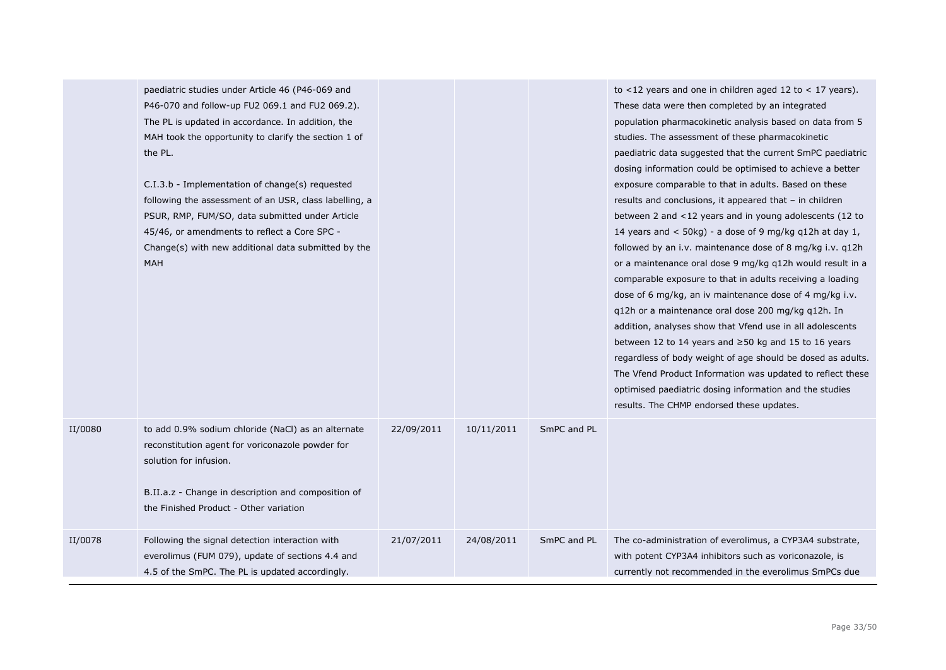|         | paediatric studies under Article 46 (P46-069 and<br>P46-070 and follow-up FU2 069.1 and FU2 069.2).<br>The PL is updated in accordance. In addition, the<br>MAH took the opportunity to clarify the section 1 of<br>the PL.<br>C.I.3.b - Implementation of change(s) requested<br>following the assessment of an USR, class labelling, a<br>PSUR, RMP, FUM/SO, data submitted under Article<br>45/46, or amendments to reflect a Core SPC -<br>Change(s) with new additional data submitted by the<br>MAH |            |            |             | to $<$ 12 years and one in children aged 12 to $<$ 17 years).<br>These data were then completed by an integrated<br>population pharmacokinetic analysis based on data from 5<br>studies. The assessment of these pharmacokinetic<br>paediatric data suggested that the current SmPC paediatric<br>dosing information could be optimised to achieve a better<br>exposure comparable to that in adults. Based on these<br>results and conclusions, it appeared that - in children<br>between 2 and <12 years and in young adolescents (12 to<br>14 years and $<$ 50kg) - a dose of 9 mg/kg q12h at day 1,<br>followed by an i.v. maintenance dose of 8 mg/kg i.v. q12h<br>or a maintenance oral dose 9 mg/kg q12h would result in a<br>comparable exposure to that in adults receiving a loading<br>dose of 6 mg/kg, an iv maintenance dose of 4 mg/kg i.v.<br>q12h or a maintenance oral dose 200 mg/kg q12h. In<br>addition, analyses show that Vfend use in all adolescents<br>between 12 to 14 years and $\geq$ 50 kg and 15 to 16 years<br>regardless of body weight of age should be dosed as adults.<br>The Vfend Product Information was updated to reflect these<br>optimised paediatric dosing information and the studies<br>results. The CHMP endorsed these updates. |
|---------|-----------------------------------------------------------------------------------------------------------------------------------------------------------------------------------------------------------------------------------------------------------------------------------------------------------------------------------------------------------------------------------------------------------------------------------------------------------------------------------------------------------|------------|------------|-------------|---------------------------------------------------------------------------------------------------------------------------------------------------------------------------------------------------------------------------------------------------------------------------------------------------------------------------------------------------------------------------------------------------------------------------------------------------------------------------------------------------------------------------------------------------------------------------------------------------------------------------------------------------------------------------------------------------------------------------------------------------------------------------------------------------------------------------------------------------------------------------------------------------------------------------------------------------------------------------------------------------------------------------------------------------------------------------------------------------------------------------------------------------------------------------------------------------------------------------------------------------------------------------------|
| II/0080 | to add 0.9% sodium chloride (NaCl) as an alternate<br>reconstitution agent for voriconazole powder for<br>solution for infusion.<br>B.II.a.z - Change in description and composition of<br>the Finished Product - Other variation                                                                                                                                                                                                                                                                         | 22/09/2011 | 10/11/2011 | SmPC and PL |                                                                                                                                                                                                                                                                                                                                                                                                                                                                                                                                                                                                                                                                                                                                                                                                                                                                                                                                                                                                                                                                                                                                                                                                                                                                                 |
| II/0078 | Following the signal detection interaction with<br>everolimus (FUM 079), update of sections 4.4 and<br>4.5 of the SmPC. The PL is updated accordingly.                                                                                                                                                                                                                                                                                                                                                    | 21/07/2011 | 24/08/2011 | SmPC and PL | The co-administration of everolimus, a CYP3A4 substrate,<br>with potent CYP3A4 inhibitors such as voriconazole, is<br>currently not recommended in the everolimus SmPCs due                                                                                                                                                                                                                                                                                                                                                                                                                                                                                                                                                                                                                                                                                                                                                                                                                                                                                                                                                                                                                                                                                                     |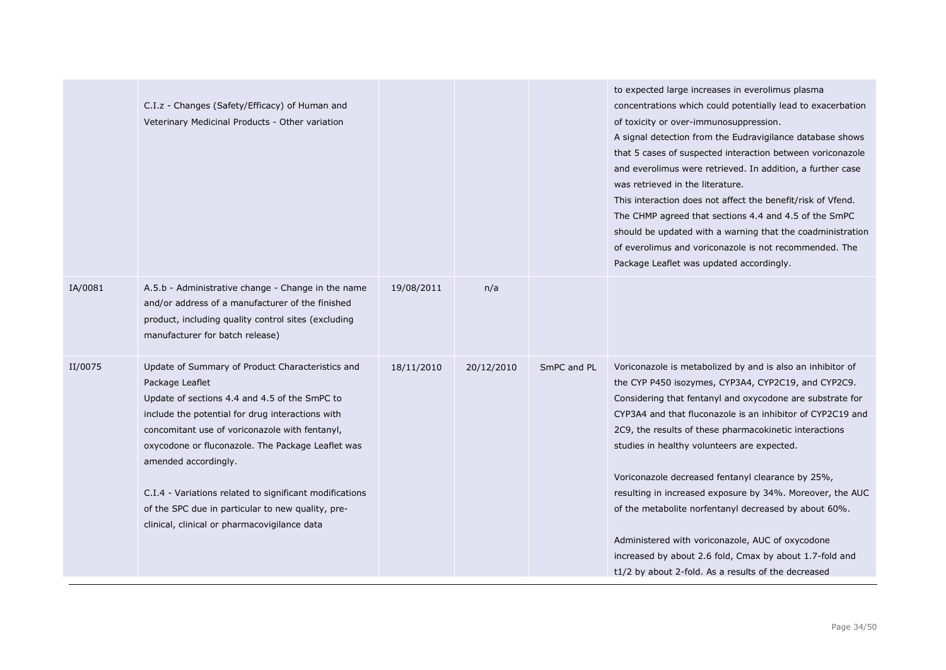|         | C.I.z - Changes (Safety/Efficacy) of Human and<br>Veterinary Medicinal Products - Other variation                                                                                                                                                                                                                                                                                                                                                                       |            |            |             | to expected large increases in everolimus plasma<br>concentrations which could potentially lead to exacerbation<br>of toxicity or over-immunosuppression.<br>A signal detection from the Eudravigilance database shows<br>that 5 cases of suspected interaction between voriconazole<br>and everolimus were retrieved. In addition, a further case<br>was retrieved in the literature.<br>This interaction does not affect the benefit/risk of Vfend.<br>The CHMP agreed that sections 4.4 and 4.5 of the SmPC<br>should be updated with a warning that the coadministration<br>of everolimus and voriconazole is not recommended. The<br>Package Leaflet was updated accordingly.                     |
|---------|-------------------------------------------------------------------------------------------------------------------------------------------------------------------------------------------------------------------------------------------------------------------------------------------------------------------------------------------------------------------------------------------------------------------------------------------------------------------------|------------|------------|-------------|--------------------------------------------------------------------------------------------------------------------------------------------------------------------------------------------------------------------------------------------------------------------------------------------------------------------------------------------------------------------------------------------------------------------------------------------------------------------------------------------------------------------------------------------------------------------------------------------------------------------------------------------------------------------------------------------------------|
| IA/0081 | A.5.b - Administrative change - Change in the name<br>and/or address of a manufacturer of the finished<br>product, including quality control sites (excluding<br>manufacturer for batch release)                                                                                                                                                                                                                                                                        | 19/08/2011 | n/a        |             |                                                                                                                                                                                                                                                                                                                                                                                                                                                                                                                                                                                                                                                                                                        |
| II/0075 | Update of Summary of Product Characteristics and<br>Package Leaflet<br>Update of sections 4.4 and 4.5 of the SmPC to<br>include the potential for drug interactions with<br>concomitant use of voriconazole with fentanyl,<br>oxycodone or fluconazole. The Package Leaflet was<br>amended accordingly.<br>C.I.4 - Variations related to significant modifications<br>of the SPC due in particular to new quality, pre-<br>clinical, clinical or pharmacovigilance data | 18/11/2010 | 20/12/2010 | SmPC and PL | Voriconazole is metabolized by and is also an inhibitor of<br>the CYP P450 isozymes, CYP3A4, CYP2C19, and CYP2C9.<br>Considering that fentanyl and oxycodone are substrate for<br>CYP3A4 and that fluconazole is an inhibitor of CYP2C19 and<br>2C9, the results of these pharmacokinetic interactions<br>studies in healthy volunteers are expected.<br>Voriconazole decreased fentanyl clearance by 25%,<br>resulting in increased exposure by 34%. Moreover, the AUC<br>of the metabolite norfentanyl decreased by about 60%.<br>Administered with voriconazole, AUC of oxycodone<br>increased by about 2.6 fold, Cmax by about 1.7-fold and<br>t1/2 by about 2-fold. As a results of the decreased |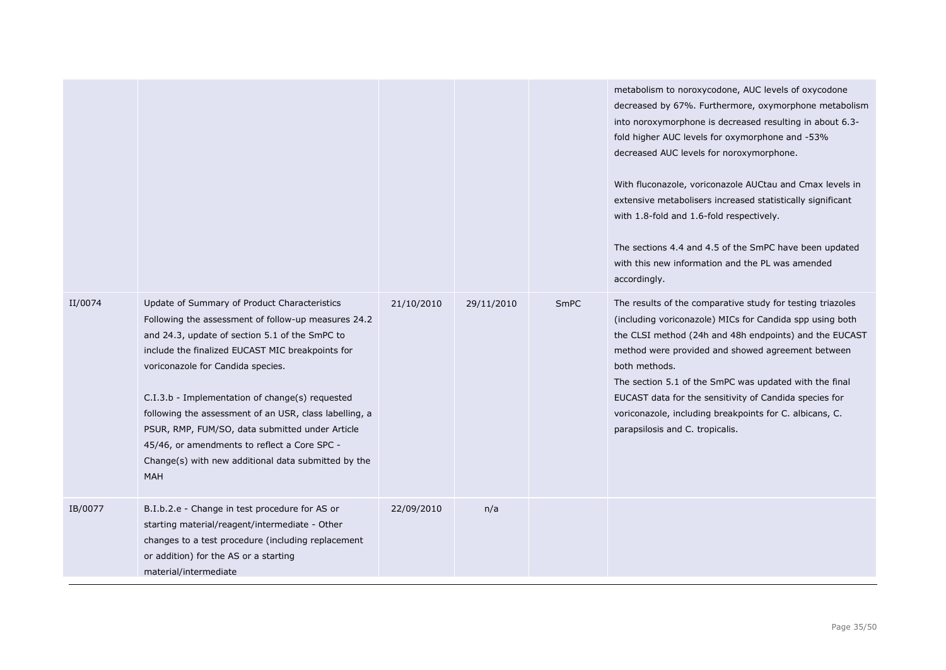|         |                                                                                                                                                                                                                                                                                                                                                                                                                                                                                                                              |            |            |             | metabolism to noroxycodone, AUC levels of oxycodone<br>decreased by 67%. Furthermore, oxymorphone metabolism<br>into noroxymorphone is decreased resulting in about 6.3-<br>fold higher AUC levels for oxymorphone and -53%<br>decreased AUC levels for noroxymorphone.<br>With fluconazole, voriconazole AUCtau and Cmax levels in<br>extensive metabolisers increased statistically significant<br>with 1.8-fold and 1.6-fold respectively.<br>The sections 4.4 and 4.5 of the SmPC have been updated<br>with this new information and the PL was amended<br>accordingly. |
|---------|------------------------------------------------------------------------------------------------------------------------------------------------------------------------------------------------------------------------------------------------------------------------------------------------------------------------------------------------------------------------------------------------------------------------------------------------------------------------------------------------------------------------------|------------|------------|-------------|-----------------------------------------------------------------------------------------------------------------------------------------------------------------------------------------------------------------------------------------------------------------------------------------------------------------------------------------------------------------------------------------------------------------------------------------------------------------------------------------------------------------------------------------------------------------------------|
| II/0074 | Update of Summary of Product Characteristics<br>Following the assessment of follow-up measures 24.2<br>and 24.3, update of section 5.1 of the SmPC to<br>include the finalized EUCAST MIC breakpoints for<br>voriconazole for Candida species.<br>C.I.3.b - Implementation of change(s) requested<br>following the assessment of an USR, class labelling, a<br>PSUR, RMP, FUM/SO, data submitted under Article<br>45/46, or amendments to reflect a Core SPC -<br>Change(s) with new additional data submitted by the<br>MAH | 21/10/2010 | 29/11/2010 | <b>SmPC</b> | The results of the comparative study for testing triazoles<br>(including voriconazole) MICs for Candida spp using both<br>the CLSI method (24h and 48h endpoints) and the EUCAST<br>method were provided and showed agreement between<br>both methods.<br>The section 5.1 of the SmPC was updated with the final<br>EUCAST data for the sensitivity of Candida species for<br>voriconazole, including breakpoints for C. albicans, C.<br>parapsilosis and C. tropicalis.                                                                                                    |
| IB/0077 | B.I.b.2.e - Change in test procedure for AS or<br>starting material/reagent/intermediate - Other<br>changes to a test procedure (including replacement<br>or addition) for the AS or a starting<br>material/intermediate                                                                                                                                                                                                                                                                                                     | 22/09/2010 | n/a        |             |                                                                                                                                                                                                                                                                                                                                                                                                                                                                                                                                                                             |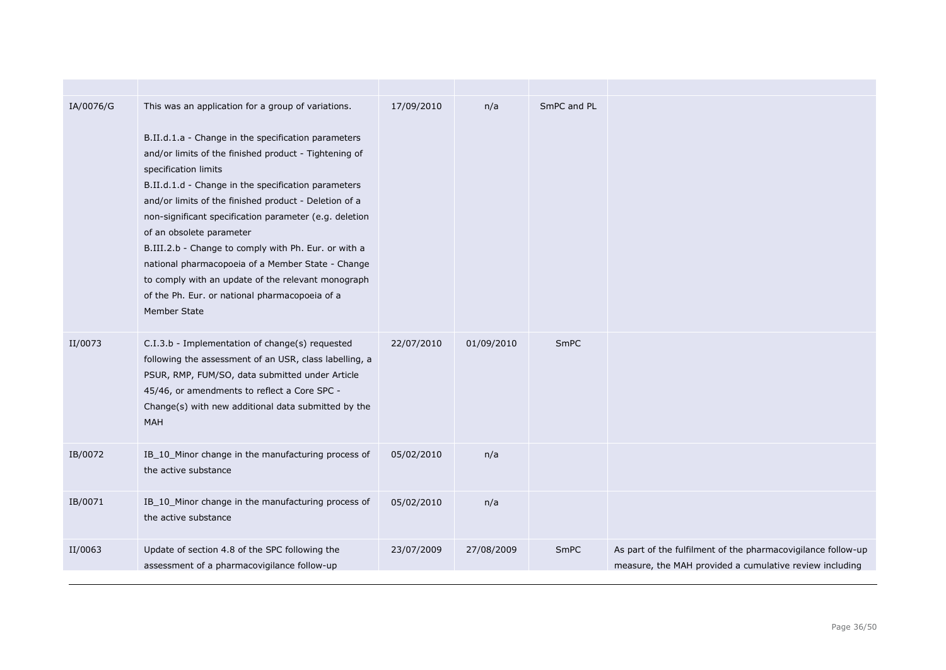| IA/0076/G | This was an application for a group of variations.<br>B.II.d.1.a - Change in the specification parameters<br>and/or limits of the finished product - Tightening of<br>specification limits<br>B.II.d.1.d - Change in the specification parameters<br>and/or limits of the finished product - Deletion of a<br>non-significant specification parameter (e.g. deletion<br>of an obsolete parameter<br>B.III.2.b - Change to comply with Ph. Eur. or with a<br>national pharmacopoeia of a Member State - Change<br>to comply with an update of the relevant monograph<br>of the Ph. Eur. or national pharmacopoeia of a<br>Member State | 17/09/2010 | n/a        | SmPC and PL |                                                                                                                         |
|-----------|---------------------------------------------------------------------------------------------------------------------------------------------------------------------------------------------------------------------------------------------------------------------------------------------------------------------------------------------------------------------------------------------------------------------------------------------------------------------------------------------------------------------------------------------------------------------------------------------------------------------------------------|------------|------------|-------------|-------------------------------------------------------------------------------------------------------------------------|
| II/0073   | C.I.3.b - Implementation of change(s) requested<br>following the assessment of an USR, class labelling, a<br>PSUR, RMP, FUM/SO, data submitted under Article<br>45/46, or amendments to reflect a Core SPC -<br>Change(s) with new additional data submitted by the<br><b>MAH</b>                                                                                                                                                                                                                                                                                                                                                     | 22/07/2010 | 01/09/2010 | <b>SmPC</b> |                                                                                                                         |
| IB/0072   | IB_10_Minor change in the manufacturing process of<br>the active substance                                                                                                                                                                                                                                                                                                                                                                                                                                                                                                                                                            | 05/02/2010 | n/a        |             |                                                                                                                         |
| IB/0071   | IB_10_Minor change in the manufacturing process of<br>the active substance                                                                                                                                                                                                                                                                                                                                                                                                                                                                                                                                                            | 05/02/2010 | n/a        |             |                                                                                                                         |
| II/0063   | Update of section 4.8 of the SPC following the<br>assessment of a pharmacovigilance follow-up                                                                                                                                                                                                                                                                                                                                                                                                                                                                                                                                         | 23/07/2009 | 27/08/2009 | SmPC        | As part of the fulfilment of the pharmacovigilance follow-up<br>measure, the MAH provided a cumulative review including |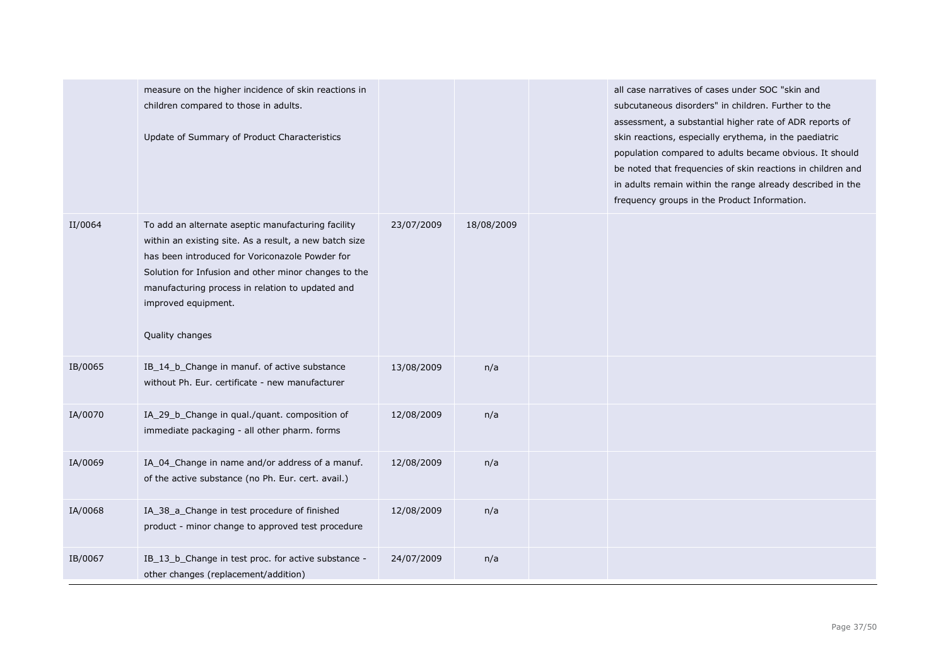|         | measure on the higher incidence of skin reactions in<br>children compared to those in adults.<br>Update of Summary of Product Characteristics                                                                                                                                                                         |            |            | all case narratives of cases under SOC "skin and<br>subcutaneous disorders" in children. Further to the<br>assessment, a substantial higher rate of ADR reports of<br>skin reactions, especially erythema, in the paediatric<br>population compared to adults became obvious. It should<br>be noted that frequencies of skin reactions in children and<br>in adults remain within the range already described in the<br>frequency groups in the Product Information. |
|---------|-----------------------------------------------------------------------------------------------------------------------------------------------------------------------------------------------------------------------------------------------------------------------------------------------------------------------|------------|------------|----------------------------------------------------------------------------------------------------------------------------------------------------------------------------------------------------------------------------------------------------------------------------------------------------------------------------------------------------------------------------------------------------------------------------------------------------------------------|
| II/0064 | To add an alternate aseptic manufacturing facility<br>within an existing site. As a result, a new batch size<br>has been introduced for Voriconazole Powder for<br>Solution for Infusion and other minor changes to the<br>manufacturing process in relation to updated and<br>improved equipment.<br>Quality changes | 23/07/2009 | 18/08/2009 |                                                                                                                                                                                                                                                                                                                                                                                                                                                                      |
| IB/0065 | IB_14_b_Change in manuf. of active substance<br>without Ph. Eur. certificate - new manufacturer                                                                                                                                                                                                                       | 13/08/2009 | n/a        |                                                                                                                                                                                                                                                                                                                                                                                                                                                                      |
| IA/0070 | IA_29_b_Change in qual./quant. composition of<br>immediate packaging - all other pharm. forms                                                                                                                                                                                                                         | 12/08/2009 | n/a        |                                                                                                                                                                                                                                                                                                                                                                                                                                                                      |
| IA/0069 | IA_04_Change in name and/or address of a manuf.<br>of the active substance (no Ph. Eur. cert. avail.)                                                                                                                                                                                                                 | 12/08/2009 | n/a        |                                                                                                                                                                                                                                                                                                                                                                                                                                                                      |
| IA/0068 | IA_38_a_Change in test procedure of finished<br>product - minor change to approved test procedure                                                                                                                                                                                                                     | 12/08/2009 | n/a        |                                                                                                                                                                                                                                                                                                                                                                                                                                                                      |
| IB/0067 | IB_13_b_Change in test proc. for active substance -<br>other changes (replacement/addition)                                                                                                                                                                                                                           | 24/07/2009 | n/a        |                                                                                                                                                                                                                                                                                                                                                                                                                                                                      |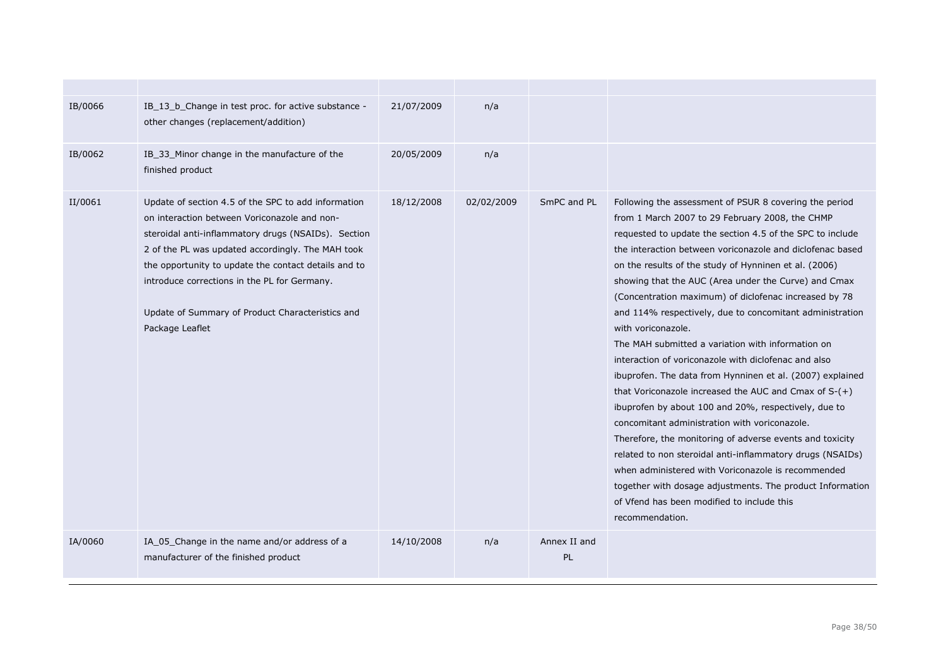| IB/0066 | IB_13_b_Change in test proc. for active substance -<br>other changes (replacement/addition)                                                                                                                                                                                                                                                                                                    | 21/07/2009 | n/a        |                           |                                                                                                                                                                                                                                                                                                                                                                                                                                                                                                                                                                                                                                                                                                                                                                                                                                                                                                                                                                                                                                                                                                                                                            |
|---------|------------------------------------------------------------------------------------------------------------------------------------------------------------------------------------------------------------------------------------------------------------------------------------------------------------------------------------------------------------------------------------------------|------------|------------|---------------------------|------------------------------------------------------------------------------------------------------------------------------------------------------------------------------------------------------------------------------------------------------------------------------------------------------------------------------------------------------------------------------------------------------------------------------------------------------------------------------------------------------------------------------------------------------------------------------------------------------------------------------------------------------------------------------------------------------------------------------------------------------------------------------------------------------------------------------------------------------------------------------------------------------------------------------------------------------------------------------------------------------------------------------------------------------------------------------------------------------------------------------------------------------------|
| IB/0062 | IB 33 Minor change in the manufacture of the<br>finished product                                                                                                                                                                                                                                                                                                                               | 20/05/2009 | n/a        |                           |                                                                                                                                                                                                                                                                                                                                                                                                                                                                                                                                                                                                                                                                                                                                                                                                                                                                                                                                                                                                                                                                                                                                                            |
| II/0061 | Update of section 4.5 of the SPC to add information<br>on interaction between Voriconazole and non-<br>steroidal anti-inflammatory drugs (NSAIDs). Section<br>2 of the PL was updated accordingly. The MAH took<br>the opportunity to update the contact details and to<br>introduce corrections in the PL for Germany.<br>Update of Summary of Product Characteristics and<br>Package Leaflet | 18/12/2008 | 02/02/2009 | SmPC and PL               | Following the assessment of PSUR 8 covering the period<br>from 1 March 2007 to 29 February 2008, the CHMP<br>requested to update the section 4.5 of the SPC to include<br>the interaction between voriconazole and diclofenac based<br>on the results of the study of Hynninen et al. (2006)<br>showing that the AUC (Area under the Curve) and Cmax<br>(Concentration maximum) of diclofenac increased by 78<br>and 114% respectively, due to concomitant administration<br>with voriconazole.<br>The MAH submitted a variation with information on<br>interaction of voriconazole with diclofenac and also<br>ibuprofen. The data from Hynninen et al. (2007) explained<br>that Voriconazole increased the AUC and Cmax of $S-(+)$<br>ibuprofen by about 100 and 20%, respectively, due to<br>concomitant administration with voriconazole.<br>Therefore, the monitoring of adverse events and toxicity<br>related to non steroidal anti-inflammatory drugs (NSAIDs)<br>when administered with Voriconazole is recommended<br>together with dosage adjustments. The product Information<br>of Vfend has been modified to include this<br>recommendation. |
| IA/0060 | IA 05 Change in the name and/or address of a<br>manufacturer of the finished product                                                                                                                                                                                                                                                                                                           | 14/10/2008 | n/a        | Annex II and<br><b>PL</b> |                                                                                                                                                                                                                                                                                                                                                                                                                                                                                                                                                                                                                                                                                                                                                                                                                                                                                                                                                                                                                                                                                                                                                            |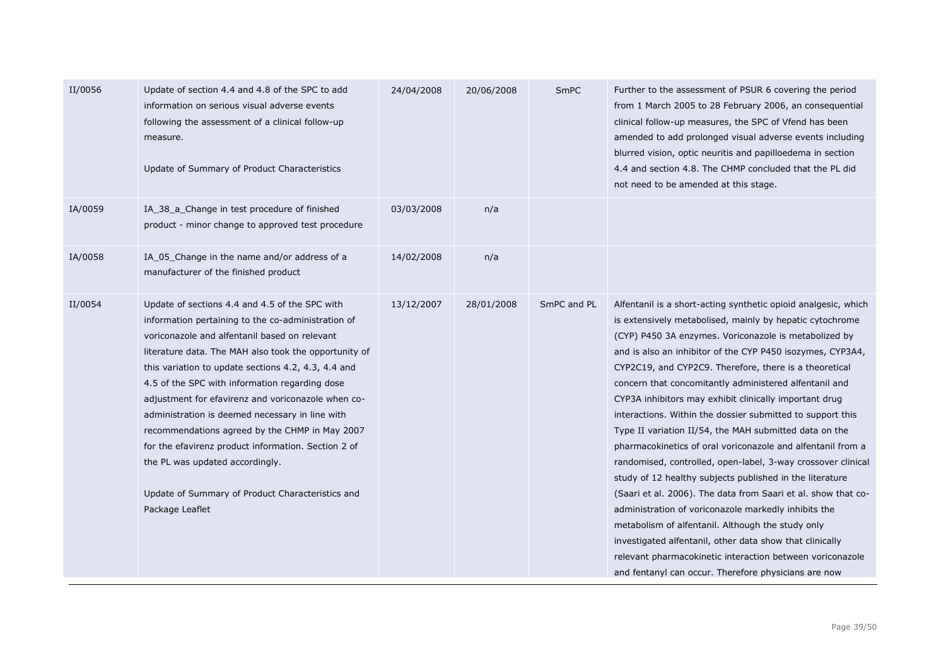| II/0056 | Update of section 4.4 and 4.8 of the SPC to add<br>information on serious visual adverse events<br>following the assessment of a clinical follow-up<br>measure.<br>Update of Summary of Product Characteristics                                                                                                                                                                                                                                                                                                                                                                                                                                     | 24/04/2008 | 20/06/2008 | SmPC        | Further to the assessment of PSUR 6 covering the period<br>from 1 March 2005 to 28 February 2006, an consequential<br>clinical follow-up measures, the SPC of Vfend has been<br>amended to add prolonged visual adverse events including<br>blurred vision, optic neuritis and papilloedema in section<br>4.4 and section 4.8. The CHMP concluded that the PL did<br>not need to be amended at this stage.                                                                                                                                                                                                                                                                                                                                                                                                                                                                                                                                                                                                                                                                                                        |
|---------|-----------------------------------------------------------------------------------------------------------------------------------------------------------------------------------------------------------------------------------------------------------------------------------------------------------------------------------------------------------------------------------------------------------------------------------------------------------------------------------------------------------------------------------------------------------------------------------------------------------------------------------------------------|------------|------------|-------------|-------------------------------------------------------------------------------------------------------------------------------------------------------------------------------------------------------------------------------------------------------------------------------------------------------------------------------------------------------------------------------------------------------------------------------------------------------------------------------------------------------------------------------------------------------------------------------------------------------------------------------------------------------------------------------------------------------------------------------------------------------------------------------------------------------------------------------------------------------------------------------------------------------------------------------------------------------------------------------------------------------------------------------------------------------------------------------------------------------------------|
| IA/0059 | IA_38_a_Change in test procedure of finished<br>product - minor change to approved test procedure                                                                                                                                                                                                                                                                                                                                                                                                                                                                                                                                                   | 03/03/2008 | n/a        |             |                                                                                                                                                                                                                                                                                                                                                                                                                                                                                                                                                                                                                                                                                                                                                                                                                                                                                                                                                                                                                                                                                                                   |
| IA/0058 | IA_05_Change in the name and/or address of a<br>manufacturer of the finished product                                                                                                                                                                                                                                                                                                                                                                                                                                                                                                                                                                | 14/02/2008 | n/a        |             |                                                                                                                                                                                                                                                                                                                                                                                                                                                                                                                                                                                                                                                                                                                                                                                                                                                                                                                                                                                                                                                                                                                   |
| II/0054 | Update of sections 4.4 and 4.5 of the SPC with<br>information pertaining to the co-administration of<br>voriconazole and alfentanil based on relevant<br>literature data. The MAH also took the opportunity of<br>this variation to update sections 4.2, 4.3, 4.4 and<br>4.5 of the SPC with information regarding dose<br>adjustment for efavirenz and voriconazole when co-<br>administration is deemed necessary in line with<br>recommendations agreed by the CHMP in May 2007<br>for the efavirenz product information. Section 2 of<br>the PL was updated accordingly.<br>Update of Summary of Product Characteristics and<br>Package Leaflet | 13/12/2007 | 28/01/2008 | SmPC and PL | Alfentanil is a short-acting synthetic opioid analgesic, which<br>is extensively metabolised, mainly by hepatic cytochrome<br>(CYP) P450 3A enzymes. Voriconazole is metabolized by<br>and is also an inhibitor of the CYP P450 isozymes, CYP3A4,<br>CYP2C19, and CYP2C9. Therefore, there is a theoretical<br>concern that concomitantly administered alfentanil and<br>CYP3A inhibitors may exhibit clinically important drug<br>interactions. Within the dossier submitted to support this<br>Type II variation II/54, the MAH submitted data on the<br>pharmacokinetics of oral voriconazole and alfentanil from a<br>randomised, controlled, open-label, 3-way crossover clinical<br>study of 12 healthy subjects published in the literature<br>(Saari et al. 2006). The data from Saari et al. show that co-<br>administration of voriconazole markedly inhibits the<br>metabolism of alfentanil. Although the study only<br>investigated alfentanil, other data show that clinically<br>relevant pharmacokinetic interaction between voriconazole<br>and fentanyl can occur. Therefore physicians are now |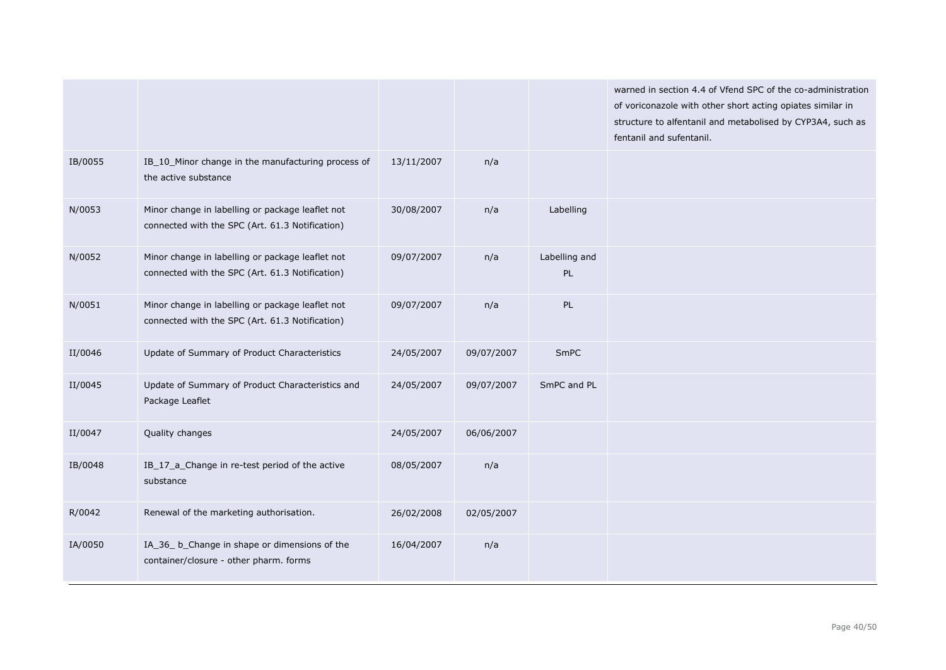|         |                                                                                                     |            |            |                     | warned in section 4.4 of Vfend SPC of the co-administration<br>of voriconazole with other short acting opiates similar in<br>structure to alfentanil and metabolised by CYP3A4, such as<br>fentanil and sufentanil. |
|---------|-----------------------------------------------------------------------------------------------------|------------|------------|---------------------|---------------------------------------------------------------------------------------------------------------------------------------------------------------------------------------------------------------------|
| IB/0055 | IB_10_Minor change in the manufacturing process of<br>the active substance                          | 13/11/2007 | n/a        |                     |                                                                                                                                                                                                                     |
| N/0053  | Minor change in labelling or package leaflet not<br>connected with the SPC (Art. 61.3 Notification) | 30/08/2007 | n/a        | Labelling           |                                                                                                                                                                                                                     |
| N/0052  | Minor change in labelling or package leaflet not<br>connected with the SPC (Art. 61.3 Notification) | 09/07/2007 | n/a        | Labelling and<br>PL |                                                                                                                                                                                                                     |
| N/0051  | Minor change in labelling or package leaflet not<br>connected with the SPC (Art. 61.3 Notification) | 09/07/2007 | n/a        | PL                  |                                                                                                                                                                                                                     |
| II/0046 | Update of Summary of Product Characteristics                                                        | 24/05/2007 | 09/07/2007 | SmPC                |                                                                                                                                                                                                                     |
| II/0045 | Update of Summary of Product Characteristics and<br>Package Leaflet                                 | 24/05/2007 | 09/07/2007 | SmPC and PL         |                                                                                                                                                                                                                     |
| II/0047 | Quality changes                                                                                     | 24/05/2007 | 06/06/2007 |                     |                                                                                                                                                                                                                     |
| IB/0048 | IB_17_a_Change in re-test period of the active<br>substance                                         | 08/05/2007 | n/a        |                     |                                                                                                                                                                                                                     |
| R/0042  | Renewal of the marketing authorisation.                                                             | 26/02/2008 | 02/05/2007 |                     |                                                                                                                                                                                                                     |
| IA/0050 | IA_36_ b_Change in shape or dimensions of the<br>container/closure - other pharm. forms             | 16/04/2007 | n/a        |                     |                                                                                                                                                                                                                     |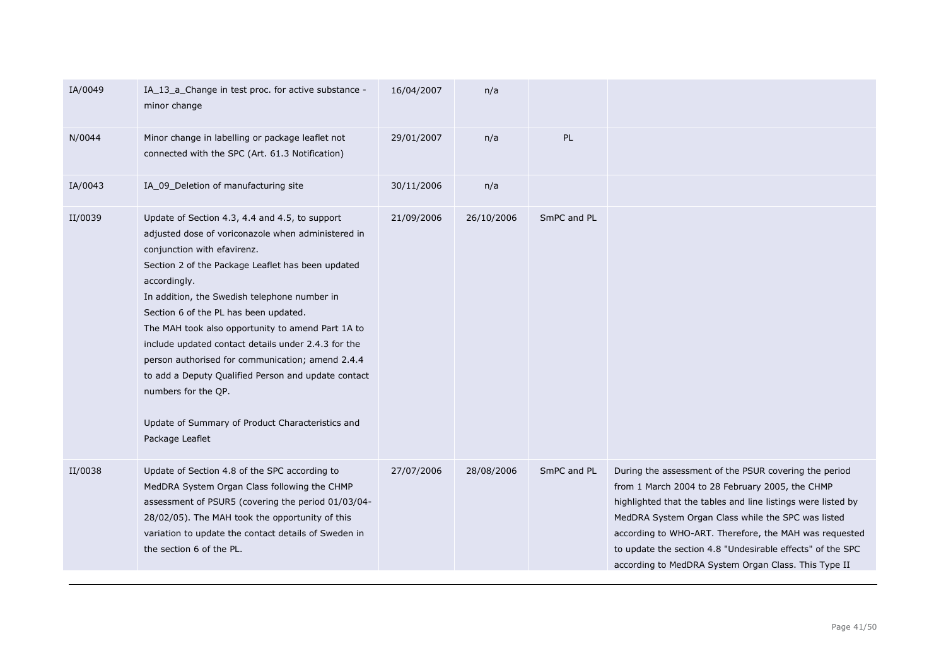| IA/0049 | IA_13_a_Change in test proc. for active substance -<br>minor change                                                                                                                                                                                                                                                                                                                                                                                                                                                                                                                                                    | 16/04/2007 | n/a        |             |                                                                                                                                                                                                                                                                                                                                                                                                                |
|---------|------------------------------------------------------------------------------------------------------------------------------------------------------------------------------------------------------------------------------------------------------------------------------------------------------------------------------------------------------------------------------------------------------------------------------------------------------------------------------------------------------------------------------------------------------------------------------------------------------------------------|------------|------------|-------------|----------------------------------------------------------------------------------------------------------------------------------------------------------------------------------------------------------------------------------------------------------------------------------------------------------------------------------------------------------------------------------------------------------------|
| N/0044  | Minor change in labelling or package leaflet not<br>connected with the SPC (Art. 61.3 Notification)                                                                                                                                                                                                                                                                                                                                                                                                                                                                                                                    | 29/01/2007 | n/a        | PL          |                                                                                                                                                                                                                                                                                                                                                                                                                |
| IA/0043 | IA_09_Deletion of manufacturing site                                                                                                                                                                                                                                                                                                                                                                                                                                                                                                                                                                                   | 30/11/2006 | n/a        |             |                                                                                                                                                                                                                                                                                                                                                                                                                |
| II/0039 | Update of Section 4.3, 4.4 and 4.5, to support<br>adjusted dose of voriconazole when administered in<br>conjunction with efavirenz.<br>Section 2 of the Package Leaflet has been updated<br>accordingly.<br>In addition, the Swedish telephone number in<br>Section 6 of the PL has been updated.<br>The MAH took also opportunity to amend Part 1A to<br>include updated contact details under 2.4.3 for the<br>person authorised for communication; amend 2.4.4<br>to add a Deputy Qualified Person and update contact<br>numbers for the QP.<br>Update of Summary of Product Characteristics and<br>Package Leaflet | 21/09/2006 | 26/10/2006 | SmPC and PL |                                                                                                                                                                                                                                                                                                                                                                                                                |
| II/0038 | Update of Section 4.8 of the SPC according to<br>MedDRA System Organ Class following the CHMP<br>assessment of PSUR5 (covering the period 01/03/04-<br>28/02/05). The MAH took the opportunity of this<br>variation to update the contact details of Sweden in<br>the section 6 of the PL.                                                                                                                                                                                                                                                                                                                             | 27/07/2006 | 28/08/2006 | SmPC and PL | During the assessment of the PSUR covering the period<br>from 1 March 2004 to 28 February 2005, the CHMP<br>highlighted that the tables and line listings were listed by<br>MedDRA System Organ Class while the SPC was listed<br>according to WHO-ART. Therefore, the MAH was requested<br>to update the section 4.8 "Undesirable effects" of the SPC<br>according to MedDRA System Organ Class. This Type II |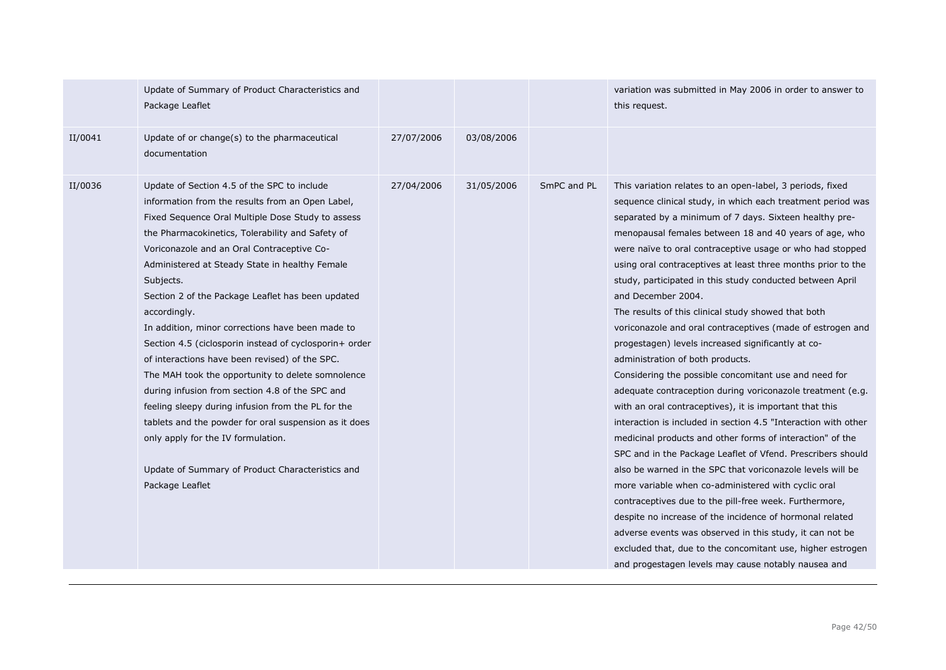|         | Update of Summary of Product Characteristics and<br>Package Leaflet                                                                                                                                                                                                                                                                                                                                                                                                                                                                                                                                                                                                                                                                                                                                                                                                                            |            |            |             | variation was submitted in May 2006 in order to answer to<br>this request.                                                                                                                                                                                                                                                                                                                                                                                                                                                                                                                                                                                                                                                                                                                                                                                                                                                                                                                                                                                                                                                                                                                                                                                                                                                                                                                                                                                                              |
|---------|------------------------------------------------------------------------------------------------------------------------------------------------------------------------------------------------------------------------------------------------------------------------------------------------------------------------------------------------------------------------------------------------------------------------------------------------------------------------------------------------------------------------------------------------------------------------------------------------------------------------------------------------------------------------------------------------------------------------------------------------------------------------------------------------------------------------------------------------------------------------------------------------|------------|------------|-------------|-----------------------------------------------------------------------------------------------------------------------------------------------------------------------------------------------------------------------------------------------------------------------------------------------------------------------------------------------------------------------------------------------------------------------------------------------------------------------------------------------------------------------------------------------------------------------------------------------------------------------------------------------------------------------------------------------------------------------------------------------------------------------------------------------------------------------------------------------------------------------------------------------------------------------------------------------------------------------------------------------------------------------------------------------------------------------------------------------------------------------------------------------------------------------------------------------------------------------------------------------------------------------------------------------------------------------------------------------------------------------------------------------------------------------------------------------------------------------------------------|
| II/0041 | Update of or change(s) to the pharmaceutical<br>documentation                                                                                                                                                                                                                                                                                                                                                                                                                                                                                                                                                                                                                                                                                                                                                                                                                                  | 27/07/2006 | 03/08/2006 |             |                                                                                                                                                                                                                                                                                                                                                                                                                                                                                                                                                                                                                                                                                                                                                                                                                                                                                                                                                                                                                                                                                                                                                                                                                                                                                                                                                                                                                                                                                         |
| II/0036 | Update of Section 4.5 of the SPC to include<br>information from the results from an Open Label,<br>Fixed Sequence Oral Multiple Dose Study to assess<br>the Pharmacokinetics, Tolerability and Safety of<br>Voriconazole and an Oral Contraceptive Co-<br>Administered at Steady State in healthy Female<br>Subjects.<br>Section 2 of the Package Leaflet has been updated<br>accordingly.<br>In addition, minor corrections have been made to<br>Section 4.5 (ciclosporin instead of cyclosporin+ order<br>of interactions have been revised) of the SPC.<br>The MAH took the opportunity to delete somnolence<br>during infusion from section 4.8 of the SPC and<br>feeling sleepy during infusion from the PL for the<br>tablets and the powder for oral suspension as it does<br>only apply for the IV formulation.<br>Update of Summary of Product Characteristics and<br>Package Leaflet | 27/04/2006 | 31/05/2006 | SmPC and PL | This variation relates to an open-label, 3 periods, fixed<br>sequence clinical study, in which each treatment period was<br>separated by a minimum of 7 days. Sixteen healthy pre-<br>menopausal females between 18 and 40 years of age, who<br>were naïve to oral contraceptive usage or who had stopped<br>using oral contraceptives at least three months prior to the<br>study, participated in this study conducted between April<br>and December 2004.<br>The results of this clinical study showed that both<br>voriconazole and oral contraceptives (made of estrogen and<br>progestagen) levels increased significantly at co-<br>administration of both products.<br>Considering the possible concomitant use and need for<br>adequate contraception during voriconazole treatment (e.g.<br>with an oral contraceptives), it is important that this<br>interaction is included in section 4.5 "Interaction with other<br>medicinal products and other forms of interaction" of the<br>SPC and in the Package Leaflet of Vfend. Prescribers should<br>also be warned in the SPC that voriconazole levels will be<br>more variable when co-administered with cyclic oral<br>contraceptives due to the pill-free week. Furthermore,<br>despite no increase of the incidence of hormonal related<br>adverse events was observed in this study, it can not be<br>excluded that, due to the concomitant use, higher estrogen<br>and progestagen levels may cause notably nausea and |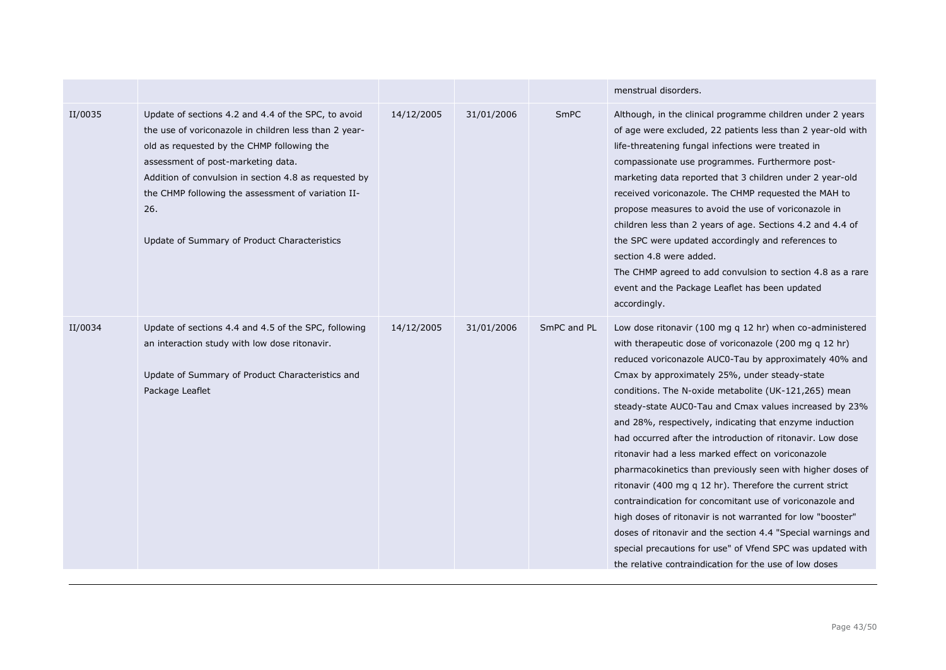|         |                                                                                                                                                                                                                                                                                                                                                                        |            |            |             | menstrual disorders.                                                                                                                                                                                                                                                                                                                                                                                                                                                                                                                                                                                                                                                                                                                                                                                                                                                                                                                                                       |
|---------|------------------------------------------------------------------------------------------------------------------------------------------------------------------------------------------------------------------------------------------------------------------------------------------------------------------------------------------------------------------------|------------|------------|-------------|----------------------------------------------------------------------------------------------------------------------------------------------------------------------------------------------------------------------------------------------------------------------------------------------------------------------------------------------------------------------------------------------------------------------------------------------------------------------------------------------------------------------------------------------------------------------------------------------------------------------------------------------------------------------------------------------------------------------------------------------------------------------------------------------------------------------------------------------------------------------------------------------------------------------------------------------------------------------------|
| II/0035 | Update of sections 4.2 and 4.4 of the SPC, to avoid<br>the use of voriconazole in children less than 2 year-<br>old as requested by the CHMP following the<br>assessment of post-marketing data.<br>Addition of convulsion in section 4.8 as requested by<br>the CHMP following the assessment of variation II-<br>26.<br>Update of Summary of Product Characteristics | 14/12/2005 | 31/01/2006 | SmPC        | Although, in the clinical programme children under 2 years<br>of age were excluded, 22 patients less than 2 year-old with<br>life-threatening fungal infections were treated in<br>compassionate use programmes. Furthermore post-<br>marketing data reported that 3 children under 2 year-old<br>received voriconazole. The CHMP requested the MAH to<br>propose measures to avoid the use of voriconazole in<br>children less than 2 years of age. Sections 4.2 and 4.4 of<br>the SPC were updated accordingly and references to<br>section 4.8 were added.<br>The CHMP agreed to add convulsion to section 4.8 as a rare<br>event and the Package Leaflet has been updated<br>accordingly.                                                                                                                                                                                                                                                                              |
| II/0034 | Update of sections 4.4 and 4.5 of the SPC, following<br>an interaction study with low dose ritonavir.<br>Update of Summary of Product Characteristics and<br>Package Leaflet                                                                                                                                                                                           | 14/12/2005 | 31/01/2006 | SmPC and PL | Low dose ritonavir (100 mg q 12 hr) when co-administered<br>with therapeutic dose of voriconazole (200 mg q 12 hr)<br>reduced voriconazole AUC0-Tau by approximately 40% and<br>Cmax by approximately 25%, under steady-state<br>conditions. The N-oxide metabolite (UK-121,265) mean<br>steady-state AUC0-Tau and Cmax values increased by 23%<br>and 28%, respectively, indicating that enzyme induction<br>had occurred after the introduction of ritonavir. Low dose<br>ritonavir had a less marked effect on voriconazole<br>pharmacokinetics than previously seen with higher doses of<br>ritonavir (400 mg q 12 hr). Therefore the current strict<br>contraindication for concomitant use of voriconazole and<br>high doses of ritonavir is not warranted for low "booster"<br>doses of ritonavir and the section 4.4 "Special warnings and<br>special precautions for use" of Vfend SPC was updated with<br>the relative contraindication for the use of low doses |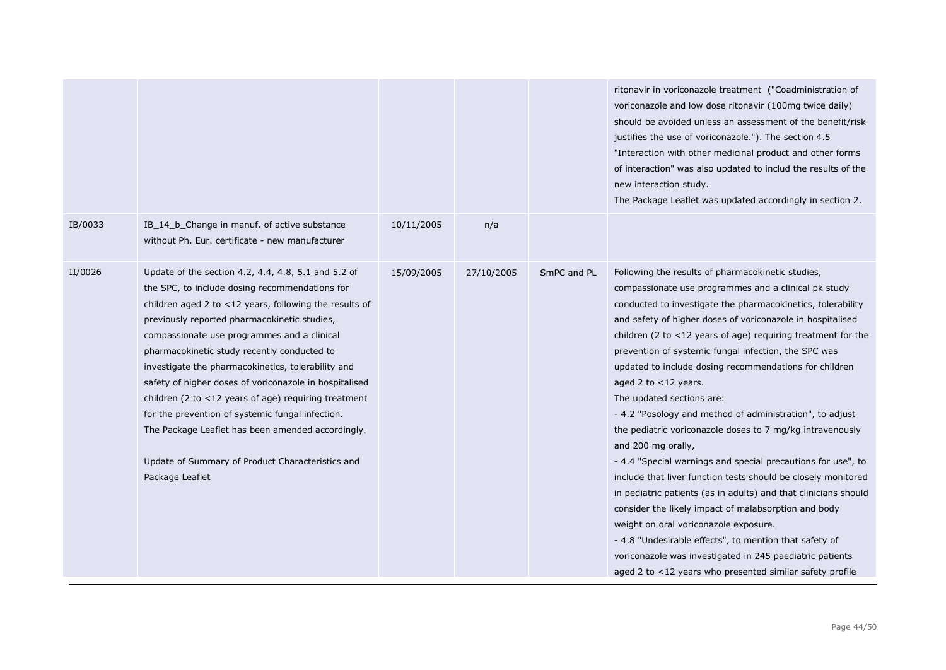|         |                                                                                                                                                                                                                                                                                                                                                                                                                                                                                                                                                                                                                                                                          |            |            |             | ritonavir in voriconazole treatment ("Coadministration of<br>voriconazole and low dose ritonavir (100mg twice daily)<br>should be avoided unless an assessment of the benefit/risk<br>justifies the use of voriconazole."). The section 4.5<br>"Interaction with other medicinal product and other forms<br>of interaction" was also updated to includ the results of the<br>new interaction study.<br>The Package Leaflet was updated accordingly in section 2.                                                                                                                                                                                                                                                                                                                                                                                                                                                                                                                                                                                                                                                          |
|---------|--------------------------------------------------------------------------------------------------------------------------------------------------------------------------------------------------------------------------------------------------------------------------------------------------------------------------------------------------------------------------------------------------------------------------------------------------------------------------------------------------------------------------------------------------------------------------------------------------------------------------------------------------------------------------|------------|------------|-------------|---------------------------------------------------------------------------------------------------------------------------------------------------------------------------------------------------------------------------------------------------------------------------------------------------------------------------------------------------------------------------------------------------------------------------------------------------------------------------------------------------------------------------------------------------------------------------------------------------------------------------------------------------------------------------------------------------------------------------------------------------------------------------------------------------------------------------------------------------------------------------------------------------------------------------------------------------------------------------------------------------------------------------------------------------------------------------------------------------------------------------|
| IB/0033 | IB 14 b Change in manuf. of active substance<br>without Ph. Eur. certificate - new manufacturer                                                                                                                                                                                                                                                                                                                                                                                                                                                                                                                                                                          | 10/11/2005 | n/a        |             |                                                                                                                                                                                                                                                                                                                                                                                                                                                                                                                                                                                                                                                                                                                                                                                                                                                                                                                                                                                                                                                                                                                           |
| II/0026 | Update of the section 4.2, 4.4, 4.8, 5.1 and 5.2 of<br>the SPC, to include dosing recommendations for<br>children aged 2 to <12 years, following the results of<br>previously reported pharmacokinetic studies,<br>compassionate use programmes and a clinical<br>pharmacokinetic study recently conducted to<br>investigate the pharmacokinetics, tolerability and<br>safety of higher doses of voriconazole in hospitalised<br>children (2 to $<$ 12 years of age) requiring treatment<br>for the prevention of systemic fungal infection.<br>The Package Leaflet has been amended accordingly.<br>Update of Summary of Product Characteristics and<br>Package Leaflet | 15/09/2005 | 27/10/2005 | SmPC and PL | Following the results of pharmacokinetic studies,<br>compassionate use programmes and a clinical pk study<br>conducted to investigate the pharmacokinetics, tolerability<br>and safety of higher doses of voriconazole in hospitalised<br>children (2 to $<$ 12 years of age) requiring treatment for the<br>prevention of systemic fungal infection, the SPC was<br>updated to include dosing recommendations for children<br>aged 2 to $<$ 12 years.<br>The updated sections are:<br>- 4.2 "Posology and method of administration", to adjust<br>the pediatric voriconazole doses to 7 mg/kg intravenously<br>and 200 mg orally,<br>- 4.4 "Special warnings and special precautions for use", to<br>include that liver function tests should be closely monitored<br>in pediatric patients (as in adults) and that clinicians should<br>consider the likely impact of malabsorption and body<br>weight on oral voriconazole exposure.<br>- 4.8 "Undesirable effects", to mention that safety of<br>voriconazole was investigated in 245 paediatric patients<br>aged 2 to <12 years who presented similar safety profile |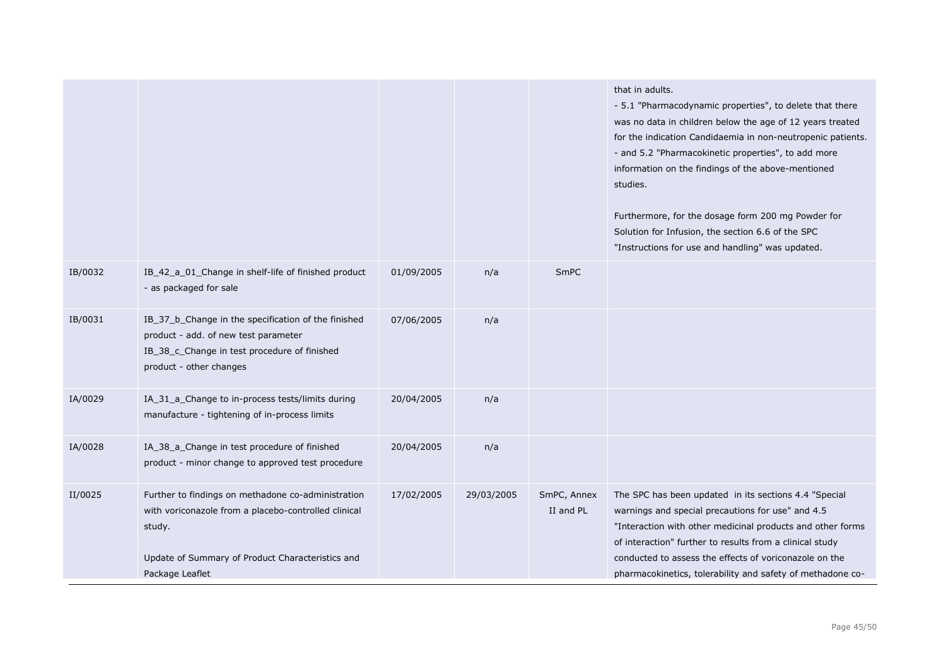|         |                                                                                                                                                                                             |            |            |                          | that in adults.<br>- 5.1 "Pharmacodynamic properties", to delete that there<br>was no data in children below the age of 12 years treated<br>for the indication Candidaemia in non-neutropenic patients.<br>- and 5.2 "Pharmacokinetic properties", to add more<br>information on the findings of the above-mentioned<br>studies.<br>Furthermore, for the dosage form 200 mg Powder for<br>Solution for Infusion, the section 6.6 of the SPC<br>"Instructions for use and handling" was updated. |
|---------|---------------------------------------------------------------------------------------------------------------------------------------------------------------------------------------------|------------|------------|--------------------------|-------------------------------------------------------------------------------------------------------------------------------------------------------------------------------------------------------------------------------------------------------------------------------------------------------------------------------------------------------------------------------------------------------------------------------------------------------------------------------------------------|
| IB/0032 | IB_42_a_01_Change in shelf-life of finished product<br>- as packaged for sale                                                                                                               | 01/09/2005 | n/a        | SmPC                     |                                                                                                                                                                                                                                                                                                                                                                                                                                                                                                 |
| IB/0031 | IB_37_b_Change in the specification of the finished<br>product - add. of new test parameter<br>IB_38_c_Change in test procedure of finished<br>product - other changes                      | 07/06/2005 | n/a        |                          |                                                                                                                                                                                                                                                                                                                                                                                                                                                                                                 |
| IA/0029 | IA_31_a_Change to in-process tests/limits during<br>manufacture - tightening of in-process limits                                                                                           | 20/04/2005 | n/a        |                          |                                                                                                                                                                                                                                                                                                                                                                                                                                                                                                 |
| IA/0028 | IA_38_a_Change in test procedure of finished<br>product - minor change to approved test procedure                                                                                           | 20/04/2005 | n/a        |                          |                                                                                                                                                                                                                                                                                                                                                                                                                                                                                                 |
| II/0025 | Further to findings on methadone co-administration<br>with voriconazole from a placebo-controlled clinical<br>study.<br>Update of Summary of Product Characteristics and<br>Package Leaflet | 17/02/2005 | 29/03/2005 | SmPC, Annex<br>II and PL | The SPC has been updated in its sections 4.4 "Special<br>warnings and special precautions for use" and 4.5<br>"Interaction with other medicinal products and other forms<br>of interaction" further to results from a clinical study<br>conducted to assess the effects of voriconazole on the<br>pharmacokinetics, tolerability and safety of methadone co-                                                                                                                                    |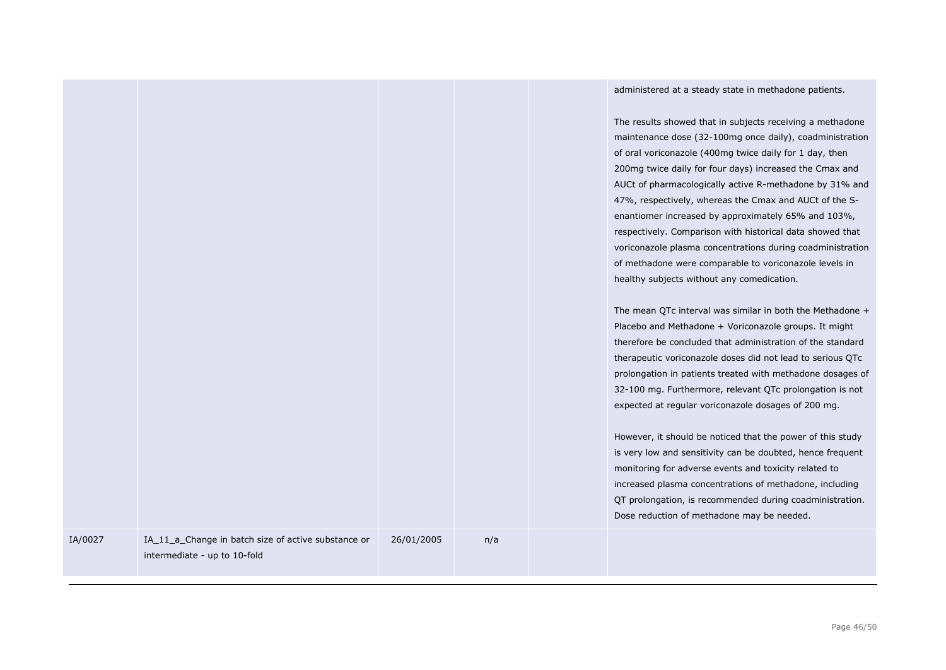administered at a steady state in methadone patients.

The results showed that in subjects receiving a methadone maintenance dose (32-100mg once daily), coadministration of oral voriconazole (400mg twice daily for 1 day, then 200mg twice daily for four days) increased the Cmax and AUCt of pharmacologically active R-methadone by 31% and 47%, respectively, whereas the Cmax and AUCt of the Senantiomer increased by approximately 65% and 103%, respectively. Comparison with historical data showed that voriconazole plasma concentrations during coadministration of methadone were comparable to voriconazole levels in

|         |                                                                                     |            |     | voriconazole plasma concentrations during coadministratio<br>of methadone were comparable to voriconazole levels in<br>healthy subjects without any comedication.<br>The mean QTc interval was similar in both the Methadone -<br>Placebo and Methadone + Voriconazole groups. It might<br>therefore be concluded that administration of the standard<br>therapeutic voriconazole doses did not lead to serious QTc<br>prolongation in patients treated with methadone dosages of<br>32-100 mg. Furthermore, relevant QTc prolongation is not<br>expected at regular voriconazole dosages of 200 mg.<br>However, it should be noticed that the power of this study<br>is very low and sensitivity can be doubted, hence frequent<br>monitoring for adverse events and toxicity related to<br>increased plasma concentrations of methadone, including<br>QT prolongation, is recommended during coadministration.<br>Dose reduction of methadone may be needed. |
|---------|-------------------------------------------------------------------------------------|------------|-----|----------------------------------------------------------------------------------------------------------------------------------------------------------------------------------------------------------------------------------------------------------------------------------------------------------------------------------------------------------------------------------------------------------------------------------------------------------------------------------------------------------------------------------------------------------------------------------------------------------------------------------------------------------------------------------------------------------------------------------------------------------------------------------------------------------------------------------------------------------------------------------------------------------------------------------------------------------------|
| IA/0027 | IA_11_a_Change in batch size of active substance or<br>intermediate - up to 10-fold | 26/01/2005 | n/a |                                                                                                                                                                                                                                                                                                                                                                                                                                                                                                                                                                                                                                                                                                                                                                                                                                                                                                                                                                |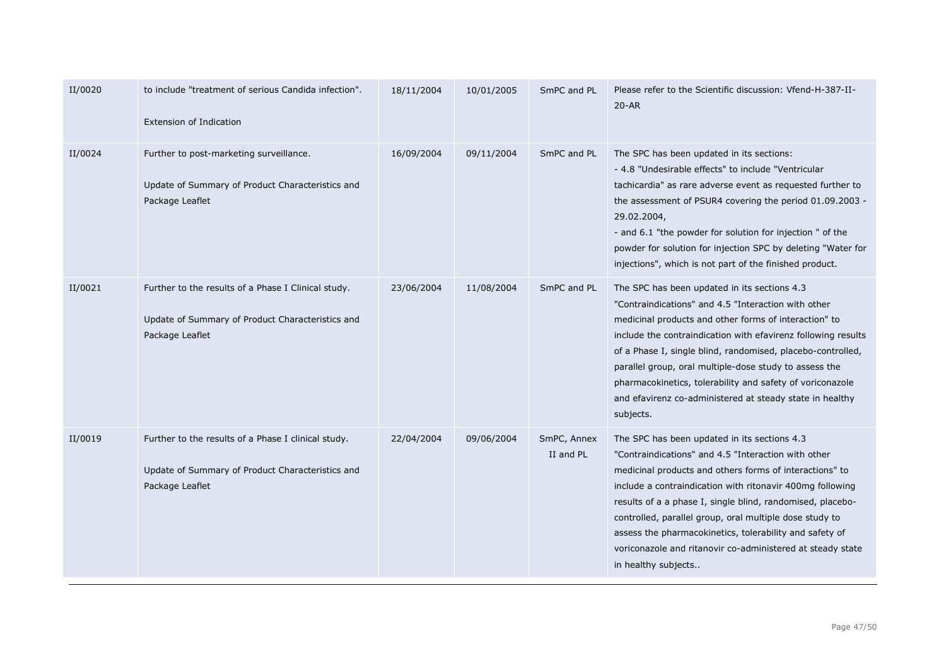| II/0020 | to include "treatment of serious Candida infection".<br><b>Extension of Indication</b>                                     | 18/11/2004 | 10/01/2005 | SmPC and PL              | Please refer to the Scientific discussion: Vfend-H-387-II-<br>$20 - AR$                                                                                                                                                                                                                                                                                                                                                                                                                              |
|---------|----------------------------------------------------------------------------------------------------------------------------|------------|------------|--------------------------|------------------------------------------------------------------------------------------------------------------------------------------------------------------------------------------------------------------------------------------------------------------------------------------------------------------------------------------------------------------------------------------------------------------------------------------------------------------------------------------------------|
| II/0024 | Further to post-marketing surveillance.<br>Update of Summary of Product Characteristics and<br>Package Leaflet             | 16/09/2004 | 09/11/2004 | SmPC and PL              | The SPC has been updated in its sections:<br>- 4.8 "Undesirable effects" to include "Ventricular<br>tachicardia" as rare adverse event as requested further to<br>the assessment of PSUR4 covering the period 01.09.2003 -<br>29.02.2004,<br>- and 6.1 "the powder for solution for injection " of the<br>powder for solution for injection SPC by deleting "Water for<br>injections", which is not part of the finished product.                                                                    |
| II/0021 | Further to the results of a Phase I Clinical study.<br>Update of Summary of Product Characteristics and<br>Package Leaflet | 23/06/2004 | 11/08/2004 | SmPC and PL              | The SPC has been updated in its sections 4.3<br>"Contraindications" and 4.5 "Interaction with other<br>medicinal products and other forms of interaction" to<br>include the contraindication with efavirenz following results<br>of a Phase I, single blind, randomised, placebo-controlled,<br>parallel group, oral multiple-dose study to assess the<br>pharmacokinetics, tolerability and safety of voriconazole<br>and efavirenz co-administered at steady state in healthy<br>subjects.         |
| II/0019 | Further to the results of a Phase I clinical study.<br>Update of Summary of Product Characteristics and<br>Package Leaflet | 22/04/2004 | 09/06/2004 | SmPC, Annex<br>II and PL | The SPC has been updated in its sections 4.3<br>"Contraindications" and 4.5 "Interaction with other<br>medicinal products and others forms of interactions" to<br>include a contraindication with ritonavir 400mg following<br>results of a a phase I, single blind, randomised, placebo-<br>controlled, parallel group, oral multiple dose study to<br>assess the pharmacokinetics, tolerability and safety of<br>voriconazole and ritanovir co-administered at steady state<br>in healthy subjects |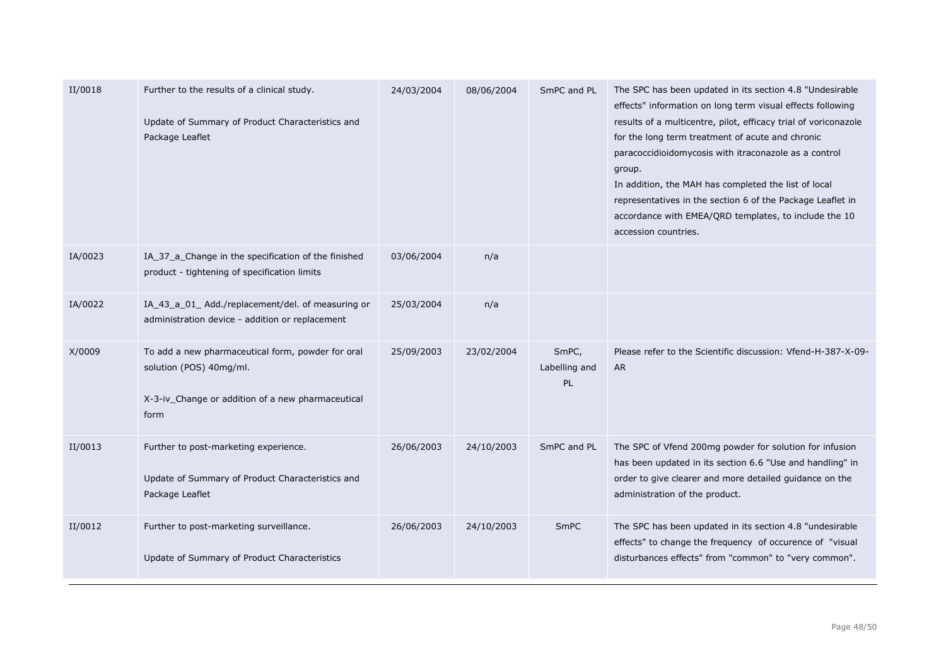| II/0018 | Further to the results of a clinical study.<br>Update of Summary of Product Characteristics and<br>Package Leaflet                        | 24/03/2004 | 08/06/2004 | SmPC and PL                         | The SPC has been updated in its section 4.8 "Undesirable<br>effects" information on long term visual effects following<br>results of a multicentre, pilot, efficacy trial of voriconazole<br>for the long term treatment of acute and chronic<br>paracoccidioidomycosis with itraconazole as a control<br>group.<br>In addition, the MAH has completed the list of local<br>representatives in the section 6 of the Package Leaflet in<br>accordance with EMEA/QRD templates, to include the 10<br>accession countries. |
|---------|-------------------------------------------------------------------------------------------------------------------------------------------|------------|------------|-------------------------------------|-------------------------------------------------------------------------------------------------------------------------------------------------------------------------------------------------------------------------------------------------------------------------------------------------------------------------------------------------------------------------------------------------------------------------------------------------------------------------------------------------------------------------|
| IA/0023 | IA_37_a_Change in the specification of the finished<br>product - tightening of specification limits                                       | 03/06/2004 | n/a        |                                     |                                                                                                                                                                                                                                                                                                                                                                                                                                                                                                                         |
| IA/0022 | IA_43_a_01_ Add./replacement/del. of measuring or<br>administration device - addition or replacement                                      | 25/03/2004 | n/a        |                                     |                                                                                                                                                                                                                                                                                                                                                                                                                                                                                                                         |
| X/0009  | To add a new pharmaceutical form, powder for oral<br>solution (POS) 40mg/ml.<br>X-3-iv_Change or addition of a new pharmaceutical<br>form | 25/09/2003 | 23/02/2004 | SmPC,<br>Labelling and<br><b>PL</b> | Please refer to the Scientific discussion: Vfend-H-387-X-09-<br><b>AR</b>                                                                                                                                                                                                                                                                                                                                                                                                                                               |
| II/0013 | Further to post-marketing experience.<br>Update of Summary of Product Characteristics and<br>Package Leaflet                              | 26/06/2003 | 24/10/2003 | SmPC and PL                         | The SPC of Vfend 200mg powder for solution for infusion<br>has been updated in its section 6.6 "Use and handling" in<br>order to give clearer and more detailed guidance on the<br>administration of the product.                                                                                                                                                                                                                                                                                                       |
| II/0012 | Further to post-marketing surveillance.<br>Update of Summary of Product Characteristics                                                   | 26/06/2003 | 24/10/2003 | SmPC                                | The SPC has been updated in its section 4.8 "undesirable<br>effects" to change the frequency of occurence of "visual<br>disturbances effects" from "common" to "very common".                                                                                                                                                                                                                                                                                                                                           |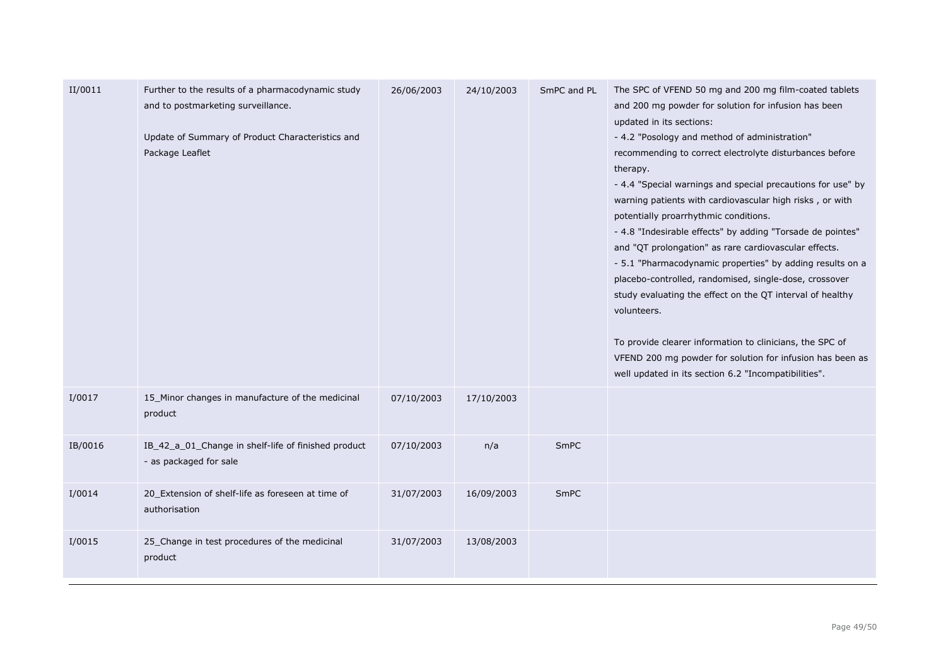| II/0011 | Further to the results of a pharmacodynamic study<br>and to postmarketing surveillance.<br>Update of Summary of Product Characteristics and<br>Package Leaflet | 26/06/2003 | 24/10/2003 | SmPC and PL | The SPC of VFEND 50 mg and 200 mg film-coated tablets<br>and 200 mg powder for solution for infusion has been<br>updated in its sections:<br>- 4.2 "Posology and method of administration"<br>recommending to correct electrolyte disturbances before<br>therapy.<br>- 4.4 "Special warnings and special precautions for use" by<br>warning patients with cardiovascular high risks, or with<br>potentially proarrhythmic conditions.<br>- 4.8 "Indesirable effects" by adding "Torsade de pointes"<br>and "QT prolongation" as rare cardiovascular effects.<br>- 5.1 "Pharmacodynamic properties" by adding results on a<br>placebo-controlled, randomised, single-dose, crossover<br>study evaluating the effect on the QT interval of healthy<br>volunteers.<br>To provide clearer information to clinicians, the SPC of<br>VFEND 200 mg powder for solution for infusion has been as<br>well updated in its section 6.2 "Incompatibilities". |
|---------|----------------------------------------------------------------------------------------------------------------------------------------------------------------|------------|------------|-------------|--------------------------------------------------------------------------------------------------------------------------------------------------------------------------------------------------------------------------------------------------------------------------------------------------------------------------------------------------------------------------------------------------------------------------------------------------------------------------------------------------------------------------------------------------------------------------------------------------------------------------------------------------------------------------------------------------------------------------------------------------------------------------------------------------------------------------------------------------------------------------------------------------------------------------------------------------|
| I/0017  | 15_Minor changes in manufacture of the medicinal<br>product                                                                                                    | 07/10/2003 | 17/10/2003 |             |                                                                                                                                                                                                                                                                                                                                                                                                                                                                                                                                                                                                                                                                                                                                                                                                                                                                                                                                                  |
| IB/0016 | IB_42_a_01_Change in shelf-life of finished product<br>- as packaged for sale                                                                                  | 07/10/2003 | n/a        | <b>SmPC</b> |                                                                                                                                                                                                                                                                                                                                                                                                                                                                                                                                                                                                                                                                                                                                                                                                                                                                                                                                                  |
| I/0014  | 20_Extension of shelf-life as foreseen at time of<br>authorisation                                                                                             | 31/07/2003 | 16/09/2003 | SmPC        |                                                                                                                                                                                                                                                                                                                                                                                                                                                                                                                                                                                                                                                                                                                                                                                                                                                                                                                                                  |
| I/0015  | 25_Change in test procedures of the medicinal<br>product                                                                                                       | 31/07/2003 | 13/08/2003 |             |                                                                                                                                                                                                                                                                                                                                                                                                                                                                                                                                                                                                                                                                                                                                                                                                                                                                                                                                                  |